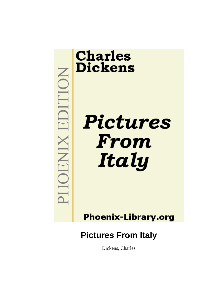

# **Charles Dickens**

Pictures From Italy

**Phoenix-Library.org** 

## **Pictures From Italy**

Dickens, Charles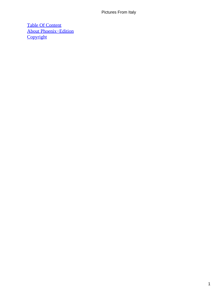[Table Of Content](#page-134-0) [About Phoenix−Edition](#page-135-0) **[Copyright](#page-138-0)**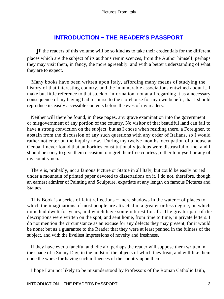## **[INTRODUCTION − THE READER'S PASSPORT](#page-134-0)**

*I*F the readers of this volume will be so kind as to take their credentials for the different places which are the subject of its author's reminiscences, from the Author himself, perhaps they may visit them, in fancy, the more agreeably, and with a better understanding of what they are to expect.

 Many books have been written upon Italy, affording many means of studying the history of that interesting country, and the innumerable associations entwined about it. I make but little reference to that stock of information; not at all regarding it as a necessary consequence of my having had recourse to the storehouse for my own benefit, that I should reproduce its easily accessible contents before the eyes of my readers.

 Neither will there be found, in these pages, any grave examination into the government or misgovernment of any portion of the country. No visitor of that beautiful land can fail to have a strong conviction on the subject; but as I chose when residing there, a Foreigner, to abstain from the discussion of any such questions with any order of Italians, so I would rather not enter on the inquiry now. During my twelve months' occupation of a house at Genoa, I never found that authorities constitutionally jealous were distrustful of me; and I should be sorry to give them occasion to regret their free courtesy, either to myself or any of my countrymen.

 There is, probably, not a famous Picture or Statue in all Italy, but could be easily buried under a mountain of printed paper devoted to dissertations on it. I do not, therefore, though an earnest admirer of Painting and Sculpture, expatiate at any length on famous Pictures and Statues.

 This Book is a series of faint reflections − mere shadows in the water − of places to which the imaginations of most people are attracted in a greater or less degree, on which mine had dwelt for years, and which have some interest for all. The greater part of the descriptions were written on the spot, and sent home, from time to time, in private letters. I do not mention the circumstance as an excuse for any defects they may present, for it would be none; but as a guarantee to the Reader that they were at least penned in the fulness of the subject, and with the liveliest impressions of novelty and freshness.

 If they have ever a fanciful and idle air, perhaps the reader will suppose them written in the shade of a Sunny Day, in the midst of the objects of which they treat, and will like them none the worse for having such influences of the country upon them.

I hope I am not likely to be misunderstood by Professors of the Roman Catholic faith,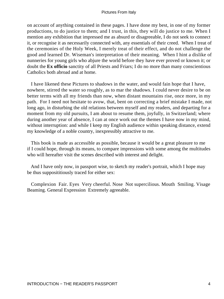on account of anything contained in these pages. I have done my best, in one of my former productions, to do justice to them; and I trust, in this, they will do justice to me. When I mention any exhibition that impressed me as absurd or disagreeable, I do not seek to connect it, or recognise it as necessarily connected with, any essentials of their creed. When I treat of the ceremonies of the Holy Week, I merely treat of their effect, and do not challenge the good and learned Dr. Wiseman's interpretation of their meaning. When I hint a dislike of nunneries for young girls who abjure the world before they have ever proved or known it; or doubt the **Ex officio** sanctity of all Priests and Friars; I do no more than many conscientious Catholics both abroad and at home.

 I have likened these Pictures to shadows in the water, and would fain hope that I have, nowhere, stirred the water so roughly, as to mar the shadows. I could never desire to be on better terms with all my friends than now, when distant mountains rise, once more, in my path. For I need not hesitate to avow, that, bent on correcting a brief mistake I made, not long ago, in disturbing the old relations between myself and my readers, and departing for a moment from my old pursuits, I am about to resume them, joyfully, in Switzerland; where during another year of absence, I can at once work out the themes I have now in my mind, without interruption: and while I keep my English audience within speaking distance, extend my knowledge of a noble country, inexpressibly attractive to me.

 This book is made as accessible as possible, because it would be a great pleasure to me if I could hope, through its means, to compare impressions with some among the multitudes who will hereafter visit the scenes described with interest and delight.

 And I have only now, in passport wise, to sketch my reader's portrait, which I hope may be thus supposititiously traced for either sex:

 Complexion Fair. Eyes Very cheerful. Nose Not supercilious. Mouth Smiling. Visage Beaming. General Expression Extremely agreeable.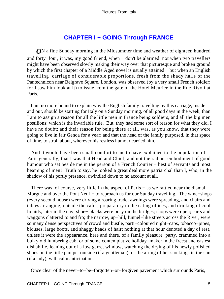## **[CHAPTER I − GOING Through FRANCE](#page-134-0)**

*O*N a fine Sunday morning in the Midsummer time and weather of eighteen hundred and forty−four, it was, my good friend, when − don't be alarmed; not when two travellers might have been observed slowly making their way over that picturesque and broken ground by which the first chapter of a Middle Aged novel is usually attained − but when an English travelling−carriage of considerable proportions, fresh from the shady halls of the Pantechnicon near Belgrave Square, London, was observed (by a very small French soldier; for I saw him look at it) to issue from the gate of the Hotel Meurice in the Rue Rivoli at Paris.

 I am no more bound to explain why the English family travelling by this carriage, inside and out, should be starting for Italy on a Sunday morning, of all good days in the week, than I am to assign a reason for all the little men in France being soldiers, and all the big men postilions; which is the invariable rule. But, they had some sort of reason for what they did, I have no doubt; and their reason for being there at all, was, as you know, that they were going to live in fair Genoa for a year; and that the head of the family purposed, in that space of time, to stroll about, wherever his restless humour carried him.

 And it would have been small comfort to me to have explained to the population of Paris generally, that I was that Head and Chief; and not the radiant embodiment of good humour who sat beside me in the person of a French Courier − best of servants and most beaming of men! Truth to say, he looked a great deal more patriarchal than I, who, in the shadow of his portly presence, dwindled down to no account at all.

There was, of course, very little in the aspect of Paris – as we rattled near the dismal Morgue and over the Pont Neuf – to reproach us for our Sunday travelling. The wine–shops (every second house) were driving a roaring trade; awnings were spreading, and chairs and tables arranging, outside the cafes, preparatory to the eating of ices, and drinking of cool liquids, later in the day; shoe− blacks were busy on the bridges; shops were open; carts and waggons clattered to and fro; the narrow, up−hill, funnel−like streets across the River, were so many dense perspectives of crowd and bustle, parti−coloured night−caps, tobacco−pipes, blouses, large boots, and shaggy heads of hair; nothing at that hour denoted a day of rest, unless it were the appearance, here and there, of a family pleasure−party, crammed into a bulky old lumbering cab; or of some contemplative holiday−maker in the freest and easiest dishabille, leaning out of a low garret window, watching the drying of his newly polished shoes on the little parapet outside (if a gentleman), or the airing of her stockings in the sun (if a lady), with calm anticipation.

Once clear of the never−to−be−forgotten−or−forgiven pavement which surrounds Paris,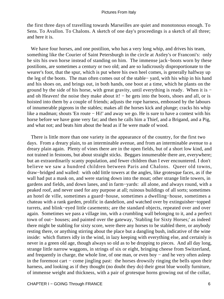the first three days of travelling towards Marseilles are quiet and monotonous enough. To Sens. To Avallon. To Chalons. A sketch of one day's proceedings is a sketch of all three; and here it is.

We have four horses, and one postilion, who has a very long whip, and drives his team, something like the Courier of Saint Petersburgh in the circle at Astley's or Franconi's: only he sits his own horse instead of standing on him. The immense jack−boots worn by these postilions, are sometimes a century or two old; and are so ludicrously disproportionate to the wearer's foot, that the spur, which is put where his own heel comes, is generally halfway up the leg of the boots. The man often comes out of the stable− yard, with his whip in his hand and his shoes on, and brings out, in both hands, one boot at a time, which he plants on the ground by the side of his horse, with great gravity, until everything is ready. When it is − and oh Heaven! the noise they make about it! – he gets into the boots, shoes and all, or is hoisted into them by a couple of friends; adjusts the rope harness, embossed by the labours of innumerable pigeons in the stables; makes all the horses kick and plunge; cracks his whip like a madman; shouts 'En route − Hi!' and away we go. He is sure to have a contest with his horse before we have gone very far; and then he calls him a Thief, and a Brigand, and a Pig, and what not; and beats him about the head as if he were made of wood.

 There is little more than one variety in the appearance of the country, for the first two days. From a dreary plain, to an interminable avenue, and from an interminable avenue to a dreary plain again. Plenty of vines there are in the open fields, but of a short low kind, and not trained in festoons, but about straight sticks. Beggars innumerable there are, everywhere; but an extraordinarily scanty population, and fewer children than I ever encountered. I don't believe we saw a hundred children between Paris and Chalons. Queer old towns, draw−bridged and walled: with odd little towers at the angles, like grotesque faces, as if the wall had put a mask on, and were staring down into the moat; other strange little towers, in gardens and fields, and down lanes, and in farm−yards: all alone, and always round, with a peaked roof, and never used for any purpose at all; ruinous buildings of all sorts; sometimes an hotel de ville, sometimes a guard−house, sometimes a dwelling−house, sometimes a chateau with a rank garden, prolific in dandelion, and watched over by extinguisher−topped turrets, and blink−eyed little casements; are the standard objects, repeated over and over again. Sometimes we pass a village inn, with a crumbling wall belonging to it, and a perfect town of out− houses; and painted over the gateway, 'Stabling for Sixty Horses;' as indeed there might be stabling for sixty score, were there any horses to be stabled there, or anybody resting there, or anything stirring about the place but a dangling bush, indicative of the wine inside: which flutters idly in the wind, in lazy keeping with everything else, and certainly is never in a green old age, though always so old as to be dropping to pieces. And all day long, strange little narrow waggons, in strings of six or eight, bringing cheese from Switzerland, and frequently in charge, the whole line, of one man, or even boy − and he very often asleep in the foremost cart − come jingling past: the horses drowsily ringing the bells upon their harness, and looking as if they thought (no doubt they do) their great blue woolly furniture, of immense weight and thickness, with a pair of grotesque horns growing out of the collar,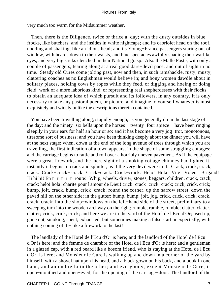very much too warm for the Midsummer weather.

 Then, there is the Diligence, twice or thrice a−day; with the dusty outsides in blue frocks, like butchers; and the insides in white nightcaps; and its cabriolet head on the roof, nodding and shaking, like an idiot's head; and its Young−France passengers staring out of window, with beards down to their waists, and blue spectacles awfully shading their warlike eyes, and very big sticks clenched in their National grasp. Also the Malle Poste, with only a couple of passengers, tearing along at a real good dare−devil pace, and out of sight in no time. Steady old Cures come jolting past, now and then, in such ramshackle, rusty, musty, clattering coaches as no Englishman would believe in; and bony women dawdle about in solitary places, holding cows by ropes while they feed, or digging and hoeing or doing field−work of a more laborious kind, or representing real shepherdesses with their flocks − to obtain an adequate idea of which pursuit and its followers, in any country, it is only necessary to take any pastoral poem, or picture, and imagine to yourself whatever is most exquisitely and widely unlike the descriptions therein contained.

 You have been travelling along, stupidly enough, as you generally do in the last stage of the day; and the ninety−six bells upon the horses − twenty−four apiece − have been ringing sleepily in your ears for half an hour or so; and it has become a very jog−trot, monotonous, tiresome sort of business; and you have been thinking deeply about the dinner you will have at the next stage; when, down at the end of the long avenue of trees through which you are travelling, the first indication of a town appears, in the shape of some straggling cottages: and the carriage begins to rattle and roll over a horribly uneven pavement. As if the equipage were a great firework, and the mere sight of a smoking cottage chimney had lighted it, instantly it begins to crack and splutter, as if the very devil were in it. Crack, crack, crack, crack. Crack−crack− crack. Crick−crack. Crick−crack. Helo! Hola! Vite! Voleur! Brigand! Hi hi hi! En r−r−r−r−r−route! Whip, wheels, driver, stones, beggars, children, crack, crack, crack; helo! hola! charite pour l'amour de Dieu! crick−crack−crick−crack; crick, crick, crick; bump, jolt, crack, bump, crick−crack; round the corner, up the narrow street, down the paved hill on the other side; in the gutter; bump, bump; jolt, jog, crick, crick, crick; crack, crack, crack; into the shop−windows on the left−hand side of the street, preliminary to a sweeping turn into the wooden archway on the right; rumble, rumble, rumble; clatter, clatter, clatter; crick, crick, crick; and here we are in the yard of the Hotel de l'Ecu d'Or; used up, gone out, smoking, spent, exhausted; but sometimes making a false start unexpectedly, with nothing coming of it – like a firework to the last!

 The landlady of the Hotel de l'Ecu d'Or is here; and the landlord of the Hotel de l'Ecu d'Or is here; and the femme de chambre of the Hotel de l'Ecu d'Or is here; and a gentleman in a glazed cap, with a red beard like a bosom friend, who is staying at the Hotel de l'Ecu d'Or, is here; and Monsieur le Cure is walking up and down in a corner of the yard by himself, with a shovel hat upon his head, and a black gown on his back, and a book in one hand, and an umbrella in the other; and everybody, except Monsieur le Cure, is open−mouthed and open−eyed, for the opening of the carriage−door. The landlord of the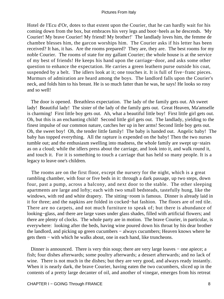Hotel de l'Ecu d'Or, dotes to that extent upon the Courier, that he can hardly wait for his coming down from the box, but embraces his very legs and boot−heels as he descends. 'My Courier! My brave Courier! My friend! My brother!' The landlady loves him, the femme de chambre blesses him, the garcon worships him. The Courier asks if his letter has been received? It has, it has. Are the rooms prepared? They are, they are. The best rooms for my noble Courier. The rooms of state for my gallant Courier; the whole house is at the service of my best of friends! He keeps his hand upon the carriage−door, and asks some other question to enhance the expectation. He carries a green leathern purse outside his coat, suspended by a belt. The idlers look at it; one touches it. It is full of five−franc pieces. Murmurs of admiration are heard among the boys. The landlord falls upon the Courier's neck, and folds him to his breast. He is so much fatter than he was, he says! He looks so rosy and so well!

 The door is opened. Breathless expectation. The lady of the family gets out. Ah sweet lady! Beautiful lady! The sister of the lady of the family gets out. Great Heaven, Ma'amselle is charming! First little boy gets out. Ah, what a beautiful little boy! First little girl gets out. Oh, but this is an enchanting child! Second little girl gets out. The landlady, yielding to the finest impulse of our common nature, catches her up in her arms! Second little boy gets out. Oh, the sweet boy! Oh, the tender little family! The baby is handed out. Angelic baby! The baby has topped everything. All the rapture is expended on the baby! Then the two nurses tumble out; and the enthusiasm swelling into madness, the whole family are swept up−stairs as on a cloud; while the idlers press about the carriage, and look into it, and walk round it, and touch it. For it is something to touch a carriage that has held so many people. It is a legacy to leave one's children.

 The rooms are on the first floor, except the nursery for the night, which is a great rambling chamber, with four or five beds in it: through a dark passage, up two steps, down four, past a pump, across a balcony, and next door to the stable. The other sleeping apartments are large and lofty; each with two small bedsteads, tastefully hung, like the windows, with red and white drapery. The sitting−room is famous. Dinner is already laid in it for three; and the napkins are folded in cocked−hat fashion. The floors are of red tile. There are no carpets, and not much furniture to speak of; but there is abundance of looking−glass, and there are large vases under glass shades, filled with artificial flowers; and there are plenty of clocks. The whole party are in motion. The brave Courier, in particular, is everywhere: looking after the beds, having wine poured down his throat by his dear brother the landlord, and picking up green cucumbers − always cucumbers; Heaven knows where he gets them − with which he walks about, one in each hand, like truncheons.

Dinner is announced. There is very thin soup; there are very large loaves – one apiece; a fish; four dishes afterwards; some poultry afterwards; a dessert afterwards; and no lack of wine. There is not much in the dishes; but they are very good, and always ready instantly. When it is nearly dark, the brave Courier, having eaten the two cucumbers, sliced up in the contents of a pretty large decanter of oil, and another of vinegar, emerges from his retreat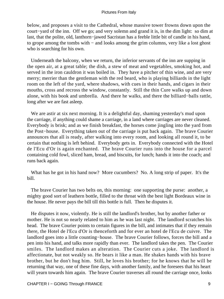below, and proposes a visit to the Cathedral, whose massive tower frowns down upon the court−yard of the inn. Off we go; and very solemn and grand it is, in the dim light: so dim at last, that the polite, old, lanthorn−jawed Sacristan has a feeble little bit of candle in his hand, to grope among the tombs with − and looks among the grim columns, very like a lost ghost who is searching for his own.

 Underneath the balcony, when we return, the inferior servants of the inn are supping in the open air, at a great table; the dish, a stew of meat and vegetables, smoking hot, and served in the iron cauldron it was boiled in. They have a pitcher of thin wine, and are very merry; merrier than the gentleman with the red beard, who is playing billiards in the light room on the left of the yard, where shadows, with cues in their hands, and cigars in their mouths, cross and recross the window, constantly. Still the thin Cure walks up and down alone, with his book and umbrella. And there he walks, and there the billiard−balls rattle, long after we are fast asleep.

We are astir at six next morning. It is a delightful day, shaming yesterday's mud upon the carriage, if anything could shame a carriage, in a land where carriages are never cleaned. Everybody is brisk; and as we finish breakfast, the horses come jingling into the yard from the Post−house. Everything taken out of the carriage is put back again. The brave Courier announces that all is ready, after walking into every room, and looking all round it, to be certain that nothing is left behind. Everybody gets in. Everybody connected with the Hotel de l'Ecu d'Or is again enchanted. The brave Courier runs into the house for a parcel containing cold fowl, sliced ham, bread, and biscuits, for lunch; hands it into the coach; and runs back again.

 What has he got in his hand now? More cucumbers? No. A long strip of paper. It's the bill.

 The brave Courier has two belts on, this morning: one supporting the purse: another, a mighty good sort of leathern bottle, filled to the throat with the best light Bordeaux wine in the house. He never pays the bill till this bottle is full. Then he disputes it.

 He disputes it now, violently. He is still the landlord's brother, but by another father or mother. He is not so nearly related to him as he was last night. The landlord scratches his head. The brave Courier points to certain figures in the bill, and intimates that if they remain there, the Hotel de l'Ecu d'Or is thenceforth and for ever an hotel de l'Ecu de cuivre. The landlord goes into a little counting−house. The brave Courier follows, forces the bill and a pen into his hand, and talks more rapidly than ever. The landlord takes the pen. The Courier smiles. The landlord makes an alteration. The Courier cuts a joke. The landlord is affectionate, but not weakly so. He bears it like a man. He shakes hands with his brave brother, but he don't hug him. Still, he loves his brother; for he knows that he will be returning that way, one of these fine days, with another family, and he foresees that his heart will yearn towards him again. The brave Courier traverses all round the carriage once, looks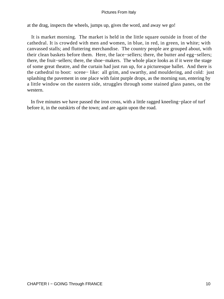at the drag, inspects the wheels, jumps up, gives the word, and away we go!

 It is market morning. The market is held in the little square outside in front of the cathedral. It is crowded with men and women, in blue, in red, in green, in white; with canvassed stalls; and fluttering merchandise. The country people are grouped about, with their clean baskets before them. Here, the lace−sellers; there, the butter and egg−sellers; there, the fruit−sellers; there, the shoe−makers. The whole place looks as if it were the stage of some great theatre, and the curtain had just run up, for a picturesque ballet. And there is the cathedral to boot: scene− like: all grim, and swarthy, and mouldering, and cold: just splashing the pavement in one place with faint purple drops, as the morning sun, entering by a little window on the eastern side, struggles through some stained glass panes, on the western.

 In five minutes we have passed the iron cross, with a little ragged kneeling−place of turf before it, in the outskirts of the town; and are again upon the road.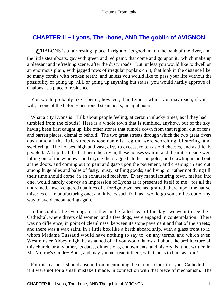## **[CHAPTER Ii − Lyons, The rhone, AND The goblin of AVIGNON](#page-134-0)**

*C*HALONS is a fair resting−place, in right of its good inn on the bank of the river, and the little steamboats, gay with green and red paint, that come and go upon it: which make up a pleasant and refreshing scene, after the dusty roads. But, unless you would like to dwell on an enormous plain, with jagged rows of irregular poplars on it, that look in the distance like so many combs with broken teeth: and unless you would like to pass your life without the possibility of going up−hill, or going up anything but stairs: you would hardly approve of Chalons as a place of residence.

 You would probably like it better, however, than Lyons: which you may reach, if you will, in one of the before−mentioned steamboats, in eight hours.

What a city Lyons is! Talk about people feeling, at certain unlucky times, as if they had tumbled from the clouds! Here is a whole town that is tumbled, anyhow, out of the sky; having been first caught up, like other stones that tumble down from that region, out of fens and barren places, dismal to behold! The two great streets through which the two great rivers dash, and all the little streets whose name is Legion, were scorching, blistering, and sweltering. The houses, high and vast, dirty to excess, rotten as old cheeses, and as thickly peopled. All up the hills that hem the city in, these houses swarm; and the mites inside were lolling out of the windows, and drying their ragged clothes on poles, and crawling in and out at the doors, and coming out to pant and gasp upon the pavement, and creeping in and out among huge piles and bales of fusty, musty, stifling goods; and living, or rather not dying till their time should come, in an exhausted receiver. Every manufacturing town, melted into one, would hardly convey an impression of Lyons as it presented itself to me: for all the undrained, unscavengered qualities of a foreign town, seemed grafted, there, upon the native miseries of a manufacturing one; and it bears such fruit as I would go some miles out of my way to avoid encountering again.

 In the cool of the evening: or rather in the faded heat of the day: we went to see the Cathedral, where divers old women, and a few dogs, were engaged in contemplation. There was no difference, in point of cleanliness, between its stone pavement and that of the streets; and there was a wax saint, in a little box like a berth aboard ship, with a glass front to it, whom Madame Tussaud would have nothing to say to, on any terms, and which even Westminster Abbey might be ashamed of. If you would know all about the architecture of this church, or any other, its dates, dimensions, endowments, and history, is it not written in Mr. Murray's Guide− Book, and may you not read it there, with thanks to him, as I did!

 For this reason, I should abstain from mentioning the curious clock in Lyons Cathedral, if it were not for a small mistake I made, in connection with that piece of mechanism. The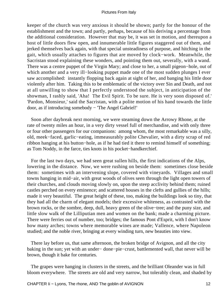keeper of the church was very anxious it should be shown; partly for the honour of the establishment and the town; and partly, perhaps, because of his deriving a percentage from the additional consideration. However that may be, it was set in motion, and thereupon a host of little doors flew open, and innumerable little figures staggered out of them, and jerked themselves back again, with that special unsteadiness of purpose, and hitching in the gait, which usually attaches to figures that are moved by clock−work. Meanwhile, the Sacristan stood explaining these wonders, and pointing them out, severally, with a wand. There was a centre puppet of the Virgin Mary; and close to her, a small pigeon−hole, out of which another and a very ill−looking puppet made one of the most sudden plunges I ever saw accomplished: instantly flopping back again at sight of her, and banging his little door violently after him. Taking this to be emblematic of the victory over Sin and Death, and not at all unwilling to show that I perfectly understood the subject, in anticipation of the showman, I rashly said, 'Aha! The Evil Spirit. To be sure. He is very soon disposed of.' 'Pardon, Monsieur,' said the Sacristan, with a polite motion of his hand towards the little door, as if introducing somebody − 'The Angel Gabriel!'

 Soon after daybreak next morning, we were steaming down the Arrowy Rhone, at the rate of twenty miles an hour, in a very dirty vessel full of merchandise, and with only three or four other passengers for our companions: among whom, the most remarkable was a silly, old, meek−faced, garlic−eating, immeasurably polite Chevalier, with a dirty scrap of red ribbon hanging at his button−hole, as if he had tied it there to remind himself of something; as Tom Noddy, in the farce, ties knots in his pocket−handkerchief.

 For the last two days, we had seen great sullen hills, the first indications of the Alps, lowering in the distance. Now, we were rushing on beside them: sometimes close beside them: sometimes with an intervening slope, covered with vineyards. Villages and small towns hanging in mid−air, with great woods of olives seen through the light open towers of their churches, and clouds moving slowly on, upon the steep acclivity behind them; ruined castles perched on every eminence; and scattered houses in the clefts and gullies of the hills; made it very beautiful. The great height of these, too, making the buildings look so tiny, that they had all the charm of elegant models; their excessive whiteness, as contrasted with the brown rocks, or the sombre, deep, dull, heavy green of the olive−tree; and the puny size, and little slow walk of the Lilliputian men and women on the bank; made a charming picture. There were ferries out of number, too; bridges; the famous Pont d'Esprit, with I don't know how many arches; towns where memorable wines are made; Vallence, where Napoleon studied; and the noble river, bringing at every winding turn, new beauties into view.

 There lay before us, that same afternoon, the broken bridge of Avignon, and all the city baking in the sun; yet with an under− done−pie−crust, battlemented wall, that never will be brown, though it bake for centuries.

 The grapes were hanging in clusters in the streets, and the brilliant Oleander was in full bloom everywhere. The streets are old and very narrow, but tolerably clean, and shaded by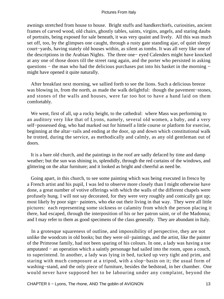awnings stretched from house to house. Bright stuffs and handkerchiefs, curiosities, ancient frames of carved wood, old chairs, ghostly tables, saints, virgins, angels, and staring daubs of portraits, being exposed for sale beneath, it was very quaint and lively. All this was much set off, too, by the glimpses one caught, through a rusty gate standing ajar, of quiet sleepy court−yards, having stately old houses within, as silent as tombs. It was all very like one of the descriptions in the Arabian Nights. The three one− eyed Calenders might have knocked at any one of those doors till the street rang again, and the porter who persisted in asking questions – the man who had the delicious purchases put into his basket in the morning – might have opened it quite naturally.

 After breakfast next morning, we sallied forth to see the lions. Such a delicious breeze was blowing in, from the north, as made the walk delightful: though the pavement−stones, and stones of the walls and houses, were far too hot to have a hand laid on them comfortably.

 We went, first of all, up a rocky height, to the cathedral: where Mass was performing to an auditory very like that of Lyons, namely, several old women, a baby, and a very self−possessed dog, who had marked out for himself a little course or platform for exercise, beginning at the altar−rails and ending at the door, up and down which constitutional walk he trotted, during the service, as methodically and calmly, as any old gentleman out of doors.

 It is a bare old church, and the paintings in the roof are sadly defaced by time and damp weather; but the sun was shining in, splendidly, through the red curtains of the windows, and glittering on the altar furniture; and it looked as bright and cheerful as need be.

 Going apart, in this church, to see some painting which was being executed in fresco by a French artist and his pupil, I was led to observe more closely than I might otherwise have done, a great number of votive offerings with which the walls of the different chapels were profusely hung. I will not say decorated, for they were very roughly and comically got up; most likely by poor sign− painters, who eke out their living in that way. They were all little pictures: each representing some sickness or calamity from which the person placing it there, had escaped, through the interposition of his or her patron saint, or of the Madonna; and I may refer to them as good specimens of the class generally. They are abundant in Italy.

 In a grotesque squareness of outline, and impossibility of perspective, they are not unlike the woodcuts in old books; but they were oil−paintings, and the artist, like the painter of the Primrose family, had not been sparing of his colours. In one, a lady was having a toe amputated − an operation which a saintly personage had sailed into the room, upon a couch, to superintend. In another, a lady was lying in bed, tucked up very tight and prim, and staring with much composure at a tripod, with a slop−basin on it; the usual form of washing−stand, and the only piece of furniture, besides the bedstead, in her chamber. One would never have supposed her to be labouring under any complaint, beyond the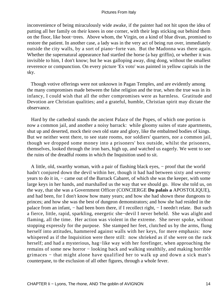inconvenience of being miraculously wide awake, if the painter had not hit upon the idea of putting all her family on their knees in one corner, with their legs sticking out behind them on the floor, like boot−trees. Above whom, the Virgin, on a kind of blue divan, promised to restore the patient. In another case, a lady was in the very act of being run over, immediately outside the city walls, by a sort of piano−forte van. But the Madonna was there again. Whether the supernatural appearance had startled the horse (a bay griffin), or whether it was invisible to him, I don't know; but he was galloping away, ding dong, without the smallest reverence or compunction. On every picture 'Ex voto' was painted in yellow capitals in the sky.

 Though votive offerings were not unknown in Pagan Temples, and are evidently among the many compromises made between the false religion and the true, when the true was in its infancy, I could wish that all the other compromises were as harmless. Gratitude and Devotion are Christian qualities; and a grateful, humble, Christian spirit may dictate the observance.

 Hard by the cathedral stands the ancient Palace of the Popes, of which one portion is now a common jail, and another a noisy barrack: while gloomy suites of state apartments, shut up and deserted, mock their own old state and glory, like the embalmed bodies of kings. But we neither went there, to see state rooms, nor soldiers' quarters, nor a common jail, though we dropped some money into a prisoners' box outside, whilst the prisoners, themselves, looked through the iron bars, high up, and watched us eagerly. We went to see the ruins of the dreadful rooms in which the Inquisition used to sit.

 A little, old, swarthy woman, with a pair of flashing black eyes, − proof that the world hadn't conjured down the devil within her, though it had had between sixty and seventy years to do it in, – came out of the Barrack Cabaret, of which she was the keeper, with some large keys in her hands, and marshalled us the way that we should go. How she told us, on the way, that she was a Government Officer (CONCIERGE **Du palais a** APOSTOLIQUE), and had been, for I don't know how many years; and how she had shown these dungeons to princes; and how she was the best of dungeon demonstrators; and how she had resided in the palace from an infant, – had been born there, if I recollect right, – I needn't relate. But such a fierce, little, rapid, sparkling, energetic she−devil I never beheld. She was alight and flaming, all the time. Her action was violent in the extreme. She never spoke, without stopping expressly for the purpose. She stamped her feet, clutched us by the arms, flung herself into attitudes, hammered against walls with her keys, for mere emphasis: now whispered as if the Inquisition were there still: now shrieked as if she were on the rack herself; and had a mysterious, hag−like way with her forefinger, when approaching the remains of some new horror − looking back and walking stealthily, and making horrible grimaces − that might alone have qualified her to walk up and down a sick man's counterpane, to the exclusion of all other figures, through a whole fever.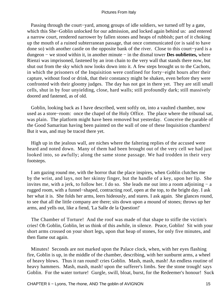Passing through the court−yard, among groups of idle soldiers, we turned off by a gate, which this She−Goblin unlocked for our admission, and locked again behind us: and entered a narrow court, rendered narrower by fallen stones and heaps of rubbish; part of it choking up the mouth of a ruined subterranean passage, that once communicated (or is said to have done so) with another castle on the opposite bank of the river. Close to this court−yard is a dungeon − we stood within it, in another minute − in the dismal tower **Des oubliettes,** where Rienzi was imprisoned, fastened by an iron chain to the very wall that stands there now, but shut out from the sky which now looks down into it. A few steps brought us to the Cachots, in which the prisoners of the Inquisition were confined for forty−eight hours after their capture, without food or drink, that their constancy might be shaken, even before they were confronted with their gloomy judges. The day has not got in there yet. They are still small cells, shut in by four unyielding, close, hard walls; still profoundly dark; still massively doored and fastened, as of old.

 Goblin, looking back as I have described, went softly on, into a vaulted chamber, now used as a store−room: once the chapel of the Holy Office. The place where the tribunal sat, was plain. The platform might have been removed but yesterday. Conceive the parable of the Good Samaritan having been painted on the wall of one of these Inquisition chambers! But it was, and may be traced there yet.

 High up in the jealous wall, are niches where the faltering replies of the accused were heard and noted down. Many of them had been brought out of the very cell we had just looked into, so awfully; along the same stone passage. We had trodden in their very footsteps.

 I am gazing round me, with the horror that the place inspires, when Goblin clutches me by the wrist, and lays, not her skinny finger, but the handle of a key, upon her lip. She invites me, with a jerk, to follow her. I do so. She leads me out into a room adjoining − a rugged room, with a funnel−shaped, contracting roof, open at the top, to the bright day. I ask her what it is. She folds her arms, leers hideously, and stares. I ask again. She glances round, to see that all the little company are there; sits down upon a mound of stones; throws up her arms, and yells out, like a fiend, 'La Salle de la Question!'

 The Chamber of Torture! And the roof was made of that shape to stifle the victim's cries! Oh Goblin, Goblin, let us think of this awhile, in silence. Peace, Goblin! Sit with your short arms crossed on your short legs, upon that heap of stones, for only five minutes, and then flame out again.

 Minutes! Seconds are not marked upon the Palace clock, when, with her eyes flashing fire, Goblin is up, in the middle of the chamber, describing, with her sunburnt arms, a wheel of heavy blows. Thus it ran round! cries Goblin. Mash, mash, mash! An endless routine of heavy hammers. Mash, mash, mash! upon the sufferer's limbs. See the stone trough! says Goblin. For the water torture! Gurgle, swill, bloat, burst, for the Redeemer's honour! Suck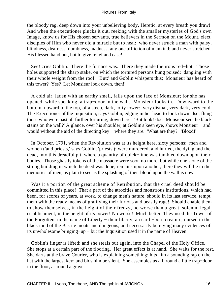the bloody rag, deep down into your unbelieving body, Heretic, at every breath you draw! And when the executioner plucks it out, reeking with the smaller mysteries of God's own Image, know us for His chosen servants, true believers in the Sermon on the Mount, elect disciples of Him who never did a miracle but to heal: who never struck a man with palsy, blindness, deafness, dumbness, madness, any one affliction of mankind; and never stretched His blessed hand out, but to give relief and ease!

See! cries Goblin. There the furnace was. There they made the irons red–hot. Those holes supported the sharp stake, on which the tortured persons hung poised: dangling with their whole weight from the roof. 'But;' and Goblin whispers this; 'Monsieur has heard of this tower? Yes? Let Monsieur look down, then!'

 A cold air, laden with an earthy smell, falls upon the face of Monsieur; for she has opened, while speaking, a trap−door in the wall. Monsieur looks in. Downward to the bottom, upward to the top, of a steep, dark, lofty tower: very dismal, very dark, very cold. The Executioner of the Inquisition, says Goblin, edging in her head to look down also, flung those who were past all further torturing, down here. 'But look! does Monsieur see the black stains on the wall?' A glance, over his shoulder, at Goblin's keen eye, shows Monsieur − and would without the aid of the directing key − where they are. 'What are they?' 'Blood!'

 In October, 1791, when the Revolution was at its height here, sixty persons: men and women ('and priests,' says Goblin, 'priests'): were murdered, and hurled, the dying and the dead, into this dreadful pit, where a quantity of quick−lime was tumbled down upon their bodies. Those ghastly tokens of the massacre were soon no more; but while one stone of the strong building in which the deed was done, remains upon another, there they will lie in the memories of men, as plain to see as the splashing of their blood upon the wall is now.

 Was it a portion of the great scheme of Retribution, that the cruel deed should be committed in this place! That a part of the atrocities and monstrous institutions, which had been, for scores of years, at work, to change men's nature, should in its last service, tempt them with the ready means of gratifying their furious and beastly rage! Should enable them to show themselves, in the height of their frenzy, no worse than a great, solemn, legal establishment, in the height of its power! No worse! Much better. They used the Tower of the Forgotten, in the name of Liberty − their liberty; an earth−born creature, nursed in the black mud of the Bastile moats and dungeons, and necessarily betraying many evidences of its unwholesome bringing−up − but the Inquisition used it in the name of Heaven.

 Goblin's finger is lifted; and she steals out again, into the Chapel of the Holy Office. She stops at a certain part of the flooring. Her great effect is at hand. She waits for the rest. She darts at the brave Courier, who is explaining something; hits him a sounding rap on the hat with the largest key; and bids him be silent. She assembles us all, round a little trap−door in the floor, as round a grave.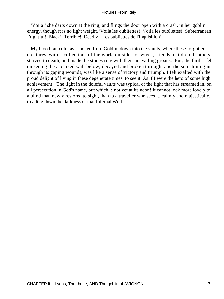'Voila!' she darts down at the ring, and flings the door open with a crash, in her goblin energy, though it is no light weight. 'Voila les oubliettes! Voila les oubliettes! Subterranean! Frightful! Black! Terrible! Deadly! Les oubliettes de l'Inquisition!'

 My blood ran cold, as I looked from Goblin, down into the vaults, where these forgotten creatures, with recollections of the world outside: of wives, friends, children, brothers: starved to death, and made the stones ring with their unavailing groans. But, the thrill I felt on seeing the accursed wall below, decayed and broken through, and the sun shining in through its gaping wounds, was like a sense of victory and triumph. I felt exalted with the proud delight of living in these degenerate times, to see it. As if I were the hero of some high achievement! The light in the doleful vaults was typical of the light that has streamed in, on all persecution in God's name, but which is not yet at its noon! It cannot look more lovely to a blind man newly restored to sight, than to a traveller who sees it, calmly and majestically, treading down the darkness of that Infernal Well.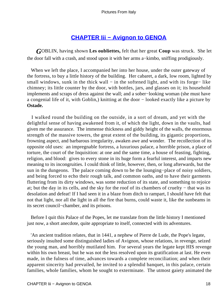## **[CHAPTER Iii − Avignon to GENOA](#page-134-0)**

*G*OBLIN, having shown **Les oubliettes,** felt that her great **Coup** was struck. She let the door fall with a crash, and stood upon it with her arms a−kimbo, sniffing prodigiously.

 When we left the place, I accompanied her into her house, under the outer gateway of the fortress, to buy a little history of the building. Her cabaret, a dark, low room, lighted by small windows, sunk in the thick wall – in the softened light, and with its forge– like chimney; its little counter by the door, with bottles, jars, and glasses on it; its household implements and scraps of dress against the wall; and a sober−looking woman (she must have a congenial life of it, with Goblin,) knitting at the door − looked exactly like a picture by **Ostade.**

 I walked round the building on the outside, in a sort of dream, and yet with the delightful sense of having awakened from it, of which the light, down in the vaults, had given me the assurance. The immense thickness and giddy height of the walls, the enormous strength of the massive towers, the great extent of the building, its gigantic proportions, frowning aspect, and barbarous irregularity, awaken awe and wonder. The recollection of its opposite old uses: an impregnable fortress, a luxurious palace, a horrible prison, a place of torture, the court of the Inquisition: at one and the same time, a house of feasting, fighting, religion, and blood: gives to every stone in its huge form a fearful interest, and imparts new meaning to its incongruities. I could think of little, however, then, or long afterwards, but the sun in the dungeons. The palace coming down to be the lounging−place of noisy soldiers, and being forced to echo their rough talk, and common oaths, and to have their garments fluttering from its dirty windows, was some reduction of its state, and something to rejoice at; but the day in its cells, and the sky for the roof of its chambers of cruelty − that was its desolation and defeat! If I had seen it in a blaze from ditch to rampart, I should have felt that not that light, nor all the light in all the fire that burns, could waste it, like the sunbeams in its secret council−chamber, and its prisons.

 Before I quit this Palace of the Popes, let me translate from the little history I mentioned just now, a short anecdote, quite appropriate to itself, connected with its adventures.

 'An ancient tradition relates, that in 1441, a nephew of Pierre de Lude, the Pope's legate, seriously insulted some distinguished ladies of Avignon, whose relations, in revenge, seized the young man, and horribly mutilated him. For several years the legate kept HIS revenge within his own breast, but he was not the less resolved upon its gratification at last. He even made, in the fulness of time, advances towards a complete reconciliation; and when their apparent sincerity had prevailed, he invited to a splendid banquet, in this palace, certain families, whole families, whom he sought to exterminate. The utmost gaiety animated the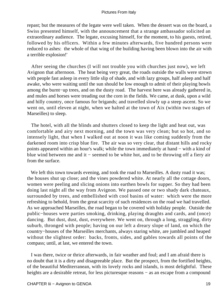repast; but the measures of the legate were well taken. When the dessert was on the board, a Swiss presented himself, with the announcement that a strange ambassador solicited an extraordinary audience. The legate, excusing himself, for the moment, to his guests, retired, followed by his officers. Within a few minutes afterwards, five hundred persons were reduced to ashes: the whole of that wing of the building having been blown into the air with a terrible explosion!'

 After seeing the churches (I will not trouble you with churches just now), we left Avignon that afternoon. The heat being very great, the roads outside the walls were strewn with people fast asleep in every little slip of shade, and with lazy groups, half asleep and half awake, who were waiting until the sun should be low enough to admit of their playing bowls among the burnt−up trees, and on the dusty road. The harvest here was already gathered in, and mules and horses were treading out the corn in the fields. We came, at dusk, upon a wild and hilly country, once famous for brigands; and travelled slowly up a steep ascent. So we went on, until eleven at night, when we halted at the town of Aix (within two stages of Marseilles) to sleep.

 The hotel, with all the blinds and shutters closed to keep the light and heat out, was comfortable and airy next morning, and the town was very clean; but so hot, and so intensely light, that when I walked out at noon it was like coming suddenly from the darkened room into crisp blue fire. The air was so very clear, that distant hills and rocky points appeared within an hour's walk; while the town immediately at hand − with a kind of blue wind between me and it − seemed to be white hot, and to be throwing off a fiery air from the surface.

We left this town towards evening, and took the road to Marseilles. A dusty road it was; the houses shut up close; and the vines powdered white. At nearly all the cottage doors, women were peeling and slicing onions into earthen bowls for supper. So they had been doing last night all the way from Avignon. We passed one or two shady dark chateaux, surrounded by trees, and embellished with cool basins of water: which were the more refreshing to behold, from the great scarcity of such residences on the road we had travelled. As we approached Marseilles, the road began to be covered with holiday people. Outside the public−houses were parties smoking, drinking, playing draughts and cards, and (once) dancing. But dust, dust, dust, everywhere. We went on, through a long, straggling, dirty suburb, thronged with people; having on our left a dreary slope of land, on which the country−houses of the Marseilles merchants, always staring white, are jumbled and heaped without the slightest order: backs, fronts, sides, and gables towards all points of the compass; until, at last, we entered the town.

 I was there, twice or thrice afterwards, in fair weather and foul; and I am afraid there is no doubt that it is a dirty and disagreeable place. But the prospect, from the fortified heights, of the beautiful Mediterranean, with its lovely rocks and islands, is most delightful. These heights are a desirable retreat, for less picturesque reasons – as an escape from a compound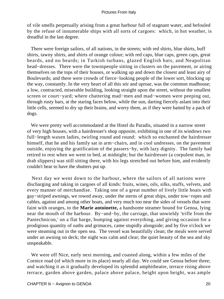of vile smells perpetually arising from a great harbour full of stagnant water, and befouled by the refuse of innumerable ships with all sorts of cargoes: which, in hot weather, is dreadful in the last degree.

 There were foreign sailors, of all nations, in the streets; with red shirts, blue shirts, buff shirts, tawny shirts, and shirts of orange colour; with red caps, blue caps, green caps, great beards, and no beards; in Turkish turbans, glazed English hats, and Neapolitan head−dresses. There were the townspeople sitting in clusters on the pavement, or airing themselves on the tops of their houses, or walking up and down the closest and least airy of Boulevards; and there were crowds of fierce−looking people of the lower sort, blocking up the way, constantly. In the very heart of all this stir and uproar, was the common madhouse; a low, contracted, miserable building, looking straight upon the street, without the smallest screen or court−yard; where chattering mad−men and mad−women were peeping out, through rusty bars, at the staring faces below, while the sun, darting fiercely aslant into their little cells, seemed to dry up their brains, and worry them, as if they were baited by a pack of dogs.

 We were pretty well accommodated at the Hotel du Paradis, situated in a narrow street of very high houses, with a hairdresser's shop opposite, exhibiting in one of its windows two full−length waxen ladies, twirling round and round: which so enchanted the hairdresser himself, that he and his family sat in arm−chairs, and in cool undresses, on the pavement outside, enjoying the gratification of the passers−by, with lazy dignity. The family had retired to rest when we went to bed, at midnight; but the hairdresser (a corpulent man, in drab slippers) was still sitting there, with his legs stretched out before him, and evidently couldn't bear to have the shutters put up.

 Next day we went down to the harbour, where the sailors of all nations were discharging and taking in cargoes of all kinds: fruits, wines, oils, silks, stuffs, velvets, and every manner of merchandise. Taking one of a great number of lively little boats with gay−striped awnings, we rowed away, under the sterns of great ships, under tow−ropes and cables, against and among other boats, and very much too near the sides of vessels that were faint with oranges, to the **Marie antoinette,** a handsome steamer bound for Genoa, lying near the mouth of the harbour. By−and−by, the carriage, that unwieldy 'trifle from the Pantechnicon,' on a flat barge, bumping against everything, and giving occasion for a prodigious quantity of oaths and grimaces, came stupidly alongside; and by five o'clock we were steaming out in the open sea. The vessel was beautifully clean; the meals were served under an awning on deck; the night was calm and clear; the quiet beauty of the sea and sky unspeakable.

 We were off Nice, early next morning, and coasted along, within a few miles of the Cornice road (of which more in its place) nearly all day. We could see Genoa before three; and watching it as it gradually developed its splendid amphitheatre, terrace rising above terrace, garden above garden, palace above palace, height upon height, was ample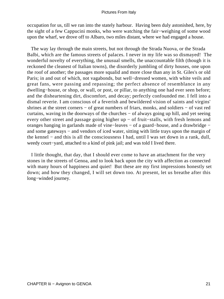occupation for us, till we ran into the stately harbour. Having been duly astonished, here, by the sight of a few Cappucini monks, who were watching the fair−weighing of some wood upon the wharf, we drove off to Albaro, two miles distant, where we had engaged a house.

 The way lay through the main streets, but not through the Strada Nuova, or the Strada Balbi, which are the famous streets of palaces. I never in my life was so dismayed! The wonderful novelty of everything, the unusual smells, the unaccountable filth (though it is reckoned the cleanest of Italian towns), the disorderly jumbling of dirty houses, one upon the roof of another; the passages more squalid and more close than any in St. Giles's or old Paris; in and out of which, not vagabonds, but well−dressed women, with white veils and great fans, were passing and repassing; the perfect absence of resemblance in any dwelling−house, or shop, or wall, or post, or pillar, to anything one had ever seen before; and the disheartening dirt, discomfort, and decay; perfectly confounded me. I fell into a dismal reverie. I am conscious of a feverish and bewildered vision of saints and virgins' shrines at the street corners − of great numbers of friars, monks, and soldiers − of vast red curtains, waving in the doorways of the churches − of always going up hill, and yet seeing every other street and passage going higher up − of fruit−stalls, with fresh lemons and oranges hanging in garlands made of vine−leaves − of a guard−house, and a drawbridge − and some gateways – and vendors of iced water, sitting with little trays upon the margin of the kennel − and this is all the consciousness I had, until I was set down in a rank, dull, weedy court−yard, attached to a kind of pink jail; and was told I lived there.

 I little thought, that day, that I should ever come to have an attachment for the very stones in the streets of Genoa, and to look back upon the city with affection as connected with many hours of happiness and quiet! But these are my first impressions honestly set down; and how they changed, I will set down too. At present, let us breathe after this long−winded journey.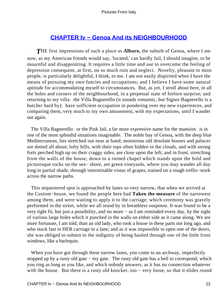## **[CHAPTER Iv − Genoa And its NEIGHBOURHOOD](#page-134-0)**

*T*HE first impressions of such a place as **Albaro,** the suburb of Genoa, where I am now, as my American friends would say, 'located,' can hardly fail, I should imagine, to be mournful and disappointing. It requires a little time and use to overcome the feeling of depression consequent, at first, on so much ruin and neglect. Novelty, pleasant to most people, is particularly delightful, I think, to me. I am not easily dispirited when I have the means of pursuing my own fancies and occupations; and I believe I have some natural aptitude for accommodating myself to circumstances. But, as yet, I stroll about here, in all the holes and corners of the neighbourhood, in a perpetual state of forlorn surprise; and returning to my villa: the Villa Bagnerello (it sounds romantic, but Signor Bagnerello is a butcher hard by): have sufficient occupation in pondering over my new experiences, and comparing them, very much to my own amusement, with my expectations, until I wander out again.

 The Villa Bagnerello: or the Pink Jail, a far more expressive name for the mansion: is in one of the most splendid situations imaginable. The noble bay of Genoa, with the deep blue Mediterranean, lies stretched out near at hand; monstrous old desolate houses and palaces are dotted all about; lofty hills, with their tops often hidden in the clouds, and with strong forts perched high up on their craggy sides, are close upon the left; and in front, stretching from the walls of the house, down to a ruined chapel which stands upon the bold and picturesque rocks on the sea− shore, are green vineyards, where you may wander all day long in partial shade, through interminable vistas of grapes, trained on a rough trellis−work across the narrow paths.

 This sequestered spot is approached by lanes so very narrow, that when we arrived at the Custom−house, we found the people here had **Taken the measure** of the narrowest among them, and were waiting to apply it to the carriage; which ceremony was gravely performed in the street, while we all stood by in breathless suspense. It was found to be a very tight fit, but just a possibility, and no more − as I am reminded every day, by the sight of various large holes which it punched in the walls on either side as it came along. We are more fortunate, I am told, than an old lady, who took a house in these parts not long ago, and who stuck fast in HER carriage in a lane; and as it was impossible to open one of the doors, she was obliged to submit to the indignity of being hauled through one of the little front windows, like a harlequin.

When you have got through these narrow lanes, you come to an archway, imperfectly stopped up by a rusty old gate − my gate. The rusty old gate has a bell to correspond, which you ring as long as you like, and which nobody answers, as it has no connection whatever with the house. But there is a rusty old knocker, too – very loose, so that it slides round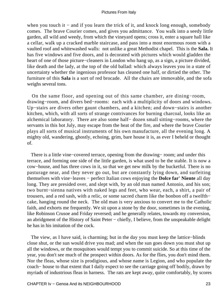when you touch it − and if you learn the trick of it, and knock long enough, somebody comes. The brave Courier comes, and gives you admittance. You walk into a seedy little garden, all wild and weedy, from which the vineyard opens; cross it, enter a square hall like a cellar, walk up a cracked marble staircase, and pass into a most enormous room with a vaulted roof and whitewashed walls: not unlike a great Methodist chapel. This is the **Sala.** It has five windows and five doors, and is decorated with pictures which would gladden the heart of one of those picture−cleaners in London who hang up, as a sign, a picture divided, like death and the lady, at the top of the old ballad: which always leaves you in a state of uncertainty whether the ingenious professor has cleaned one half, or dirtied the other. The furniture of this **Sala** is a sort of red brocade. All the chairs are immovable, and the sofa weighs several tons.

 On the same floor, and opening out of this same chamber, are dining−room, drawing−room, and divers bed−rooms: each with a multiplicity of doors and windows. Up−stairs are divers other gaunt chambers, and a kitchen; and down−stairs is another kitchen, which, with all sorts of strange contrivances for burning charcoal, looks like an alchemical laboratory. There are also some half− dozen small sitting−rooms, where the servants in this hot July, may escape from the heat of the fire, and where the brave Courier plays all sorts of musical instruments of his own manufacture, all the evening long. A mighty old, wandering, ghostly, echoing, grim, bare house it is, as ever I beheld or thought of.

There is a little vine–covered terrace, opening from the drawing– room; and under this terrace, and forming one side of the little garden, is what used to be the stable. It is now a cow−house, and has three cows in it, so that we get new milk by the bucketful. There is no pasturage near, and they never go out, but are constantly lying down, and surfeiting themselves with vine−leaves − perfect Italian cows enjoying the **Dolce far' Niente** all day long. They are presided over, and slept with, by an old man named Antonio, and his son; two burnt−sienna natives with naked legs and feet, who wear, each, a shirt, a pair of trousers, and a red sash, with a relic, or some sacred charm like the bonbon off a twelfth− cake, hanging round the neck. The old man is very anxious to convert me to the Catholic faith, and exhorts me frequently. We sit upon a stone by the door, sometimes in the evening, like Robinson Crusoe and Friday reversed; and he generally relates, towards my conversion, an abridgment of the History of Saint Peter − chiefly, I believe, from the unspeakable delight he has in his imitation of the cock.

 The view, as I have said, is charming; but in the day you must keep the lattice−blinds close shut, or the sun would drive you mad; and when the sun goes down you must shut up all the windows, or the mosquitoes would tempt you to commit suicide. So at this time of the year, you don't see much of the prospect within doors. As for the flies, you don't mind them. Nor the fleas, whose size is prodigious, and whose name is Legion, and who populate the coach− house to that extent that I daily expect to see the carriage going off bodily, drawn by myriads of industrious fleas in harness. The rats are kept away, quite comfortably, by scores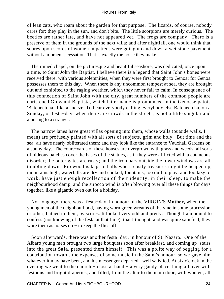of lean cats, who roam about the garden for that purpose. The lizards, of course, nobody cares for; they play in the sun, and don't bite. The little scorpions are merely curious. The beetles are rather late, and have not appeared yet. The frogs are company. There is a preserve of them in the grounds of the next villa; and after nightfall, one would think that scores upon scores of women in pattens were going up and down a wet stone pavement without a moment's cessation. That is exactly the noise they make.

 The ruined chapel, on the picturesque and beautiful seashore, was dedicated, once upon a time, to Saint John the Baptist. I believe there is a legend that Saint John's bones were received there, with various solemnities, when they were first brought to Genoa; for Genoa possesses them to this day. When there is any uncommon tempest at sea, they are brought out and exhibited to the raging weather, which they never fail to calm. In consequence of this connection of Saint John with the city, great numbers of the common people are christened Giovanni Baptista, which latter name is pronounced in the Genoese patois 'Batcheetcha,' like a sneeze. To hear everybody calling everybody else Batcheetcha, on a Sunday, or festa−day, when there are crowds in the streets, is not a little singular and amusing to a stranger.

 The narrow lanes have great villas opening into them, whose walls (outside walls, I mean) are profusely painted with all sorts of subjects, grim and holy. But time and the sea−air have nearly obliterated them; and they look like the entrance to Vauxhall Gardens on a sunny day. The court−yards of these houses are overgrown with grass and weeds; all sorts of hideous patches cover the bases of the statues, as if they were afflicted with a cutaneous disorder; the outer gates are rusty; and the iron bars outside the lower windows are all tumbling down. Firewood is kept in halls where costly treasures might be heaped up, mountains high; waterfalls are dry and choked; fountains, too dull to play, and too lazy to work, have just enough recollection of their identity, in their sleep, to make the neighbourhood damp; and the sirocco wind is often blowing over all these things for days together, like a gigantic oven out for a holiday.

 Not long ago, there was a festa−day, in honour of the VIRGIN'S **Mother,** when the young men of the neighbourhood, having worn green wreaths of the vine in some procession or other, bathed in them, by scores. It looked very odd and pretty. Though I am bound to confess (not knowing of the festa at that time), that I thought, and was quite satisfied, they wore them as horses do – to keep the flies off.

 Soon afterwards, there was another festa−day, in honour of St. Nazaro. One of the Albaro young men brought two large bouquets soon after breakfast, and coming up−stairs into the great **Sala,** presented them himself. This was a polite way of begging for a contribution towards the expenses of some music in the Saint's honour, so we gave him whatever it may have been, and his messenger departed: well satisfied. At six o'clock in the evening we went to the church − close at hand − a very gaudy place, hung all over with festoons and bright draperies, and filled, from the altar to the main door, with women, all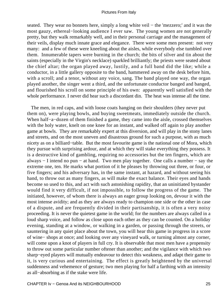seated. They wear no bonnets here, simply a long white veil – the 'mezzero;' and it was the most gauzy, ethereal−looking audience I ever saw. The young women are not generally pretty, but they walk remarkably well, and in their personal carriage and the management of their veils, display much innate grace and elegance. There were some men present: not very many: and a few of these were kneeling about the aisles, while everybody else tumbled over them. Innumerable tapers were burning in the church; the bits of silver and tin about the saints (especially in the Virgin's necklace) sparkled brilliantly; the priests were seated about the chief altar; the organ played away, lustily, and a full band did the like; while a conductor, in a little gallery opposite to the band, hammered away on the desk before him, with a scroll; and a tenor, without any voice, sang. The band played one way, the organ played another, the singer went a third, and the unfortunate conductor banged and banged, and flourished his scroll on some principle of his own: apparently well satisfied with the whole performance. I never did hear such a discordant din. The heat was intense all the time.

 The men, in red caps, and with loose coats hanging on their shoulders (they never put them on), were playing bowls, and buying sweetmeats, immediately outside the church. When half−a−dozen of them finished a game, they came into the aisle, crossed themselves with the holy water, knelt on one knee for an instant, and walked off again to play another game at bowls. They are remarkably expert at this diversion, and will play in the stony lanes and streets, and on the most uneven and disastrous ground for such a purpose, with as much nicety as on a billiard−table. But the most favourite game is the national one of Mora, which they pursue with surprising ardour, and at which they will stake everything they possess. It is a destructive kind of gambling, requiring no accessories but the ten fingers, which are always − I intend no pun − at hand. Two men play together. One calls a number − say the extreme one, ten. He marks what portion of it he pleases by throwing out three, or four, or five fingers; and his adversary has, in the same instant, at hazard, and without seeing his hand, to throw out as many fingers, as will make the exact balance. Their eyes and hands become so used to this, and act with such astonishing rapidity, that an uninitiated bystander would find it very difficult, if not impossible, to follow the progress of the game. The initiated, however, of whom there is always an eager group looking on, devour it with the most intense avidity; and as they are always ready to champion one side or the other in case of a dispute, and are frequently divided in their partisanship, it is often a very noisy proceeding. It is never the quietest game in the world; for the numbers are always called in a loud sharp voice, and follow as close upon each other as they can be counted. On a holiday evening, standing at a window, or walking in a garden, or passing through the streets, or sauntering in any quiet place about the town, you will hear this game in progress in a score of wine− shops at once; and looking over any vineyard walk, or turning almost any corner, will come upon a knot of players in full cry. It is observable that most men have a propensity to throw out some particular number oftener than another; and the vigilance with which two sharp−eyed players will mutually endeavour to detect this weakness, and adapt their game to it, is very curious and entertaining. The effect is greatly heightened by the universal suddenness and vehemence of gesture; two men playing for half a farthing with an intensity as all−absorbing as if the stake were life.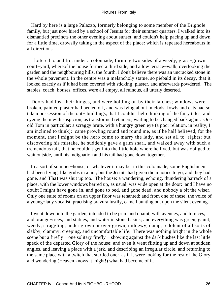Hard by here is a large Palazzo, formerly belonging to some member of the Brignole family, but just now hired by a school of Jesuits for their summer quarters. I walked into its dismantled precincts the other evening about sunset, and couldn't help pacing up and down for a little time, drowsily taking in the aspect of the place: which is repeated hereabouts in all directions.

 I loitered to and fro, under a colonnade, forming two sides of a weedy, grass−grown court−yard, whereof the house formed a third side, and a low terrace−walk, overlooking the garden and the neighbouring hills, the fourth. I don't believe there was an uncracked stone in the whole pavement. In the centre was a melancholy statue, so piebald in its decay, that it looked exactly as if it had been covered with sticking−plaster, and afterwards powdered. The stables, coach−houses, offices, were all empty, all ruinous, all utterly deserted.

 Doors had lost their hinges, and were holding on by their latches; windows were broken, painted plaster had peeled off, and was lying about in clods; fowls and cats had so taken possession of the out− buildings, that I couldn't help thinking of the fairy tales, and eyeing them with suspicion, as transformed retainers, waiting to be changed back again. One old Tom in particular: a scraggy brute, with a hungry green eye (a poor relation, in reality, I am inclined to think): came prowling round and round me, as if he half believed, for the moment, that I might be the hero come to marry the lady, and set all to−rights; but discovering his mistake, he suddenly gave a grim snarl, and walked away with such a tremendous tail, that he couldn't get into the little hole where he lived, but was obliged to wait outside, until his indignation and his tail had gone down together.

 In a sort of summer−house, or whatever it may be, in this colonnade, some Englishmen had been living, like grubs in a nut; but the Jesuits had given them notice to go, and they had gone, and **That** was shut up too. The house: a wandering, echoing, thundering barrack of a place, with the lower windows barred up, as usual, was wide open at the door: and I have no doubt I might have gone in, and gone to bed, and gone dead, and nobody a bit the wiser. Only one suite of rooms on an upper floor was tenanted; and from one of these, the voice of a young−lady vocalist, practising bravura lustily, came flaunting out upon the silent evening.

 I went down into the garden, intended to be prim and quaint, with avenues, and terraces, and orange−trees, and statues, and water in stone basins; and everything was green, gaunt, weedy, straggling, under grown or over grown, mildewy, damp, redolent of all sorts of slabby, clammy, creeping, and uncomfortable life. There was nothing bright in the whole scene but a firefly – one solitary firefly – showing against the dark bushes like the last little speck of the departed Glory of the house; and even it went flitting up and down at sudden angles, and leaving a place with a jerk, and describing an irregular circle, and returning to the same place with a twitch that startled one: as if it were looking for the rest of the Glory, and wondering (Heaven knows it might!) what had become of it.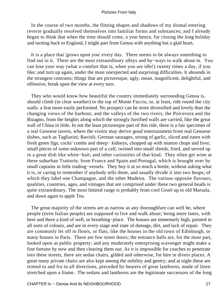In the course of two months, the flitting shapes and shadows of my dismal entering reverie gradually resolved themselves into familiar forms and substances; and I already began to think that when the time should come, a year hence, for closing the long holiday and turning back to England, I might part from Genoa with anything but a glad heart.

 It is a place that 'grows upon you' every day. There seems to be always something to find out in it. There are the most extraordinary alleys and by−ways to walk about in. You can lose your way (what a comfort that is, when you are idle!) twenty times a day, if you like; and turn up again, under the most unexpected and surprising difficulties. It abounds in the strangest contrasts; things that are picturesque, ugly, mean, magnificent, delightful, and offensive, break upon the view at every turn.

 They who would know how beautiful the country immediately surrounding Genoa is, should climb (in clear weather) to the top of Monte Faccio, or, at least, ride round the city walls: a feat more easily performed. No prospect can be more diversified and lovely than the changing views of the harbour, and the valleys of the two rivers, the Polcevera and the Bizagno, from the heights along which the strongly fortified walls are carried, like the great wall of China in little. In not the least picturesque part of this ride, there is a fair specimen of a real Genoese tavern, where the visitor may derive good entertainment from real Genoese dishes, such as Tagliarini; Ravioli; German sausages, strong of garlic, sliced and eaten with fresh green figs; cocks' combs and sheep– kidneys, chopped up with mutton chops and liver; small pieces of some unknown part of a calf, twisted into small shreds, fried, and served up in a great dish like white−bait; and other curiosities of that kind. They often get wine at these suburban Trattorie, from France and Spain and Portugal, which is brought over by small captains in little trading–vessels. They buy it at so much a bottle, without asking what it is, or caring to remember if anybody tells them, and usually divide it into two heaps; of which they label one Champagne, and the other Madeira. The various opposite flavours, qualities, countries, ages, and vintages that are comprised under these two general heads is quite extraordinary. The most limited range is probably from cool Gruel up to old Marsala, and down again to apple Tea.

 The great majority of the streets are as narrow as any thoroughfare can well be, where people (even Italian people) are supposed to live and walk about; being mere lanes, with here and there a kind of well, or breathing−place. The houses are immensely high, painted in all sorts of colours, and are in every stage and state of damage, dirt, and lack of repair. They are commonly let off in floors, or flats, like the houses in the old town of Edinburgh, or many houses in Paris. There are few street doors; the entrance halls are, for the most part, looked upon as public property; and any moderately enterprising scavenger might make a fine fortune by now and then clearing them out. As it is impossible for coaches to penetrate into these streets, there are sedan chairs, gilded and otherwise, for hire in divers places. A great many private chairs are also kept among the nobility and gentry; and at night these are trotted to and fro in all directions, preceded by bearers of great lanthorns, made of linen stretched upon a frame. The sedans and lanthorns are the legitimate successors of the long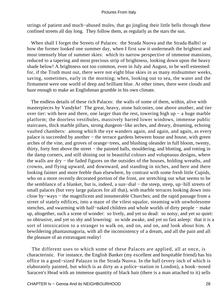strings of patient and much−abused mules, that go jingling their little bells through these confined streets all day long. They follow them, as regularly as the stars the sun.

 When shall I forget the Streets of Palaces: the Strada Nuova and the Strada Balbi! or how the former looked one summer day, when I first saw it underneath the brightest and most intensely blue of summer skies: which its narrow perspective of immense mansions, reduced to a tapering and most precious strip of brightness, looking down upon the heavy shade below! A brightness not too common, even in July and August, to be well esteemed: for, if the Truth must out, there were not eight blue skies in as many midsummer weeks, saving, sometimes, early in the morning; when, looking out to sea, the water and the firmament were one world of deep and brilliant blue. At other times, there were clouds and haze enough to make an Englishman grumble in his own climate.

 The endless details of these rich Palaces: the walls of some of them, within, alive with masterpieces by Vandyke! The great, heavy, stone balconies, one above another, and tier over tier: with here and there, one larger than the rest, towering high up − a huge marble platform; the doorless vestibules, massively barred lower windows, immense public staircases, thick marble pillars, strong dungeon−like arches, and dreary, dreaming, echoing vaulted chambers: among which the eye wanders again, and again, and again, as every palace is succeeded by another – the terrace gardens between house and house, with green arches of the vine, and groves of orange−trees, and blushing oleander in full bloom, twenty, thirty, forty feet above the street − the painted halls, mouldering, and blotting, and rotting in the damp corners, and still shining out in beautiful colours and voluptuous designs, where the walls are dry − the faded figures on the outsides of the houses, holding wreaths, and crowns, and flying upward, and downward, and standing in niches, and here and there looking fainter and more feeble than elsewhere, by contrast with some fresh little Cupids, who on a more recently decorated portion of the front, are stretching out what seems to be the semblance of a blanket, but is, indeed, a sun−dial − the steep, steep, up−hill streets of small palaces (but very large palaces for all that), with marble terraces looking down into close by−ways − the magnificent and innumerable Churches; and the rapid passage from a street of stately edifices, into a maze of the vilest squalor, steaming with unwholesome stenches, and swarming with half−naked children and whole worlds of dirty people − make up, altogether, such a scene of wonder: so lively, and yet so dead: so noisy, and yet so quiet: so obtrusive, and yet so shy and lowering: so wide awake, and yet so fast asleep: that it is a sort of intoxication to a stranger to walk on, and on, and on, and look about him. A bewildering phantasmagoria, with all the inconsistency of a dream, and all the pain and all the pleasure of an extravagant reality!

 The different uses to which some of these Palaces are applied, all at once, is characteristic. For instance, the English Banker (my excellent and hospitable friend) has his office in a good−sized Palazzo in the Strada Nuova. In the hall (every inch of which is elaborately painted, but which is as dirty as a police−station in London), a hook−nosed Saracen's Head with an immense quantity of black hair (there is a man attached to it) sells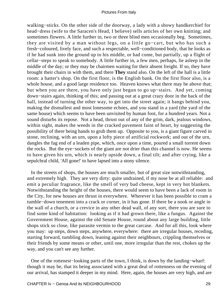walking−sticks. On the other side of the doorway, a lady with a showy handkerchief for head−dress (wife to the Saracen's Head, I believe) sells articles of her own knitting; and sometimes flowers. A little further in, two or three blind men occasionally beg. Sometimes, they are visited by a man without legs, on a little go−cart, but who has such a fresh−coloured, lively face, and such a respectable, well−conditioned body, that he looks as if he had sunk into the ground up to his middle, or had come, but partially, up a flight of cellar−steps to speak to somebody. A little further in, a few men, perhaps, lie asleep in the middle of the day; or they may be chairmen waiting for their absent freight. If so, they have brought their chairs in with them, and there **They** stand also. On the left of the hall is a little room: a hatter's shop. On the first floor, is the English bank. On the first floor also, is a whole house, and a good large residence too. Heaven knows what there may be above that; but when you are there, you have only just begun to go up−stairs. And yet, coming down−stairs again, thinking of this; and passing out at a great crazy door in the back of the hall, instead of turning the other way, to get into the street again; it bangs behind you, making the dismallest and most lonesome echoes, and you stand in a yard (the yard of the same house) which seems to have been unvisited by human foot, for a hundred years. Not a sound disturbs its repose. Not a head, thrust out of any of the grim, dark, jealous windows, within sight, makes the weeds in the cracked pavement faint of heart, by suggesting the possibility of there being hands to grub them up. Opposite to you, is a giant figure carved in stone, reclining, with an urn, upon a lofty piece of artificial rockwork; and out of the urn, dangles the fag end of a leaden pipe, which, once upon a time, poured a small torrent down the rocks. But the eye−sockets of the giant are not drier than this channel is now. He seems to have given his urn, which is nearly upside down, a final tilt; and after crying, like a sepulchral child, 'All gone!' to have lapsed into a stony silence.

 In the streets of shops, the houses are much smaller, but of great size notwithstanding, and extremely high. They are very dirty: quite undrained, if my nose be at all reliable: and emit a peculiar fragrance, like the smell of very bad cheese, kept in very hot blankets. Notwithstanding the height of the houses, there would seem to have been a lack of room in the City, for new houses are thrust in everywhere. Wherever it has been possible to cram a tumble−down tenement into a crack or corner, in it has gone. If there be a nook or angle in the wall of a church, or a crevice in any other dead wall, of any sort, there you are sure to find some kind of habitation: looking as if it had grown there, like a fungus. Against the Government House, against the old Senate House, round about any large building, little shops stick so close, like parasite vermin to the great carcase. And for all this, look where you may: up steps, down steps, anywhere, everywhere: there are irregular houses, receding, starting forward, tumbling down, leaning against their neighbours, crippling themselves or their friends by some means or other, until one, more irregular than the rest, chokes up the way, and you can't see any further.

 One of the rottenest−looking parts of the town, I think, is down by the landing−wharf: though it may be, that its being associated with a great deal of rottenness on the evening of our arrival, has stamped it deeper in my mind. Here, again, the houses are very high, and are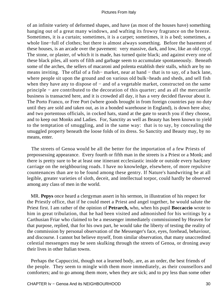of an infinite variety of deformed shapes, and have (as most of the houses have) something hanging out of a great many windows, and wafting its frowsy fragrance on the breeze. Sometimes, it is a curtain; sometimes, it is a carpet; sometimes, it is a bed; sometimes, a whole line−full of clothes; but there is almost always something. Before the basement of these houses, is an arcade over the pavement: very massive, dark, and low, like an old crypt. The stone, or plaster, of which it is made, has turned quite black; and against every one of these black piles, all sorts of filth and garbage seem to accumulate spontaneously. Beneath some of the arches, the sellers of macaroni and polenta establish their stalls, which are by no means inviting. The offal of a fish– market, near at hand – that is to say, of a back lane, where people sit upon the ground and on various old bulk−heads and sheds, and sell fish when they have any to dispose of – and of a vegetable market, constructed on the same principle − are contributed to the decoration of this quarter; and as all the mercantile business is transacted here, and it is crowded all day, it has a very decided flavour about it. The Porto Franco, or Free Port (where goods brought in from foreign countries pay no duty until they are sold and taken out, as in a bonded warehouse in England), is down here also; and two portentous officials, in cocked hats, stand at the gate to search you if they choose, and to keep out Monks and Ladies. For, Sanctity as well as Beauty has been known to yield to the temptation of smuggling, and in the same way: that is to say, by concealing the smuggled property beneath the loose folds of its dress. So Sanctity and Beauty may, by no means, enter.

 The streets of Genoa would be all the better for the importation of a few Priests of prepossessing appearance. Every fourth or fifth man in the streets is a Priest or a Monk; and there is pretty sure to be at least one itinerant ecclesiastic inside or outside every hackney carriage on the neighbouring roads. I have no knowledge, elsewhere, of more repulsive countenances than are to be found among these gentry. If Nature's handwriting be at all legible, greater varieties of sloth, deceit, and intellectual torpor, could hardly be observed among any class of men in the world.

 MR. **Pepys** once heard a clergyman assert in his sermon, in illustration of his respect for the Priestly office, that if he could meet a Priest and angel together, he would salute the Priest first. I am rather of the opinion of **Petrarch,** who, when his pupil **Boccaccio** wrote to him in great tribulation, that he had been visited and admonished for his writings by a Carthusian Friar who claimed to be a messenger immediately commissioned by Heaven for that purpose, replied, that for his own part, he would take the liberty of testing the reality of the commission by personal observation of the Messenger's face, eyes, forehead, behaviour, and discourse. I cannot but believe myself, from similar observation, that many unaccredited celestial messengers may be seen skulking through the streets of Genoa, or droning away their lives in other Italian towns.

 Perhaps the Cappuccini, though not a learned body, are, as an order, the best friends of the people. They seem to mingle with them more immediately, as their counsellors and comforters; and to go among them more, when they are sick; and to pry less than some other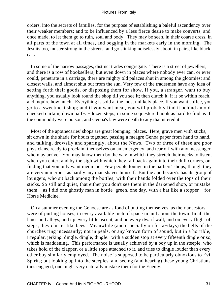orders, into the secrets of families, for the purpose of establishing a baleful ascendency over their weaker members; and to be influenced by a less fierce desire to make converts, and once made, to let them go to ruin, soul and body. They may be seen, in their coarse dress, in all parts of the town at all times, and begging in the markets early in the morning. The Jesuits too, muster strong in the streets, and go slinking noiselessly about, in pairs, like black cats.

 In some of the narrow passages, distinct trades congregate. There is a street of jewellers, and there is a row of booksellers; but even down in places where nobody ever can, or ever could, penetrate in a carriage, there are mighty old palaces shut in among the gloomiest and closest walls, and almost shut out from the sun. Very few of the tradesmen have any idea of setting forth their goods, or disposing them for show. If you, a stranger, want to buy anything, you usually look round the shop till you see it; then clutch it, if it be within reach, and inquire how much. Everything is sold at the most unlikely place. If you want coffee, you go to a sweetmeat shop; and if you want meat, you will probably find it behind an old checked curtain, down half−a−dozen steps, in some sequestered nook as hard to find as if the commodity were poison, and Genoa's law were death to any that uttered it.

 Most of the apothecaries' shops are great lounging−places. Here, grave men with sticks, sit down in the shade for hours together, passing a meagre Genoa paper from hand to hand, and talking, drowsily and sparingly, about the News. Two or three of these are poor physicians, ready to proclaim themselves on an emergency, and tear off with any messenger who may arrive. You may know them by the way in which they stretch their necks to listen, when you enter; and by the sigh with which they fall back again into their dull corners, on finding that you only want medicine. Few people lounge in the barbers' shops; though they are very numerous, as hardly any man shaves himself. But the apothecary's has its group of loungers, who sit back among the bottles, with their hands folded over the tops of their sticks. So still and quiet, that either you don't see them in the darkened shop, or mistake them − as I did one ghostly man in bottle−green, one day, with a hat like a stopper − for Horse Medicine.

 On a summer evening the Genoese are as fond of putting themselves, as their ancestors were of putting houses, in every available inch of space in and about the town. In all the lanes and alleys, and up every little ascent, and on every dwarf wall, and on every flight of steps, they cluster like bees. Meanwhile (and especially on festa−days) the bells of the churches ring incessantly; not in peals, or any known form of sound, but in a horrible, irregular, jerking, dingle, dingle, dingle: with a sudden stop at every fifteenth dingle or so, which is maddening. This performance is usually achieved by a boy up in the steeple, who takes hold of the clapper, or a little rope attached to it, and tries to dingle louder than every other boy similarly employed. The noise is supposed to be particularly obnoxious to Evil Spirits; but looking up into the steeples, and seeing (and hearing) these young Christians thus engaged, one might very naturally mistake them for the Enemy.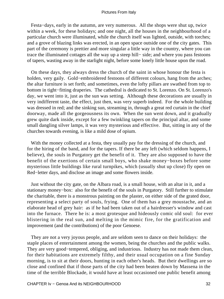Festa−days, early in the autumn, are very numerous. All the shops were shut up, twice within a week, for these holidays; and one night, all the houses in the neighbourhood of a particular church were illuminated, while the church itself was lighted, outside, with torches; and a grove of blazing links was erected, in an open space outside one of the city gates. This part of the ceremony is prettier and more singular a little way in the country, where you can trace the illuminated cottages all the way up a steep hill− side; and where you pass festoons of tapers, wasting away in the starlight night, before some lonely little house upon the road.

 On these days, they always dress the church of the saint in whose honour the festa is holden, very gaily. Gold−embroidered festoons of different colours, hang from the arches; the altar furniture is set forth; and sometimes, even the lofty pillars are swathed from top to bottom in tight−fitting draperies. The cathedral is dedicated to St. Lorenzo. On St. Lorenzo's day, we went into it, just as the sun was setting. Although these decorations are usually in very indifferent taste, the effect, just then, was very superb indeed. For the whole building was dressed in red; and the sinking sun, streaming in, through a great red curtain in the chief doorway, made all the gorgeousness its own. When the sun went down, and it gradually grew quite dark inside, except for a few twinkling tapers on the principal altar, and some small dangling silver lamps, it was very mysterious and effective. But, sitting in any of the churches towards evening, is like a mild dose of opium.

 With the money collected at a festa, they usually pay for the dressing of the church, and for the hiring of the band, and for the tapers. If there be any left (which seldom happens, I believe), the souls in Purgatory get the benefit of it. They are also supposed to have the benefit of the exertions of certain small boys, who shake money−boxes before some mysterious little buildings like rural turnpikes, which (usually shut up close) fly open on Red−letter days, and disclose an image and some flowers inside.

 Just without the city gate, on the Albara road, is a small house, with an altar in it, and a stationary money−box: also for the benefit of the souls in Purgatory. Still further to stimulate the charitable, there is a monstrous painting on the plaster, on either side of the grated door, representing a select party of souls, frying. One of them has a grey moustache, and an elaborate head of grey hair: as if he had been taken out of a hairdresser's window and cast into the furnace. There he is: a most grotesque and hideously comic old soul: for ever blistering in the real sun, and melting in the mimic fire, for the gratification and improvement (and the contributions) of the poor Genoese.

 They are not a very joyous people, and are seldom seen to dance on their holidays: the staple places of entertainment among the women, being the churches and the public walks. They are very good−tempered, obliging, and industrious. Industry has not made them clean, for their habitations are extremely filthy, and their usual occupation on a fine Sunday morning, is to sit at their doors, hunting in each other's heads. But their dwellings are so close and confined that if those parts of the city had been beaten down by Massena in the time of the terrible Blockade, it would have at least occasioned one public benefit among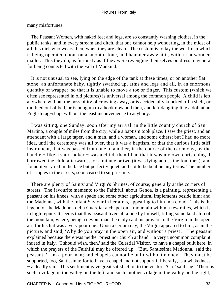many misfortunes.

 The Peasant Women, with naked feet and legs, are so constantly washing clothes, in the public tanks, and in every stream and ditch, that one cannot help wondering, in the midst of all this dirt, who wears them when they are clean. The custom is to lay the wet linen which is being operated upon, on a smooth stone, and hammer away at it, with a flat wooden mallet. This they do, as furiously as if they were revenging themselves on dress in general for being connected with the Fall of Mankind.

 It is not unusual to see, lying on the edge of the tank at these times, or on another flat stone, an unfortunate baby, tightly swathed up, arms and legs and all, in an enormous quantity of wrapper, so that it is unable to move a toe or finger. This custom (which we often see represented in old pictures) is universal among the common people. A child is left anywhere without the possibility of crawling away, or is accidentally knocked off a shelf, or tumbled out of bed, or is hung up to a hook now and then, and left dangling like a doll at an English rag−shop, without the least inconvenience to anybody.

 I was sitting, one Sunday, soon after my arrival, in the little country church of San Martino, a couple of miles from the city, while a baptism took place. I saw the priest, and an attendant with a large taper, and a man, and a woman, and some others; but I had no more idea, until the ceremony was all over, that it was a baptism, or that the curious little stiff instrument, that was passed from one to another, in the course of the ceremony, by the handle − like a short poker − was a child, than I had that it was my own christening. I borrowed the child afterwards, for a minute or two (it was lying across the font then), and found it very red in the face but perfectly quiet, and not to be bent on any terms. The number of cripples in the streets, soon ceased to surprise me.

 There are plenty of Saints' and Virgin's Shrines, of course; generally at the corners of streets. The favourite memento to the Faithful, about Genoa, is a painting, representing a peasant on his knees, with a spade and some other agricultural implements beside him; and the Madonna, with the Infant Saviour in her arms, appearing to him in a cloud. This is the legend of the Madonna della Guardia: a chapel on a mountain within a few miles, which is in high repute. It seems that this peasant lived all alone by himself, tilling some land atop of the mountain, where, being a devout man, he daily said his prayers to the Virgin in the open air; for his hut was a very poor one. Upon a certain day, the Virgin appeared to him, as in the picture, and said, 'Why do you pray in the open air, and without a priest?' The peasant explained because there was neither priest nor church at hand − a very uncommon complaint indeed in Italy. 'I should wish, then,' said the Celestial Visitor, 'to have a chapel built here, in which the prayers of the Faithful may be offered up.' 'But, Santissima Madonna,' said the peasant, 'I am a poor man; and chapels cannot be built without money. They must be supported, too, Santissima; for to have a chapel and not support it liberally, is a wickedness − a deadly sin.' This sentiment gave great satisfaction to the visitor. 'Go!' said she. 'There is such a village in the valley on the left, and such another village in the valley on the right,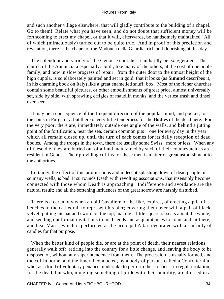and such another village elsewhere, that will gladly contribute to the building of a chapel. Go to them! Relate what you have seen; and do not doubt that sufficient money will be forthcoming to erect my chapel, or that it will, afterwards, be handsomely maintained.' All of which (miraculously) turned out to be quite true. And in proof of this prediction and revelation, there is the chapel of the Madonna della Guardia, rich and flourishing at this day.

 The splendour and variety of the Genoese churches, can hardly be exaggerated. The church of the Annunciata especially: built, like many of the others, at the cost of one noble family, and now in slow progress of repair: from the outer door to the utmost height of the high cupola, is so elaborately painted and set in gold, that it looks (as **Simond** describes it, in his charming book on Italy) like a great enamelled snuff−box. Most of the richer churches contain some beautiful pictures, or other embellishments of great price, almost universally set, side by side, with sprawling effigies of maudlin monks, and the veriest trash and tinsel ever seen.

 It may be a consequence of the frequent direction of the popular mind, and pocket, to the souls in Purgatory, but there is very little tenderness for the **Bodies** of the dead here. For the very poor, there are, immediately outside one angle of the walls, and behind a jutting point of the fortification, near the sea, certain common pits – one for every day in the year – which all remain closed up, until the turn of each comes for its daily reception of dead bodies. Among the troops in the town, there are usually some Swiss: more or less. When any of these die, they are buried out of a fund maintained by such of their countrymen as are resident in Genoa. Their providing coffins for these men is matter of great astonishment to the authorities.

 Certainly, the effect of this promiscuous and indecent splashing down of dead people in so many wells, is bad. It surrounds Death with revolting associations, that insensibly become connected with those whom Death is approaching. Indifference and avoidance are the natural result; and all the softening influences of the great sorrow are harshly disturbed.

 There is a ceremony when an old Cavaliere or the like, expires, of erecting a pile of benches in the cathedral, to represent his bier; covering them over with a pall of black velvet; putting his hat and sword on the top; making a little square of seats about the whole; and sending out formal invitations to his friends and acquaintances to come and sit there, and hear Mass: which is performed at the principal Altar, decorated with an infinity of candles for that purpose.

 When the better kind of people die, or are at the point of death, their nearest relations generally walk off: retiring into the country for a little change, and leaving the body to be disposed of, without any superintendence from them. The procession is usually formed, and the coffin borne, and the funeral conducted, by a body of persons called a Confraternita, who, as a kind of voluntary penance, undertake to perform these offices, in regular rotation, for the dead; but who, mingling something of pride with their humility, are dressed in a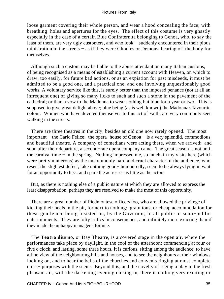loose garment covering their whole person, and wear a hood concealing the face; with breathing−holes and apertures for the eyes. The effect of this costume is very ghastly: especially in the case of a certain Blue Confraternita belonging to Genoa, who, to say the least of them, are very ugly customers, and who look − suddenly encountered in their pious ministration in the streets − as if they were Ghoules or Demons, bearing off the body for themselves.

 Although such a custom may be liable to the abuse attendant on many Italian customs, of being recognised as a means of establishing a current account with Heaven, on which to draw, too easily, for future bad actions, or as an expiation for past misdeeds, it must be admitted to be a good one, and a practical one, and one involving unquestionably good works. A voluntary service like this, is surely better than the imposed penance (not at all an infrequent one) of giving so many licks to such and such a stone in the pavement of the cathedral; or than a vow to the Madonna to wear nothing but blue for a year or two. This is supposed to give great delight above; blue being (as is well known) the Madonna's favourite colour. Women who have devoted themselves to this act of Faith, are very commonly seen walking in the streets.

 There are three theatres in the city, besides an old one now rarely opened. The most important − the Carlo Felice: the opera−house of Genoa − is a very splendid, commodious, and beautiful theatre. A company of comedians were acting there, when we arrived: and soon after their departure, a second−rate opera company came. The great season is not until the carnival time − in the spring. Nothing impressed me, so much, in my visits here (which were pretty numerous) as the uncommonly hard and cruel character of the audience, who resent the slightest defect, take nothing good− humouredly, seem to be always lying in wait for an opportunity to hiss, and spare the actresses as little as the actors.

 But, as there is nothing else of a public nature at which they are allowed to express the least disapprobation, perhaps they are resolved to make the most of this opportunity.

 There are a great number of Piedmontese officers too, who are allowed the privilege of kicking their heels in the pit, for next to nothing: gratuitous, or cheap accommodation for these gentlemen being insisted on, by the Governor, in all public or semi−public entertainments. They are lofty critics in consequence, and infinitely more exacting than if they made the unhappy manager's fortune.

 The **Teatro diurno,** or Day Theatre, is a covered stage in the open air, where the performances take place by daylight, in the cool of the afternoon; commencing at four or five o'clock, and lasting, some three hours. It is curious, sitting among the audience, to have a fine view of the neighbouring hills and houses, and to see the neighbours at their windows looking on, and to hear the bells of the churches and convents ringing at most complete cross− purposes with the scene. Beyond this, and the novelty of seeing a play in the fresh pleasant air, with the darkening evening closing in, there is nothing very exciting or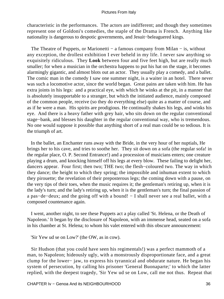characteristic in the performances. The actors are indifferent; and though they sometimes represent one of Goldoni's comedies, the staple of the Drama is French. Anything like nationality is dangerous to despotic governments, and Jesuit−beleaguered kings.

The Theatre of Puppets, or Marionetti – a famous company from Milan – is, without any exception, the drollest exhibition I ever beheld in my life. I never saw anything so exquisitely ridiculous. They **Look** between four and five feet high, but are really much smaller; for when a musician in the orchestra happens to put his hat on the stage, it becomes alarmingly gigantic, and almost blots out an actor. They usually play a comedy, and a ballet. The comic man in the comedy I saw one summer night, is a waiter in an hotel. There never was such a locomotive actor, since the world began. Great pains are taken with him. He has extra joints in his legs: and a practical eye, with which he winks at the pit, in a manner that is absolutely insupportable to a stranger, but which the initiated audience, mainly composed of the common people, receive (so they do everything else) quite as a matter of course, and as if he were a man. His spirits are prodigious. He continually shakes his legs, and winks his eye. And there is a heavy father with grey hair, who sits down on the regular conventional stage−bank, and blesses his daughter in the regular conventional way, who is tremendous. No one would suppose it possible that anything short of a real man could be so tedious. It is the triumph of art.

 In the ballet, an Enchanter runs away with the Bride, in the very hour of her nuptials, He brings her to his cave, and tries to soothe her. They sit down on a sofa (the regular sofa! in the regular place, O. P. Second Entrance!) and a procession of musicians enters; one creature playing a drum, and knocking himself off his legs at every blow. These failing to delight her, dancers appear. Four first; then two; THE two; the flesh−coloured two. The way in which they dance; the height to which they spring; the impossible and inhuman extent to which they pirouette; the revelation of their preposterous legs; the coming down with a pause, on the very tips of their toes, when the music requires it; the gentleman's retiring up, when it is the lady's turn; and the lady's retiring up, when it is the gentleman's turn; the final passion of a pas−de−deux; and the going off with a bound! − I shall never see a real ballet, with a composed countenance again.

 I went, another night, to see these Puppets act a play called 'St. Helena, or the Death of Napoleon.' It began by the disclosure of Napoleon, with an immense head, seated on a sofa in his chamber at St. Helena; to whom his valet entered with this obscure announcement:

'Sir Yew ud se on Low?' (the OW, as in cow).

 Sir Hudson (that you could have seen his regimentals!) was a perfect mammoth of a man, to Napoleon; hideously ugly, with a monstrously disproportionate face, and a great clump for the lower− jaw, to express his tyrannical and obdurate nature. He began his system of persecution, by calling his prisoner 'General Buonaparte;' to which the latter replied, with the deepest tragedy, 'Sir Yew ud se on Low, call me not thus. Repeat that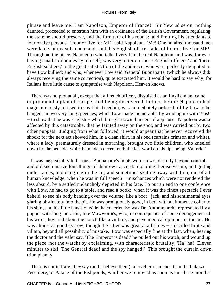phrase and leave me! I am Napoleon, Emperor of France!' Sir Yew ud se on, nothing daunted, proceeded to entertain him with an ordinance of the British Government, regulating the state he should preserve, and the furniture of his rooms: and limiting his attendants to four or five persons. 'Four or five for ME!' said Napoleon. 'Me! One hundred thousand men were lately at my sole command; and this English officer talks of four or five for ME!' Throughout the piece, Napoleon (who talked very like the real Napoleon, and was, for ever, having small soliloquies by himself) was very bitter on 'these English officers,' and 'these English soldiers;' to the great satisfaction of the audience, who were perfectly delighted to have Low bullied; and who, whenever Low said 'General Buonaparte' (which he always did: always receiving the same correction), quite execrated him. It would be hard to say why; for Italians have little cause to sympathise with Napoleon, Heaven knows.

 There was no plot at all, except that a French officer, disguised as an Englishman, came to propound a plan of escape; and being discovered, but not before Napoleon had magnanimously refused to steal his freedom, was immediately ordered off by Low to be hanged. In two very long speeches, which Low made memorable, by winding up with 'Yas!' − to show that he was English − which brought down thunders of applause. Napoleon was so affected by this catastrophe, that he fainted away on the spot, and was carried out by two other puppets. Judging from what followed, it would appear that he never recovered the shock; for the next act showed him, in a clean shirt, in his bed (curtains crimson and white), where a lady, prematurely dressed in mourning, brought two little children, who kneeled down by the bedside, while he made a decent end; the last word on his lips being 'Vatterlo.'

 It was unspeakably ludicrous. Buonaparte's boots were so wonderfully beyond control, and did such marvellous things of their own accord: doubling themselves up, and getting under tables, and dangling in the air, and sometimes skating away with him, out of all human knowledge, when he was in full speech − mischances which were not rendered the less absurd, by a settled melancholy depicted in his face. To put an end to one conference with Low, he had to go to a table, and read a book: when it was the finest spectacle I ever beheld, to see his body bending over the volume, like a boot− jack, and his sentimental eyes glaring obstinately into the pit. He was prodigiously good, in bed, with an immense collar to his shirt, and his little hands outside the coverlet. So was Dr. Antommarchi, represented by a puppet with long lank hair, like Mawworm's, who, in consequence of some derangement of his wires, hovered about the couch like a vulture, and gave medical opinions in the air. He was almost as good as Low, though the latter was great at all times – a decided brute and villain, beyond all possibility of mistake. Low was especially fine at the last, when, hearing the doctor and the valet say, 'The Emperor is dead!' he pulled out his watch, and wound up the piece (not the watch) by exclaiming, with characteristic brutality, 'Ha! ha! Eleven minutes to six! The General dead! and the spy hanged!' This brought the curtain down, triumphantly.

 There is not in Italy, they say (and I believe them), a lovelier residence than the Palazzo Peschiere, or Palace of the Fishponds, whither we removed as soon as our three months'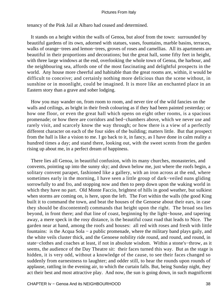tenancy of the Pink Jail at Albaro had ceased and determined.

 It stands on a height within the walls of Genoa, but aloof from the town: surrounded by beautiful gardens of its own, adorned with statues, vases, fountains, marble basins, terraces, walks of orange−trees and lemon−trees, groves of roses and camellias. All its apartments are beautiful in their proportions and decorations; but the great hall, some fifty feet in height, with three large windows at the end, overlooking the whole town of Genoa, the harbour, and the neighbouring sea, affords one of the most fascinating and delightful prospects in the world. Any house more cheerful and habitable than the great rooms are, within, it would be difficult to conceive; and certainly nothing more delicious than the scene without, in sunshine or in moonlight, could be imagined. It is more like an enchanted place in an Eastern story than a grave and sober lodging.

 How you may wander on, from room to room, and never tire of the wild fancies on the walls and ceilings, as bright in their fresh colouring as if they had been painted yesterday; or how one floor, or even the great hall which opens on eight other rooms, is a spacious promenade; or how there are corridors and bed−chambers above, which we never use and rarely visit, and scarcely know the way through; or how there is a view of a perfectly different character on each of the four sides of the building; matters little. But that prospect from the hall is like a vision to me. I go back to it, in fancy, as I have done in calm reality a hundred times a day; and stand there, looking out, with the sweet scents from the garden rising up about me, in a perfect dream of happiness.

 There lies all Genoa, in beautiful confusion, with its many churches, monasteries, and convents, pointing up into the sunny sky; and down below me, just where the roofs begin, a solitary convent parapet, fashioned like a gallery, with an iron across at the end, where sometimes early in the morning, I have seen a little group of dark−veiled nuns gliding sorrowfully to and fro, and stopping now and then to peep down upon the waking world in which they have no part. Old Monte Faccio, brightest of hills in good weather, but sulkiest when storms are coming on, is here, upon the left. The Fort within the walls (the good King built it to command the town, and beat the houses of the Genoese about their ears, in case they should be discontented) commands that height upon the right. The broad sea lies beyond, in front there; and that line of coast, beginning by the light−house, and tapering away, a mere speck in the rosy distance, is the beautiful coast road that leads to Nice. The garden near at hand, among the roofs and houses: all red with roses and fresh with little fountains: is the Acqua Sola − a public promenade, where the military band plays gaily, and the white veils cluster thick, and the Genoese nobility ride round, and round, and round, in state−clothes and coaches at least, if not in absolute wisdom. Within a stone's−throw, as it seems, the audience of the Day Theatre sit: their faces turned this way. But as the stage is hidden, it is very odd, without a knowledge of the cause, to see their faces changed so suddenly from earnestness to laughter; and odder still, to hear the rounds upon rounds of applause, rattling in the evening air, to which the curtain falls. But, being Sunday night, they act their best and most attractive play. And now, the sun is going down, in such magnificent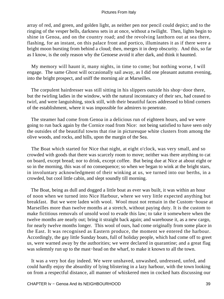array of red, and green, and golden light, as neither pen nor pencil could depict; and to the ringing of the vesper bells, darkness sets in at once, without a twilight. Then, lights begin to shine in Genoa, and on the country road; and the revolving lanthorn out at sea there, flashing, for an instant, on this palace front and portico, illuminates it as if there were a bright moon bursting from behind a cloud; then, merges it in deep obscurity. And this, so far as I know, is the only reason why the Genoese avoid it after dark, and think it haunted.

 My memory will haunt it, many nights, in time to come; but nothing worse, I will engage. The same Ghost will occasionally sail away, as I did one pleasant autumn evening, into the bright prospect, and sniff the morning air at Marseilles.

The corpulent hairdresser was still sitting in his slippers outside his shop–door there, but the twirling ladies in the window, with the natural inconstancy of their sex, had ceased to twirl, and were languishing, stock still, with their beautiful faces addressed to blind corners of the establishment, where it was impossible for admirers to penetrate.

 The steamer had come from Genoa in a delicious run of eighteen hours, and we were going to run back again by the Cornice road from Nice: not being satisfied to have seen only the outsides of the beautiful towns that rise in picturesque white clusters from among the olive woods, and rocks, and hills, upon the margin of the Sea.

 The Boat which started for Nice that night, at eight o'clock, was very small, and so crowded with goods that there was scarcely room to move; neither was there anything to cat on board, except bread; nor to drink, except coffee. But being due at Nice at about eight or so in the morning, this was of no consequence; so when we began to wink at the bright stars, in involuntary acknowledgment of their winking at us, we turned into our berths, in a crowded, but cool little cabin, and slept soundly till morning.

 The Boat, being as dull and dogged a little boat as ever was built, it was within an hour of noon when we turned into Nice Harbour, where we very little expected anything but breakfast. But we were laden with wool. Wool must not remain in the Custom−house at Marseilles more than twelve months at a stretch, without paying duty. It is the custom to make fictitious removals of unsold wool to evade this law; to take it somewhere when the twelve months are nearly out; bring it straight back again; and warehouse it, as a new cargo, for nearly twelve months longer. This wool of ours, had come originally from some place in the East. It was recognised as Eastern produce, the moment we entered the harbour. Accordingly, the gay little Sunday boats, full of holiday people, which had come off to greet us, were warned away by the authorities; we were declared in quarantine; and a great flag was solemnly run up to the mast−head on the wharf, to make it known to all the town.

 It was a very hot day indeed. We were unshaved, unwashed, undressed, unfed, and could hardly enjoy the absurdity of lying blistering in a lazy harbour, with the town looking on from a respectful distance, all manner of whiskered men in cocked hats discussing our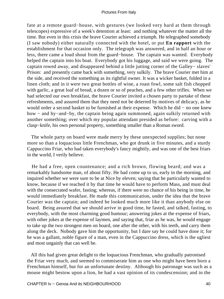fate at a remote guard−house, with gestures (we looked very hard at them through telescopes) expressive of a week's detention at least: and nothing whatever the matter all the time. But even in this crisis the brave Courier achieved a triumph. He telegraphed somebody (I saw nobody) either naturally connected with the hotel, or put **En rapport** with the establishment for that occasion only. The telegraph was answered, and in half an hour or less, there came a loud shout from the guard−house. The captain was wanted. Everybody helped the captain into his boat. Everybody got his luggage, and said we were going. The captain rowed away, and disappeared behind a little jutting corner of the Galley− slaves' Prison: and presently came back with something, very sulkily. The brave Courier met him at the side, and received the something as its rightful owner. It was a wicker basket, folded in a linen cloth; and in it were two great bottles of wine, a roast fowl, some salt fish chopped with garlic, a great loaf of bread, a dozen or so of peaches, and a few other trifles. When we had selected our own breakfast, the brave Courier invited a chosen party to partake of these refreshments, and assured them that they need not be deterred by motives of delicacy, as he would order a second basket to be furnished at their expense. Which he did − no one knew how − and by−and−by, the captain being again summoned, again sulkily returned with another something; over which my popular attendant presided as before: carving with a clasp−knife, his own personal property, something smaller than a Roman sword.

 The whole party on board were made merry by these unexpected supplies; but none more so than a loquacious little Frenchman, who got drunk in five minutes, and a sturdy Cappuccino Friar, who had taken everybody's fancy mightily, and was one of the best friars in the world, I verily believe.

 He had a free, open countenance; and a rich brown, flowing beard; and was a remarkably handsome man, of about fifty. He had come up to us, early in the morning, and inquired whether we were sure to be at Nice by eleven; saying that he particularly wanted to know, because if we reached it by that time he would have to perform Mass, and must deal with the consecrated wafer, fasting; whereas, if there were no chance of his being in time, he would immediately breakfast. He made this communication, under the idea that the brave Courier was the captain; and indeed he looked much more like it than anybody else on board. Being assured that we should arrive in good time, he fasted, and talked, fasting, to everybody, with the most charming good humour; answering jokes at the expense of friars, with other jokes at the expense of laymen, and saying that, friar as he was, he would engage to take up the two strongest men on board, one after the other, with his teeth, and carry them along the deck. Nobody gave him the opportunity, but I dare say he could have done it; for he was a gallant, noble figure of a man, even in the Cappuccino dress, which is the ugliest and most ungainly that can well be.

 All this had given great delight to the loquacious Frenchman, who gradually patronised the Friar very much, and seemed to commiserate him as one who might have been born a Frenchman himself, but for an unfortunate destiny. Although his patronage was such as a mouse might bestow upon a lion, he had a vast opinion of its condescension; and in the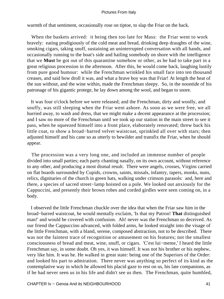warmth of that sentiment, occasionally rose on tiptoe, to slap the Friar on the back.

When the baskets arrived: it being then too late for Mass: the Friar went to work bravely: eating prodigiously of the cold meat and bread, drinking deep draughts of the wine, smoking cigars, taking snuff, sustaining an uninterrupted conversation with all hands, and occasionally running to the boat's side and hailing somebody on shore with the intelligence that we **Must** be got out of this quarantine somehow or other, as he had to take part in a great religious procession in the afternoon. After this, he would come back, laughing lustily from pure good humour: while the Frenchman wrinkled his small face into ten thousand creases, and said how droll it was, and what a brave boy was that Friar! At length the heat of the sun without, and the wine within, made the Frenchman sleepy. So, in the noontide of his patronage of his gigantic protege, he lay down among the wool, and began to snore.

 It was four o'clock before we were released; and the Frenchman, dirty and woolly, and snuffy, was still sleeping when the Friar went ashore. As soon as we were free, we all hurried away, to wash and dress, that we might make a decent appearance at the procession; and I saw no more of the Frenchman until we took up our station in the main street to see it pass, when he squeezed himself into a front place, elaborately renovated; threw back his little coat, to show a broad−barred velvet waistcoat, sprinkled all over with stars; then adjusted himself and his cane so as utterly to bewilder and transfix the Friar, when he should appear.

 The procession was a very long one, and included an immense number of people divided into small parties; each party chanting nasally, on its own account, without reference to any other, and producing a most dismal result. There were angels, crosses, Virgins carried on flat boards surrounded by Cupids, crowns, saints, missals, infantry, tapers, monks, nuns, relics, dignitaries of the church in green hats, walking under crimson parasols: and, here and there, a species of sacred street−lamp hoisted on a pole. We looked out anxiously for the Cappuccini, and presently their brown robes and corded girdles were seen coming on, in a body.

 I observed the little Frenchman chuckle over the idea that when the Friar saw him in the broad−barred waistcoat, he would mentally exclaim, 'Is that my Patron! **That** distinguished man!' and would be covered with confusion. Ah! never was the Frenchman so deceived. As our friend the Cappuccino advanced, with folded arms, he looked straight into the visage of the little Frenchman, with a bland, serene, composed abstraction, not to be described. There was not the faintest trace of recognition or amusement on his features; not the smallest consciousness of bread and meat, wine, snuff, or cigars. 'C'est lui−meme,' I heard the little Frenchman say, in some doubt. Oh yes, it was himself. It was not his brother or his nephew, very like him. It was he. He walked in great state: being one of the Superiors of the Order: and looked his part to admiration. There never was anything so perfect of its kind as the contemplative way in which he allowed his placid gaze to rest on us, his late companions, as if he had never seen us in his life and didn't see us then. The Frenchman, quite humbled,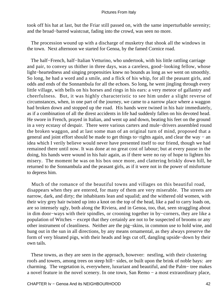took off his hat at last, but the Friar still passed on, with the same imperturbable serenity; and the broad−barred waistcoat, fading into the crowd, was seen no more.

 The procession wound up with a discharge of musketry that shook all the windows in the town. Next afternoon we started for Genoa, by the famed Cornice road.

 The half−French, half−Italian Vetturino, who undertook, with his little rattling carriage and pair, to convey us thither in three days, was a careless, good−looking fellow, whose light−heartedness and singing propensities knew no bounds as long as we went on smoothly. So long, he had a word and a smile, and a flick of his whip, for all the peasant girls, and odds and ends of the Sonnambula for all the echoes. So long, he went jingling through every little village, with bells on his horses and rings in his ears: a very meteor of gallantry and cheerfulness. But, it was highly characteristic to see him under a slight reverse of circumstances, when, in one part of the journey, we came to a narrow place where a waggon had broken down and stopped up the road. His hands were twined in his hair immediately, as if a combination of all the direst accidents in life had suddenly fallen on his devoted head. He swore in French, prayed in Italian, and went up and down, beating his feet on the ground in a very ecstasy of despair. There were various carters and mule−drivers assembled round the broken waggon, and at last some man of an original turn of mind, proposed that a general and joint effort should be made to get things to−rights again, and clear the way − an idea which I verily believe would never have presented itself to our friend, though we had remained there until now. It was done at no great cost of labour; but at every pause in the doing, his hands were wound in his hair again, as if there were no ray of hope to lighten his misery. The moment he was on his box once more, and clattering briskly down hill, he returned to the Sonnambula and the peasant girls, as if it were not in the power of misfortune to depress him.

 Much of the romance of the beautiful towns and villages on this beautiful road, disappears when they are entered, for many of them are very miserable. The streets are narrow, dark, and dirty; the inhabitants lean and squalid; and the withered old women, with their wiry grey hair twisted up into a knot on the top of the head, like a pad to carry loads on, are so intensely ugly, both along the Riviera, and in Genoa, too, that, seen straggling about in dim door−ways with their spindles, or crooning together in by−corners, they are like a population of Witches − except that they certainly are not to be suspected of brooms or any other instrument of cleanliness. Neither are the pig−skins, in common use to hold wine, and hung out in the sun in all directions, by any means ornamental, as they always preserve the form of very bloated pigs, with their heads and legs cut off, dangling upside−down by their own tails.

 These towns, as they are seen in the approach, however: nestling, with their clustering roofs and towers, among trees on steep hill− sides, or built upon the brink of noble bays: are charming. The vegetation is, everywhere, luxuriant and beautiful, and the Palm− tree makes a novel feature in the novel scenery. In one town, San Remo − a most extraordinary place,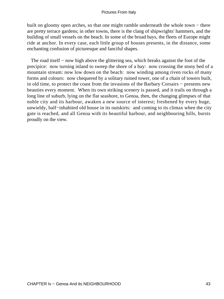built on gloomy open arches, so that one might ramble underneath the whole town − there are pretty terrace gardens; in other towns, there is the clang of shipwrights' hammers, and the building of small vessels on the beach. In some of the broad bays, the fleets of Europe might ride at anchor. In every case, each little group of houses presents, in the distance, some enchanting confusion of picturesque and fanciful shapes.

The road itself – now high above the glittering sea, which breaks against the foot of the precipice: now turning inland to sweep the shore of a bay: now crossing the stony bed of a mountain stream: now low down on the beach: now winding among riven rocks of many forms and colours: now chequered by a solitary ruined tower, one of a chain of towers built, in old time, to protect the coast from the invasions of the Barbary Corsairs − presents new beauties every moment. When its own striking scenery is passed, and it trails on through a long line of suburb, lying on the flat seashore, to Genoa, then, the changing glimpses of that noble city and its harbour, awaken a new source of interest; freshened by every huge, unwieldy, half−inhabited old house in its outskirts: and coming to its climax when the city gate is reached, and all Genoa with its beautiful harbour, and neighbouring hills, bursts proudly on the view.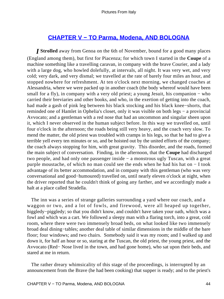# **[CHAPTER V − TO Parma, Modena, AND BOLOGNA](#page-134-0)**

*I* **Strolled** away from Genoa on the 6th of November, bound for a good many places (England among them), but first for Piacenza; for which town I started in the **Coupe** of a machine something like a travelling caravan, in company with the brave Courier, and a lady with a large dog, who howled dolefully, at intervals, all night. It was very wet, and very cold; very dark, and very dismal; we travelled at the rate of barely four miles an hour, and stopped nowhere for refreshment. At ten o'clock next morning, we changed coaches at Alessandria, where we were packed up in another coach (the body whereof would have been small for a fly), in company with a very old priest; a young Jesuit, his companion – who carried their breviaries and other books, and who, in the exertion of getting into the coach, had made a gash of pink leg between his black stocking and his black knee−shorts, that reminded one of Hamlet in Ophelia's closet, only it was visible on both legs − a provincial Avvocato; and a gentleman with a red nose that had an uncommon and singular sheen upon it, which I never observed in the human subject before. In this way we travelled on, until four o'clock in the afternoon; the roads being still very heavy, and the coach very slow. To mend the matter, the old priest was troubled with cramps in his legs, so that he had to give a terrible yell every ten minutes or so, and be hoisted out by the united efforts of the company; the coach always stopping for him, with great gravity. This disorder, and the roads, formed the main subject of conversation. Finding, in the afternoon, that the **Coupe** had discharged two people, and had only one passenger inside − a monstrous ugly Tuscan, with a great purple moustache, of which no man could see the ends when he had his hat on − I took advantage of its better accommodation, and in company with this gentleman (who was very conversational and good−humoured) travelled on, until nearly eleven o'clock at night, when the driver reported that he couldn't think of going any farther, and we accordingly made a halt at a place called Stradella.

 The inn was a series of strange galleries surrounding a yard where our coach, and a waggon or two, and a lot of fowls, and firewood, were all heaped up together, higgledy−piggledy; so that you didn't know, and couldn't have taken your oath, which was a fowl and which was a cart. We followed a sleepy man with a flaring torch, into a great, cold room, where there were two immensely broad beds, on what looked like two immensely broad deal dining−tables; another deal table of similar dimensions in the middle of the bare floor; four windows; and two chairs. Somebody said it was my room; and I walked up and down it, for half an hour or so, staring at the Tuscan, the old priest, the young priest, and the Avvocato (Red− Nose lived in the town, and had gone home), who sat upon their beds, and stared at me in return.

 The rather dreary whimsicality of this stage of the proceedings, is interrupted by an announcement from the Brave (he had been cooking) that supper is ready; and to the priest's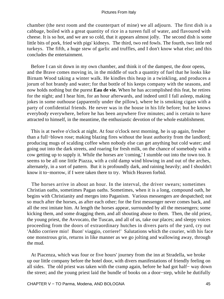chamber (the next room and the counterpart of mine) we all adjourn. The first dish is a cabbage, boiled with a great quantity of rice in a tureen full of water, and flavoured with cheese. It is so hot, and we are so cold, that it appears almost jolly. The second dish is some little bits of pork, fried with pigs' kidneys. The third, two red fowls. The fourth, two little red turkeys. The fifth, a huge stew of garlic and truffles, and I don't know what else; and this concludes the entertainment.

 Before I can sit down in my own chamber, and think it of the dampest, the door opens, and the Brave comes moving in, in the middle of such a quantity of fuel that he looks like Birnam Wood taking a winter walk. He kindles this heap in a twinkling, and produces a jorum of hot brandy and water; for that bottle of his keeps company with the seasons, and now holds nothing but the purest **Eau de vie.** When he has accomplished this feat, he retires for the night; and I hear him, for an hour afterwards, and indeed until I fall asleep, making jokes in some outhouse (apparently under the pillow), where he is smoking cigars with a party of confidential friends. He never was in the house in his life before; but he knows everybody everywhere, before he has been anywhere five minutes; and is certain to have attracted to himself, in the meantime, the enthusiastic devotion of the whole establishment.

 This is at twelve o'clock at night. At four o'clock next morning, he is up again, fresher than a full−blown rose; making blazing fires without the least authority from the landlord; producing mugs of scalding coffee when nobody else can get anything but cold water; and going out into the dark streets, and roaring for fresh milk, on the chance of somebody with a cow getting up to supply it. While the horses are 'coming,' I stumble out into the town too. It seems to be all one little Piazza, with a cold damp wind blowing in and out of the arches, alternately, in a sort of pattern. But it is profoundly dark, and raining heavily; and I shouldn't know it to−morrow, if I were taken there to try. Which Heaven forbid.

 The horses arrive in about an hour. In the interval, the driver swears; sometimes Christian oaths, sometimes Pagan oaths. Sometimes, when it is a long, compound oath, he begins with Christianity and merges into Paganism. Various messengers are despatched; not so much after the horses, as after each other; for the first messenger never comes back, and all the rest imitate him. At length the horses appear, surrounded by all the messengers; some kicking them, and some dragging them, and all shouting abuse to them. Then, the old priest, the young priest, the Avvocato, the Tuscan, and all of us, take our places; and sleepy voices proceeding from the doors of extraordinary hutches in divers parts of the yard, cry out 'Addio corriere mio! Buon' viaggio, corriere!' Salutations which the courier, with his face one monstrous grin, returns in like manner as we go jolting and wallowing away, through the mud.

 At Piacenza, which was four or five hours' journey from the inn at Stradella, we broke up our little company before the hotel door, with divers manifestations of friendly feeling on all sides. The old priest was taken with the cramp again, before he had got half− way down the street; and the young priest laid the bundle of books on a door−step, while he dutifully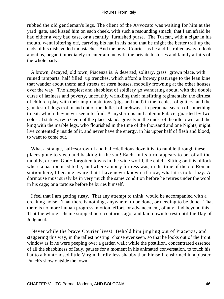rubbed the old gentleman's legs. The client of the Avvocato was waiting for him at the yard−gate, and kissed him on each cheek, with such a resounding smack, that I am afraid he had either a very bad case, or a scantily−furnished purse. The Tuscan, with a cigar in his mouth, went loitering off, carrying his hat in his hand that he might the better trail up the ends of his dishevelled moustache. And the brave Courier, as he and I strolled away to look about us, began immediately to entertain me with the private histories and family affairs of the whole party.

 A brown, decayed, old town, Piacenza is. A deserted, solitary, grass−grown place, with ruined ramparts; half filled−up trenches, which afford a frowsy pasturage to the lean kine that wander about them; and streets of stern houses, moodily frowning at the other houses over the way. The sleepiest and shabbiest of soldiery go wandering about, with the double curse of laziness and poverty, uncouthly wrinkling their misfitting regimentals; the dirtiest of children play with their impromptu toys (pigs and mud) in the feeblest of gutters; and the gauntest of dogs trot in and out of the dullest of archways, in perpetual search of something to eat, which they never seem to find. A mysterious and solemn Palace, guarded by two colossal statues, twin Genii of the place, stands gravely in the midst of the idle town; and the king with the marble legs, who flourished in the time of the thousand and one Nights, might live contentedly inside of it, and never have the energy, in his upper half of flesh and blood, to want to come out.

 What a strange, half−sorrowful and half−delicious doze it is, to ramble through these places gone to sleep and basking in the sun! Each, in its turn, appears to be, of all the mouldy, dreary, God− forgotten towns in the wide world, the chief. Sitting on this hillock where a bastion used to be, and where a noisy fortress was, in the time of the old Roman station here, I became aware that I have never known till now, what it is to be lazy. A dormouse must surely be in very much the same condition before he retires under the wool in his cage; or a tortoise before he buries himself.

 I feel that I am getting rusty. That any attempt to think, would be accompanied with a creaking noise. That there is nothing, anywhere, to be done, or needing to be done. That there is no more human progress, motion, effort, or advancement, of any kind beyond this. That the whole scheme stopped here centuries ago, and laid down to rest until the Day of Judgment.

 Never while the brave Courier lives! Behold him jingling out of Piacenza, and staggering this way, in the tallest posting−chaise ever seen, so that he looks out of the front window as if he were peeping over a garden wall; while the postilion, concentrated essence of all the shabbiness of Italy, pauses for a moment in his animated conversation, to touch his hat to a blunt−nosed little Virgin, hardly less shabby than himself, enshrined in a plaster Punch's show outside the town.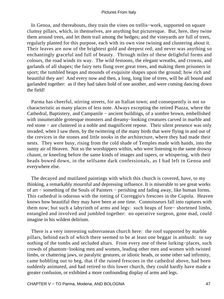In Genoa, and thereabouts, they train the vines on trellis−work, supported on square clumsy pillars, which, in themselves, are anything but picturesque. But, here, they twine them around trees, and let them trail among the hedges; and the vineyards are full of trees, regularly planted for this purpose, each with its own vine twining and clustering about it. Their leaves are now of the brightest gold and deepest red; and never was anything so enchantingly graceful and full of beauty. Through miles of these delightful forms and colours, the road winds its way. The wild festoons, the elegant wreaths, and crowns, and garlands of all shapes; the fairy nets flung over great trees, and making them prisoners in sport; the tumbled heaps and mounds of exquisite shapes upon the ground; how rich and beautiful they are! And every now and then, a long, long line of trees, will be all bound and garlanded together: as if they had taken hold of one another, and were coming dancing down the field!

 Parma has cheerful, stirring streets, for an Italian town; and consequently is not so characteristic as many places of less note. Always excepting the retired Piazza, where the Cathedral, Baptistery, and Campanile − ancient buildings, of a sombre brown, embellished with innumerable grotesque monsters and dreamy−looking creatures carved in marble and red stone − are clustered in a noble and magnificent repose. Their silent presence was only invaded, when I saw them, by the twittering of the many birds that were flying in and out of the crevices in the stones and little nooks in the architecture, where they had made their nests. They were busy, rising from the cold shade of Temples made with hands, into the sunny air of Heaven. Not so the worshippers within, who were listening to the same drowsy chaunt, or kneeling before the same kinds of images and tapers, or whispering, with their heads bowed down, in the selfsame dark confessionals, as I had left in Genoa and everywhere else.

 The decayed and mutilated paintings with which this church is covered, have, to my thinking, a remarkably mournful and depressing influence. It is miserable to see great works of art − something of the Souls of Painters − perishing and fading away, like human forms. This cathedral is odorous with the rotting of Correggio's frescoes in the Cupola. Heaven knows how beautiful they may have been at one time. Connoisseurs fall into raptures with them now; but such a labyrinth of arms and legs: such heaps of fore− shortened limbs, entangled and involved and jumbled together: no operative surgeon, gone mad, could imagine in his wildest delirium.

 There is a very interesting subterranean church here: the roof supported by marble pillars, behind each of which there seemed to be at least one beggar in ambush: to say nothing of the tombs and secluded altars. From every one of these lurking−places, such crowds of phantom−looking men and women, leading other men and women with twisted limbs, or chattering jaws, or paralytic gestures, or idiotic heads, or some other sad infirmity, came hobbling out to beg, that if the ruined frescoes in the cathedral above, had been suddenly animated, and had retired to this lower church, they could hardly have made a greater confusion, or exhibited a more confounding display of arms and legs.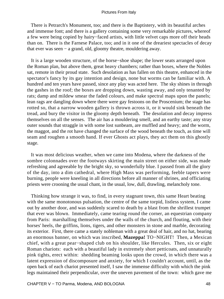There is Petrarch's Monument, too; and there is the Baptistery, with its beautiful arches and immense font; and there is a gallery containing some very remarkable pictures, whereof a few were being copied by hairy−faced artists, with little velvet caps more off their heads than on. There is the Farnese Palace, too; and in it one of the dreariest spectacles of decay that ever was seen − a grand, old, gloomy theatre, mouldering away.

 It is a large wooden structure, of the horse−shoe shape; the lower seats arranged upon the Roman plan, but above them, great heavy chambers; rather than boxes, where the Nobles sat, remote in their proud state. Such desolation as has fallen on this theatre, enhanced in the spectator's fancy by its gay intention and design, none but worms can be familiar with. A hundred and ten years have passed, since any play was acted here. The sky shines in through the gashes in the roof; the boxes are dropping down, wasting away, and only tenanted by rats; damp and mildew smear the faded colours, and make spectral maps upon the panels; lean rags are dangling down where there were gay festoons on the Proscenium; the stage has rotted so, that a narrow wooden gallery is thrown across it, or it would sink beneath the tread, and bury the visitor in the gloomy depth beneath. The desolation and decay impress themselves on all the senses. The air has a mouldering smell, and an earthy taste; any stray outer sounds that straggle in with some lost sunbeam, are muffled and heavy; and the worm, the maggot, and the rot have changed the surface of the wood beneath the touch, as time will seam and roughen a smooth hand. If ever Ghosts act plays, they act them on this ghostly stage.

 It was most delicious weather, when we came into Modena, where the darkness of the sombre colonnades over the footways skirting the main street on either side, was made refreshing and agreeable by the bright sky, so wonderfully blue. I passed from all the glory of the day, into a dim cathedral, where High Mass was performing, feeble tapers were burning, people were kneeling in all directions before all manner of shrines, and officiating priests were crooning the usual chant, in the usual, low, dull, drawling, melancholy tone.

 Thinking how strange it was, to find, in every stagnant town, this same Heart beating with the same monotonous pulsation, the centre of the same torpid, listless system, I came out by another door, and was suddenly scared to death by a blast from the shrillest trumpet that ever was blown. Immediately, came tearing round the corner, an equestrian company from Paris: marshalling themselves under the walls of the church, and flouting, with their horses' heels, the griffins, lions, tigers, and other monsters in stone and marble, decorating its exterior. First, there came a stately nobleman with a great deal of hair, and no hat, bearing an enormous banner, on which was inscribed, **Mazeppa!** TO−NIGHT! Then, a Mexican chief, with a great pear−shaped club on his shoulder, like Hercules. Then, six or eight Roman chariots: each with a beautiful lady in extremely short petticoats, and unnaturally pink tights, erect within: shedding beaming looks upon the crowd, in which there was a latent expression of discomposure and anxiety, for which I couldn't account, until, as the open back of each chariot presented itself, I saw the immense difficulty with which the pink legs maintained their perpendicular, over the uneven pavement of the town: which gave me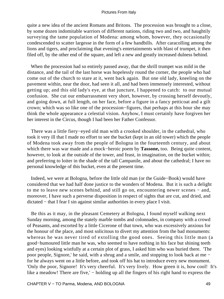quite a new idea of the ancient Romans and Britons. The procession was brought to a close, by some dozen indomitable warriors of different nations, riding two and two, and haughtily surveying the tame population of Modena: among whom, however, they occasionally condescended to scatter largesse in the form of a few handbills. After caracolling among the lions and tigers, and proclaiming that evening's entertainments with blast of trumpet, it then filed off, by the other end of the square, and left a new and greatly increased dulness behind.

 When the procession had so entirely passed away, that the shrill trumpet was mild in the distance, and the tail of the last horse was hopelessly round the corner, the people who had come out of the church to stare at it, went back again. But one old lady, kneeling on the pavement within, near the door, had seen it all, and had been immensely interested, without getting up; and this old lady's eye, at that juncture, I happened to catch: to our mutual confusion. She cut our embarrassment very short, however, by crossing herself devoutly, and going down, at full length, on her face, before a figure in a fancy petticoat and a gilt crown; which was so like one of the procession−figures, that perhaps at this hour she may think the whole appearance a celestial vision. Anyhow, I must certainly have forgiven her her interest in the Circus, though I had been her Father Confessor.

 There was a little fiery−eyed old man with a crooked shoulder, in the cathedral, who took it very ill that I made no effort to see the bucket (kept in an old tower) which the people of Modena took away from the people of Bologna in the fourteenth century, and about which there was war made and a mock−heroic poem by **Tassone,** too. Being quite content, however, to look at the outside of the tower, and feast, in imagination, on the bucket within; and preferring to loiter in the shade of the tall Campanile, and about the cathedral; I have no personal knowledge of this bucket, even at the present time.

 Indeed, we were at Bologna, before the little old man (or the Guide−Book) would have considered that we had half done justice to the wonders of Modena. But it is such a delight to me to leave new scenes behind, and still go on, encountering newer scenes − and, moreover, I have such a perverse disposition in respect of sights that are cut, and dried, and dictated − that I fear I sin against similar authorities in every place I visit.

 Be this as it may, in the pleasant Cemetery at Bologna, I found myself walking next Sunday morning, among the stately marble tombs and colonnades, in company with a crowd of Peasants, and escorted by a little Cicerone of that town, who was excessively anxious for the honour of the place, and most solicitous to divert my attention from the bad monuments: whereas he was never tired of extolling the good ones. Seeing this little man (a good−humoured little man he was, who seemed to have nothing in his face but shining teeth and eyes) looking wistfully at a certain plot of grass, I asked him who was buried there. 'The poor people, Signore,' he said, with a shrug and a smile, and stopping to look back at me − for he always went on a little before, and took off his hat to introduce every new monument. 'Only the poor, Signore! It's very cheerful. It's very lively. How green it is, how cool! It's like a meadow! There are five,' − holding up all the fingers of his right hand to express the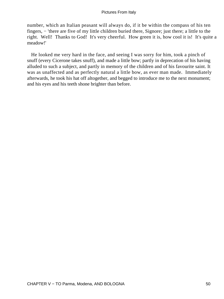number, which an Italian peasant will always do, if it be within the compass of his ten fingers, – 'there are five of my little children buried there, Signore; just there; a little to the right. Well! Thanks to God! It's very cheerful. How green it is, how cool it is! It's quite a meadow!'

 He looked me very hard in the face, and seeing I was sorry for him, took a pinch of snuff (every Cicerone takes snuff), and made a little bow; partly in deprecation of his having alluded to such a subject, and partly in memory of the children and of his favourite saint. It was as unaffected and as perfectly natural a little bow, as ever man made. Immediately afterwards, he took his hat off altogether, and begged to introduce me to the next monument; and his eyes and his teeth shone brighter than before.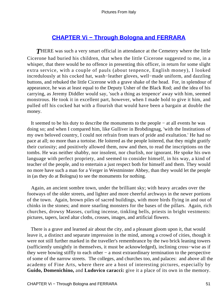# **[CHAPTER Vi − Through Bologna and FERRARA](#page-134-0)**

**THERE** was such a very smart official in attendance at the Cemetery where the little Cicerone had buried his children, that when the little Cicerone suggested to me, in a whisper, that there would be no offence in presenting this officer, in return for some slight extra service, with a couple of pauls (about tenpence, English money), I looked incredulously at his cocked hat, wash−leather gloves, well−made uniform, and dazzling buttons, and rebuked the little Cicerone with a grave shake of the head. For, in splendour of appearance, he was at least equal to the Deputy Usher of the Black Rod; and the idea of his carrying, as Jeremy Diddler would say, 'such a thing as tenpence' away with him, seemed monstrous. He took it in excellent part, however, when I made bold to give it him, and pulled off his cocked hat with a flourish that would have been a bargain at double the money.

 It seemed to be his duty to describe the monuments to the people − at all events he was doing so; and when I compared him, like Gulliver in Brobdingnag, 'with the Institutions of my own beloved country, I could not refrain from tears of pride and exultation.' He had no pace at all; no more than a tortoise. He loitered as the people loitered, that they might gratify their curiosity; and positively allowed them, now and then, to read the inscriptions on the tombs. He was neither shabby, nor insolent, nor churlish, nor ignorant. He spoke his own language with perfect propriety, and seemed to consider himself, in his way, a kind of teacher of the people, and to entertain a just respect both for himself and them. They would no more have such a man for a Verger in Westminster Abbey, than they would let the people in (as they do at Bologna) to see the monuments for nothing.

 Again, an ancient sombre town, under the brilliant sky; with heavy arcades over the footways of the older streets, and lighter and more cheerful archways in the newer portions of the town. Again, brown piles of sacred buildings, with more birds flying in and out of chinks in the stones; and more snarling monsters for the bases of the pillars. Again, rich churches, drowsy Masses, curling incense, tinkling bells, priests in bright vestments: pictures, tapers, laced altar cloths, crosses, images, and artificial flowers.

 There is a grave and learned air about the city, and a pleasant gloom upon it, that would leave it, a distinct and separate impression in the mind, among a crowd of cities, though it were not still further marked in the traveller's remembrance by the two brick leaning towers (sufficiently unsightly in themselves, it must be acknowledged), inclining cross−wise as if they were bowing stiffly to each other − a most extraordinary termination to the perspective of some of the narrow streets. The colleges, and churches too, and palaces: and above all the academy of Fine Arts, where there are a host of interesting pictures, especially by **Guido, Domenichino,** and **Ludovico caracci:** give it a place of its own in the memory.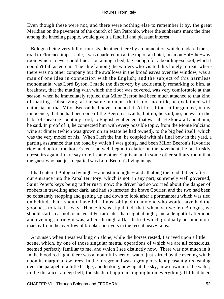Even though these were not, and there were nothing else to remember it by, the great Meridian on the pavement of the church of San Petronio, where the sunbeams mark the time among the kneeling people, would give it a fanciful and pleasant interest.

 Bologna being very full of tourists, detained there by an inundation which rendered the road to Florence impassable, I was quartered up at the top of an hotel, in an out−of−the−way room which I never could find: containing a bed, big enough for a boarding−school, which I couldn't fall asleep in. The chief among the waiters who visited this lonely retreat, where there was no other company but the swallows in the broad eaves over the window, was a man of one idea in connection with the English; and the subject of this harmless monomania, was Lord Byron. I made the discovery by accidentally remarking to him, at breakfast, that the matting with which the floor was covered, was very comfortable at that season, when he immediately replied that Milor Beeron had been much attached to that kind of matting. Observing, at the same moment, that I took no milk, he exclaimed with enthusiasm, that Milor Beeron had never touched it. At first, I took it for granted, in my innocence, that he had been one of the Beeron servants; but no, he said, no, he was in the habit of speaking about my Lord, to English gentlemen; that was all. He knew all about him, he said. In proof of it, he connected him with every possible topic, from the Monte Pulciano wine at dinner (which was grown on an estate he had owned), to the big bed itself, which was the very model of his. When I left the inn, he coupled with his final bow in the yard, a parting assurance that the road by which I was going, had been Milor Beeron's favourite ride; and before the horse's feet had well begun to clatter on the pavement, he ran briskly up−stairs again, I dare say to tell some other Englishman in some other solitary room that the guest who had just departed was Lord Beeron's living image.

 I had entered Bologna by night − almost midnight − and all along the road thither, after our entrance into the Papal territory: which is not, in any part, supremely well governed, Saint Peter's keys being rather rusty now; the driver had so worried about the danger of robbers in travelling after dark, and had so infected the brave Courier, and the two had been so constantly stopping and getting up and down to look after a portmanteau which was tied on behind, that I should have felt almost obliged to any one who would have had the goodness to take it away. Hence it was stipulated, that, whenever we left Bologna, we should start so as not to arrive at Ferrara later than eight at night; and a delightful afternoon and evening journey it was, albeit through a flat district which gradually became more marshy from the overflow of brooks and rivers in the recent heavy rains.

 At sunset, when I was walking on alone, while the horses rested, I arrived upon a little scene, which, by one of those singular mental operations of which we are all conscious, seemed perfectly familiar to me, and which I see distinctly now. There was not much in it. In the blood red light, there was a mournful sheet of water, just stirred by the evening wind; upon its margin a few trees. In the foreground was a group of silent peasant girls leaning over the parapet of a little bridge, and looking, now up at the sky, now down into the water; in the distance, a deep bell; the shade of approaching night on everything. If I had been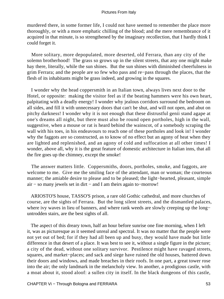murdered there, in some former life, I could not have seemed to remember the place more thoroughly, or with a more emphatic chilling of the blood; and the mere remembrance of it acquired in that minute, is so strengthened by the imaginary recollection, that I hardly think I could forget it.

 More solitary, more depopulated, more deserted, old Ferrara, than any city of the solemn brotherhood! The grass so grows up in the silent streets, that any one might make hay there, literally, while the sun shines. But the sun shines with diminished cheerfulness in grim Ferrara; and the people are so few who pass and re−pass through the places, that the flesh of its inhabitants might be grass indeed, and growing in the squares.

 I wonder why the head coppersmith in an Italian town, always lives next door to the Hotel, or opposite: making the visitor feel as if the beating hammers were his own heart, palpitating with a deadly energy! I wonder why jealous corridors surround the bedroom on all sides, and fill it with unnecessary doors that can't be shut, and will not open, and abut on pitchy darkness! I wonder why it is not enough that these distrustful genii stand agape at one's dreams all night, but there must also be round open portholes, high in the wall, suggestive, when a mouse or rat is heard behind the wainscot, of a somebody scraping the wall with his toes, in his endeavours to reach one of these portholes and look in! I wonder why the faggots are so constructed, as to know of no effect but an agony of heat when they are lighted and replenished, and an agony of cold and suffocation at all other times! I wonder, above all, why it is the great feature of domestic architecture in Italian inns, that all the fire goes up the chimney, except the smoke!

 The answer matters little. Coppersmiths, doors, portholes, smoke, and faggots, are welcome to me. Give me the smiling face of the attendant, man or woman; the courteous manner; the amiable desire to please and to be pleased; the light−hearted, pleasant, simple air − so many jewels set in dirt − and I am theirs again to−morrow!

 ARIOSTO'S house, TASSO'S prison, a rare old Gothic cathedral, and more churches of course, are the sights of Ferrara. But the long silent streets, and the dismantled palaces, where ivy waves in lieu of banners, and where rank weeds are slowly creeping up the long− untrodden stairs, are the best sights of all.

 The aspect of this dreary town, half an hour before sunrise one fine morning, when I left it, was as picturesque as it seemed unreal and spectral. It was no matter that the people were not yet out of bed; for if they had all been up and busy, they would have made but little difference in that desert of a place. It was best to see it, without a single figure in the picture; a city of the dead, without one solitary survivor. Pestilence might have ravaged streets, squares, and market−places; and sack and siege have ruined the old houses, battered down their doors and windows, and made breaches in their roofs. In one part, a great tower rose into the air; the only landmark in the melancholy view. In another, a prodigious castle, with a moat about it, stood aloof: a sullen city in itself. In the black dungeons of this castle,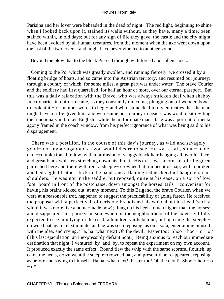Parisina and her lover were beheaded in the dead of night. The red light, beginning to shine when I looked back upon it, stained its walls without, as they have, many a time, been stained within, in old days; but for any sign of life they gave, the castle and the city might have been avoided by all human creatures, from the moment when the axe went down upon the last of the two lovers: and might have never vibrated to another sound

Beyond the blow that to the block Pierced through with forced and sullen shock.

 Coming to the Po, which was greatly swollen, and running fiercely, we crossed it by a floating bridge of boats, and so came into the Austrian territory, and resumed our journey: through a country of which, for some miles, a great part was under water. The brave Courier and the soldiery had first quarrelled, for half an hour or more, over our eternal passport. But this was a daily relaxation with the Brave, who was always stricken deaf when shabby functionaries in uniform came, as they constantly did come, plunging out of wooden boxes to look at it − or in other words to beg − and who, stone deaf to my entreaties that the man might have a trifle given him, and we resume our journey in peace, was wont to sit reviling the functionary in broken English: while the unfortunate man's face was a portrait of mental agony framed in the coach window, from his perfect ignorance of what was being said to his disparagement.

 There was a postilion, in the course of this day's journey, as wild and savagely good−looking a vagabond as you would desire to see. He was a tall, stout−made, dark−complexioned fellow, with a profusion of shaggy black hair hanging all over his face, and great black whiskers stretching down his throat. His dress was a torn suit of rifle green, garnished here and there with red; a steeple− crowned hat, innocent of nap, with a broken and bedraggled feather stuck in the band; and a flaming red neckerchief hanging on his shoulders. He was not in the saddle, but reposed, quite at his ease, on a sort of low foot−board in front of the postchaise, down amongst the horses' tails − convenient for having his brains kicked out, at any moment. To this Brigand, the brave Courier, when we were at a reasonable trot, happened to suggest the practicability of going faster. He received the proposal with a perfect yell of derision; brandished his whip about his head (such a whip! it was more like a home−made bow); flung up his heels, much higher than the horses; and disappeared, in a paroxysm, somewhere in the neighbourhood of the axletree. I fully expected to see him lying in the road, a hundred yards behind, but up came the steeple− crowned hat again, next minute, and he was seen reposing, as on a sofa, entertaining himself with the idea, and crying, 'Ha, ha! what next! Oh the devil! Faster too! Shoo – hoo – o – o!' (This last ejaculation, an inexpressibly defiant hoot.) Being anxious to reach our immediate destination that night, I ventured, by−and−by, to repeat the experiment on my own account. It produced exactly the same effect. Round flew the whip with the same scornful flourish, up came the heels, down went the steeple−crowned hat, and presently he reappeared, reposing as before and saying to himself, 'Ha ha! what next! Faster too! Oh the devil! Shoo − hoo − o − o!'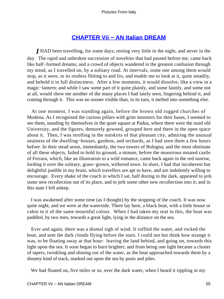# **[CHAPTER Vii − AN Italian DREAM](#page-134-0)**

*I* HAD been travelling, for some days; resting very little in the night, and never in the day. The rapid and unbroken succession of novelties that had passed before me, came back like half−formed dreams; and a crowd of objects wandered in the greatest confusion through my mind, as I travelled on, by a solitary road. At intervals, some one among them would stop, as it were, in its restless flitting to and fro, and enable me to look at it, quite steadily, and behold it in full distinctness. After a few moments, it would dissolve, like a view in a magic−lantern; and while I saw some part of it quite plainly, and some faintly, and some not at all, would show me another of the many places I had lately seen, lingering behind it, and coming through it. This was no sooner visible than, in its turn, it melted into something else.

 At one moment, I was standing again, before the brown old rugged churches of Modena. As I recognised the curious pillars with grim monsters for their bases, I seemed to see them, standing by themselves in the quiet square at Padua, where there were the staid old University, and the figures, demurely gowned, grouped here and there in the open space about it. Then, I was strolling in the outskirts of that pleasant city, admiring the unusual neatness of the dwelling−houses, gardens, and orchards, as I had seen them a few hours before. In their stead arose, immediately, the two towers of Bologna; and the most obstinate of all these objects, failed to hold its ground, a minute, before the monstrous moated castle of Ferrara, which, like an illustration to a wild romance, came back again in the red sunrise, lording it over the solitary, grass−grown, withered town. In short, I had that incoherent but delightful jumble in my brain, which travellers are apt to have, and are indolently willing to encourage. Every shake of the coach in which I sat, half dozing in the dark, appeared to jerk some new recollection out of its place, and to jerk some other new recollection into it; and in this state I fell asleep.

 I was awakened after some time (as I thought) by the stopping of the coach. It was now quite night, and we were at the waterside. There lay here, a black boat, with a little house or cabin in it of the same mournful colour. When I had taken my seat in this, the boat was paddled, by two men, towards a great light, lying in the distance on the sea.

 Ever and again, there was a dismal sigh of wind. It ruffled the water, and rocked the boat, and sent the dark clouds flying before the stars. I could not but think how strange it was, to be floating away at that hour: leaving the land behind, and going on, towards this light upon the sea. It soon began to burn brighter; and from being one light became a cluster of tapers, twinkling and shining out of the water, as the boat approached towards them by a dreamy kind of track, marked out upon the sea by posts and piles.

We had floated on, five miles or so, over the dark water, when I heard it rippling in my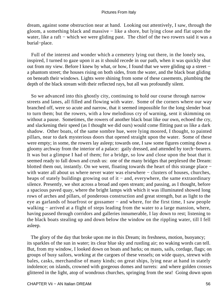dream, against some obstruction near at hand. Looking out attentively, I saw, through the gloom, a something black and massive − like a shore, but lying close and flat upon the water, like a raft – which we were gliding past. The chief of the two rowers said it was a burial−place.

 Full of the interest and wonder which a cemetery lying out there, in the lonely sea, inspired, I turned to gaze upon it as it should recede in our path, when it was quickly shut out from my view. Before I knew by what, or how, I found that we were gliding up a street − a phantom street; the houses rising on both sides, from the water, and the black boat gliding on beneath their windows. Lights were shining from some of these casements, plumbing the depth of the black stream with their reflected rays, but all was profoundly silent.

 So we advanced into this ghostly city, continuing to hold our course through narrow streets and lanes, all filled and flowing with water. Some of the corners where our way branched off, were so acute and narrow, that it seemed impossible for the long slender boat to turn them; but the rowers, with a low melodious cry of warning, sent it skimming on without a pause. Sometimes, the rowers of another black boat like our own, echoed the cry, and slackening their speed (as I thought we did ours) would come flitting past us like a dark shadow. Other boats, of the same sombre hue, were lying moored, I thought, to painted pillars, near to dark mysterious doors that opened straight upon the water. Some of these were empty; in some, the rowers lay asleep; towards one, I saw some figures coming down a gloomy archway from the interior of a palace: gaily dressed, and attended by torch−bearers. It was but a glimpse I had of them; for a bridge, so low and close upon the boat that it seemed ready to fall down and crush us: one of the many bridges that perplexed the Dream: blotted them out, instantly. On we went, floating towards the heart of this strange place − with water all about us where never water was elsewhere – clusters of houses, churches, heaps of stately buildings growing out of it – and, everywhere, the same extraordinary silence. Presently, we shot across a broad and open stream; and passing, as I thought, before a spacious paved quay, where the bright lamps with which it was illuminated showed long rows of arches and pillars, of ponderous construction and great strength, but as light to the eye as garlands of hoarfrost or gossamer – and where, for the first time, I saw people walking − arrived at a flight of steps leading from the water to a large mansion, where, having passed through corridors and galleries innumerable, I lay down to rest; listening to the black boats stealing up and down below the window on the rippling water, till I fell asleep.

 The glory of the day that broke upon me in this Dream; its freshness, motion, buoyancy; its sparkles of the sun in water; its clear blue sky and rustling air; no waking words can tell. But, from my window, I looked down on boats and barks; on masts, sails, cordage, flags; on groups of busy sailors, working at the cargoes of these vessels; on wide quays, strewn with bales, casks, merchandise of many kinds; on great ships, lying near at hand in stately indolence; on islands, crowned with gorgeous domes and turrets: and where golden crosses glittered in the light, atop of wondrous churches, springing from the sea! Going down upon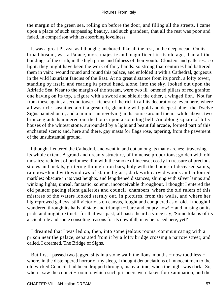the margin of the green sea, rolling on before the door, and filling all the streets, I came upon a place of such surpassing beauty, and such grandeur, that all the rest was poor and faded, in comparison with its absorbing loveliness.

 It was a great Piazza, as I thought; anchored, like all the rest, in the deep ocean. On its broad bosom, was a Palace, more majestic and magnificent in its old age, than all the buildings of the earth, in the high prime and fulness of their youth. Cloisters and galleries: so light, they might have been the work of fairy hands: so strong that centuries had battered them in vain: wound round and round this palace, and enfolded it with a Cathedral, gorgeous in the wild luxuriant fancies of the East. At no great distance from its porch, a lofty tower, standing by itself, and rearing its proud head, alone, into the sky, looked out upon the Adriatic Sea. Near to the margin of the stream, were two ill−omened pillars of red granite; one having on its top, a figure with a sword and shield; the other, a winged lion. Not far from these again, a second tower: richest of the rich in all its decorations: even here, where all was rich: sustained aloft, a great orb, gleaming with gold and deepest blue: the Twelve Signs painted on it, and a mimic sun revolving in its course around them: while above, two bronze giants hammered out the hours upon a sounding bell. An oblong square of lofty houses of the whitest stone, surrounded by a light and beautiful arcade, formed part of this enchanted scene; and, here and there, gay masts for flags rose, tapering, from the pavement of the unsubstantial ground.

 I thought I entered the Cathedral, and went in and out among its many arches: traversing its whole extent. A grand and dreamy structure, of immense proportions; golden with old mosaics; redolent of perfumes; dim with the smoke of incense; costly in treasure of precious stones and metals, glittering through iron bars; holy with the bodies of deceased saints; rainbow−hued with windows of stained glass; dark with carved woods and coloured marbles; obscure in its vast heights, and lengthened distances; shining with silver lamps and winking lights; unreal, fantastic, solemn, inconceivable throughout. I thought I entered the old palace; pacing silent galleries and council−chambers, where the old rulers of this mistress of the waters looked sternly out, in pictures, from the walls, and where her high−prowed galleys, still victorious on canvas, fought and conquered as of old. I thought I wandered through its halls of state and triumph – bare and empty now! – and musing on its pride and might, extinct: for that was past; all past: heard a voice say, 'Some tokens of its ancient rule and some consoling reasons for its downfall, may be traced here, yet!'

 I dreamed that I was led on, then, into some jealous rooms, communicating with a prison near the palace; separated from it by a lofty bridge crossing a narrow street; and called, I dreamed, The Bridge of Sighs.

 But first I passed two jagged slits in a stone wall; the lions' mouths − now toothless − where, in the distempered horror of my sleep, I thought denunciations of innocent men to the old wicked Council, had been dropped through, many a time, when the night was dark. So, when I saw the council−room to which such prisoners were taken for examination, and the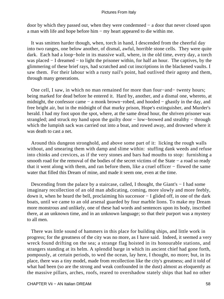door by which they passed out, when they were condemned − a door that never closed upon a man with life and hope before him − my heart appeared to die within me.

 It was smitten harder though, when, torch in hand, I descended from the cheerful day into two ranges, one below another, of dismal, awful, horrible stone cells. They were quite dark. Each had a loop−hole in its massive wall, where, in the old time, every day, a torch was placed − I dreamed − to light the prisoner within, for half an hour. The captives, by the glimmering of these brief rays, had scratched and cut inscriptions in the blackened vaults. I saw them. For their labour with a rusty nail's point, had outlived their agony and them, through many generations.

 One cell, I saw, in which no man remained for more than four−and− twenty hours; being marked for dead before he entered it. Hard by, another, and a dismal one, whereto, at midnight, the confessor came − a monk brown−robed, and hooded − ghastly in the day, and free bright air, but in the midnight of that murky prison, Hope's extinguisher, and Murder's herald. I had my foot upon the spot, where, at the same dread hour, the shriven prisoner was strangled; and struck my hand upon the guilty door − low–browed and stealthy − through which the lumpish sack was carried out into a boat, and rowed away, and drowned where it was death to cast a net.

 Around this dungeon stronghold, and above some part of it: licking the rough walls without, and smearing them with damp and slime within: stuffing dank weeds and refuse into chinks and crevices, as if the very stones and bars had mouths to stop: furnishing a smooth road for the removal of the bodies of the secret victims of the State – a road so ready that it went along with them, and ran before them, like a cruel officer − flowed the same water that filled this Dream of mine, and made it seem one, even at the time.

Descending from the palace by a staircase, called, I thought, the Giant's − I had some imaginary recollection of an old man abdicating, coming, more slowly and more feebly, down it, when he heard the bell, proclaiming his successor − I glided off, in one of the dark boats, until we came to an old arsenal guarded by four marble lions. To make my Dream more monstrous and unlikely, one of these had words and sentences upon its body, inscribed there, at an unknown time, and in an unknown language; so that their purport was a mystery to all men.

 There was little sound of hammers in this place for building ships, and little work in progress; for the greatness of the city was no more, as I have said. Indeed, it seemed a very wreck found drifting on the sea; a strange flag hoisted in its honourable stations, and strangers standing at its helm. A splendid barge in which its ancient chief had gone forth, pompously, at certain periods, to wed the ocean, lay here, I thought, no more; but, in its place, there was a tiny model, made from recollection like the city's greatness; and it told of what had been (so are the strong and weak confounded in the dust) almost as eloquently as the massive pillars, arches, roofs, reared to overshadow stately ships that had no other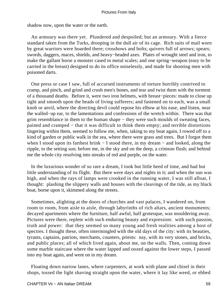shadow now, upon the water or the earth.

 An armoury was there yet. Plundered and despoiled; but an armoury. With a fierce standard taken from the Turks, drooping in the dull air of its cage. Rich suits of mail worn by great warriors were hoarded there; crossbows and bolts; quivers full of arrows; spears; swords, daggers, maces, shields, and heavy−headed axes. Plates of wrought steel and iron, to make the gallant horse a monster cased in metal scales; and one spring−weapon (easy to be carried in the breast) designed to do its office noiselessly, and made for shooting men with poisoned darts.

 One press or case I saw, full of accursed instruments of torture horribly contrived to cramp, and pinch, and grind and crush men's bones, and tear and twist them with the torment of a thousand deaths. Before it, were two iron helmets, with breast−pieces: made to close up tight and smooth upon the heads of living sufferers; and fastened on to each, was a small knob or anvil, where the directing devil could repose his elbow at his ease, and listen, near the walled−up ear, to the lamentations and confessions of the wretch within. There was that grim resemblance in them to the human shape − they were such moulds of sweating faces, pained and cramped − that it was difficult to think them empty; and terrible distortions lingering within them, seemed to follow me, when, taking to my boat again, I rowed off to a kind of garden or public walk in the sea, where there were grass and trees. But I forgot them when I stood upon its farthest brink − I stood there, in my dream − and looked, along the ripple, to the setting sun; before me, in the sky and on the deep, a crimson flush; and behind me the whole city resolving into streaks of red and purple, on the water.

 In the luxurious wonder of so rare a dream, I took but little heed of time, and had but little understanding of its flight. But there were days and nights in it; and when the sun was high, and when the rays of lamps were crooked in the running water, I was still afloat, I thought: plashing the slippery walls and houses with the cleavings of the tide, as my black boat, borne upon it, skimmed along the streets.

 Sometimes, alighting at the doors of churches and vast palaces, I wandered on, from room to room, from aisle to aisle, through labyrinths of rich altars, ancient monuments; decayed apartments where the furniture, half awful, half grotesque, was mouldering away. Pictures were there, replete with such enduring beauty and expression: with such passion, truth and power: that they seemed so many young and fresh realities among a host of spectres. I thought these, often intermingled with the old days of the city: with its beauties, tyrants, captains, patriots, merchants, counters, priests: nay, with its very stones, and bricks, and public places; all of which lived again, about me, on the walls. Then, coming down some marble staircase where the water lapped and oozed against the lower steps, I passed into my boat again, and went on in my dream.

 Floating down narrow lanes, where carpenters, at work with plane and chisel in their shops, tossed the light shaving straight upon the water, where it lay like weed, or ebbed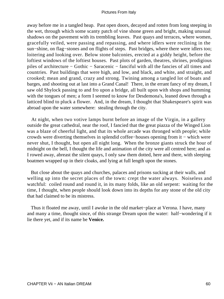away before me in a tangled heap. Past open doors, decayed and rotten from long steeping in the wet, through which some scanty patch of vine shone green and bright, making unusual shadows on the pavement with its trembling leaves. Past quays and terraces, where women, gracefully veiled, were passing and repassing, and where idlers were reclining in the sun–shine, on flag–stones and on flights of steps. Past bridges, where there were idlers too; loitering and looking over. Below stone balconies, erected at a giddy height, before the loftiest windows of the loftiest houses. Past plots of garden, theatres, shrines, prodigious piles of architecture − Gothic − Saracenic − fanciful with all the fancies of all times and countries. Past buildings that were high, and low, and black, and white, and straight, and crooked; mean and grand, crazy and strong. Twining among a tangled lot of boats and barges, and shooting out at last into a Grand Canal! There, in the errant fancy of my dream, I saw old Shylock passing to and fro upon a bridge, all built upon with shops and humming with the tongues of men; a form I seemed to know for Desdemona's, leaned down through a latticed blind to pluck a flower. And, in the dream, I thought that Shakespeare's spirit was abroad upon the water somewhere: stealing through the city.

 At night, when two votive lamps burnt before an image of the Virgin, in a gallery outside the great cathedral, near the roof, I fancied that the great piazza of the Winged Lion was a blaze of cheerful light, and that its whole arcade was thronged with people; while crowds were diverting themselves in splendid coffee−houses opening from it − which were never shut, I thought, but open all night long. When the bronze giants struck the hour of midnight on the bell, I thought the life and animation of the city were all centred here; and as I rowed away, abreast the silent quays, I only saw them dotted, here and there, with sleeping boatmen wrapped up in their cloaks, and lying at full length upon the stones.

 But close about the quays and churches, palaces and prisons sucking at their walls, and welling up into the secret places of the town: crept the water always. Noiseless and watchful: coiled round and round it, in its many folds, like an old serpent: waiting for the time, I thought, when people should look down into its depths for any stone of the old city that had claimed to be its mistress.

 Thus it floated me away, until I awoke in the old market−place at Verona. I have, many and many a time, thought since, of this strange Dream upon the water: half−wondering if it lie there yet, and if its name be **Venice.**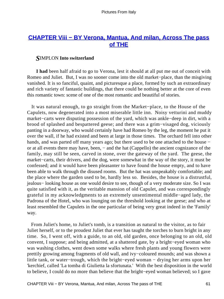# **[CHAPTER Viii − BY Verona, Mantua, And milan, Across The pass](#page-134-0) [of THE](#page-134-0)**

# *S*IMPLON **Into switzerland**

**I had** been half afraid to go to Verona, lest it should at all put me out of conceit with Romeo and Juliet. But, I was no sooner come into the old market−place, than the misgiving vanished. It is so fanciful, quaint, and picturesque a place, formed by such an extraordinary and rich variety of fantastic buildings, that there could be nothing better at the core of even this romantic town: scene of one of the most romantic and beautiful of stories.

 It was natural enough, to go straight from the Market−place, to the House of the Capulets, now degenerated into a most miserable little inn. Noisy vetturini and muddy market−carts were disputing possession of the yard, which was ankle−deep in dirt, with a brood of splashed and bespattered geese; and there was a grim−visaged dog, viciously panting in a doorway, who would certainly have had Romeo by the leg, the moment he put it over the wall, if he had existed and been at large in those times. The orchard fell into other hands, and was parted off many years ago; but there used to be one attached to the house − or at all events there may have, been, − and the hat (Cappello) the ancient cognizance of the family, may still be seen, carved in stone, over the gateway of the yard. The geese, the market−carts, their drivers, and the dog, were somewhat in the way of the story, it must be confessed; and it would have been pleasanter to have found the house empty, and to have been able to walk through the disused rooms. But the hat was unspeakably comfortable; and the place where the garden used to be, hardly less so. Besides, the house is a distrustful, jealous− looking house as one would desire to see, though of a very moderate size. So I was quite satisfied with it, as the veritable mansion of old Capulet, and was correspondingly grateful in my acknowledgments to an extremely unsentimental middle−aged lady, the Padrona of the Hotel, who was lounging on the threshold looking at the geese; and who at least resembled the Capulets in the one particular of being very great indeed in the 'Family' way.

 From Juliet's home, to Juliet's tomb, is a transition as natural to the visitor, as to fair Juliet herself, or to the proudest Juliet that ever has taught the torches to burn bright in any time. So, I went off, with a guide, to an old, old garden, once belonging to an old, old convent, I suppose; and being admitted, at a shattered gate, by a bright−eyed woman who was washing clothes, went down some walks where fresh plants and young flowers were prettily growing among fragments of old wall, and ivy−coloured mounds; and was shown a little tank, or water−trough, which the bright−eyed woman − drying her arms upon her 'kerchief, called 'La tomba di Giulietta la sfortunata.' With the best disposition in the world to believe, I could do no more than believe that the bright−eyed woman believed; so I gave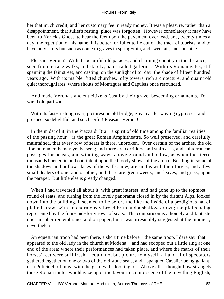her that much credit, and her customary fee in ready money. It was a pleasure, rather than a disappointment, that Juliet's resting−place was forgotten. However consolatory it may have been to Yorick's Ghost, to hear the feet upon the pavement overhead, and, twenty times a day, the repetition of his name, it is better for Juliet to lie out of the track of tourists, and to have no visitors but such as come to graves in spring−rain, and sweet air, and sunshine.

 Pleasant Verona! With its beautiful old palaces, and charming country in the distance, seen from terrace walks, and stately, balustraded galleries. With its Roman gates, still spanning the fair street, and casting, on the sunlight of to−day, the shade of fifteen hundred years ago. With its marble−fitted churches, lofty towers, rich architecture, and quaint old quiet thoroughfares, where shouts of Montagues and Capulets once resounded,

 And made Verona's ancient citizens Cast by their grave, beseeming ornaments, To wield old partizans.

 With its fast−rushing river, picturesque old bridge, great castle, waving cypresses, and prospect so delightful, and so cheerful! Pleasant Verona!

 In the midst of it, in the Piazza di Bra − a spirit of old time among the familiar realities of the passing hour − is the great Roman Amphitheatre. So well preserved, and carefully maintained, that every row of seats is there, unbroken. Over certain of the arches, the old Roman numerals may yet be seen; and there are corridors, and staircases, and subterranean passages for beasts, and winding ways, above ground and below, as when the fierce thousands hurried in and out, intent upon the bloody shows of the arena. Nestling in some of the shadows and hollow places of the walls, now, are smiths with their forges, and a few small dealers of one kind or other; and there are green weeds, and leaves, and grass, upon the parapet. But little else is greatly changed.

 When I had traversed all about it, with great interest, and had gone up to the topmost round of seats, and turning from the lovely panorama closed in by the distant Alps, looked down into the building, it seemed to lie before me like the inside of a prodigious hat of plaited straw, with an enormously broad brim and a shallow crown; the plaits being represented by the four−and−forty rows of seats. The comparison is a homely and fantastic one, in sober remembrance and on paper, but it was irresistibly suggested at the moment, nevertheless.

 An equestrian troop had been there, a short time before − the same troop, I dare say, that appeared to the old lady in the church at Modena − and had scooped out a little ring at one end of the area; where their performances had taken place, and where the marks of their horses' feet were still fresh. I could not but picture to myself, a handful of spectators gathered together on one or two of the old stone seats, and a spangled Cavalier being gallant, or a Policinello funny, with the grim walls looking on. Above all, I thought how strangely those Roman mutes would gaze upon the favourite comic scene of the travelling English,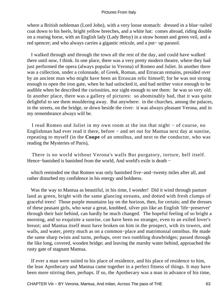where a British nobleman (Lord John), with a very loose stomach: dressed in a blue−tailed coat down to his heels, bright yellow breeches, and a white hat: comes abroad, riding double on a rearing horse, with an English lady (Lady Betsy) in a straw bonnet and green veil, and a red spencer; and who always carries a gigantic reticule, and a put− up parasol.

 I walked through and through the town all the rest of the day, and could have walked there until now, I think. In one place, there was a very pretty modern theatre, where they had just performed the opera (always popular in Verona) of Romeo and Juliet. In another there was a collection, under a colonnade, of Greek, Roman, and Etruscan remains, presided over by an ancient man who might have been an Etruscan relic himself; for he was not strong enough to open the iron gate, when he had unlocked it, and had neither voice enough to be audible when he described the curiosities, nor sight enough to see them: he was so very old. In another place, there was a gallery of pictures: so abominably bad, that it was quite delightful to see them mouldering away. But anywhere: in the churches, among the palaces, in the streets, on the bridge, or down beside the river: it was always pleasant Verona, and in my remembrance always will be.

 I read Romeo and Juliet in my own room at the inn that night − of course, no Englishman had ever read it there, before − and set out for Mantua next day at sunrise, repeating to myself (in the **Coupe** of an omnibus, and next to the conductor, who was reading the Mysteries of Paris),

 There is no world without Verona's walls But purgatory, torture, hell itself. Hence−banished is banished from the world, And world's exile is death −

 which reminded me that Romeo was only banished five−and−twenty miles after all, and rather disturbed my confidence in his energy and boldness.

Was the way to Mantua as beautiful, in his time, I wonder! Did it wind through pasture land as green, bright with the same glancing streams, and dotted with fresh clumps of graceful trees! Those purple mountains lay on the horizon, then, for certain; and the dresses of these peasant girls, who wear a great, knobbed, silver pin like an English 'life−preserver' through their hair behind, can hardly be much changed. The hopeful feeling of so bright a morning, and so exquisite a sunrise, can have been no stranger, even to an exiled lover's breast; and Mantua itself must have broken on him in the prospect, with its towers, and walls, and water, pretty much as on a common−place and matrimonial omnibus. He made the same sharp twists and turns, perhaps, over two rumbling drawbridges; passed through the like long, covered, wooden bridge; and leaving the marshy water behind, approached the rusty gate of stagnant Mantua.

 If ever a man were suited to his place of residence, and his place of residence to him, the lean Apothecary and Mantua came together in a perfect fitness of things. It may have been more stirring then, perhaps. If so, the Apothecary was a man in advance of his time,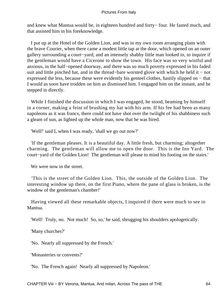and knew what Mantua would be, in eighteen hundred and forty− four. He fasted much, and that assisted him in his foreknowledge.

 I put up at the Hotel of the Golden Lion, and was in my own room arranging plans with the brave Courier, when there came a modest little tap at the door, which opened on an outer gallery surrounding a court−yard; and an intensely shabby little man looked in, to inquire if the gentleman would have a Cicerone to show the town. His face was so very wistful and anxious, in the half−opened doorway, and there was so much poverty expressed in his faded suit and little pinched hat, and in the thread–bare worsted glove with which he held it – not expressed the less, because these were evidently his genteel clothes, hastily slipped on − that I would as soon have trodden on him as dismissed him. I engaged him on the instant, and he stepped in directly.

 While I finished the discussion in which I was engaged, he stood, beaming by himself in a corner, making a feint of brushing my hat with his arm. If his fee had been as many napoleons as it was francs, there could not have shot over the twilight of his shabbiness such a gleam of sun, as lighted up the whole man, now that he was hired.

'Well!' said I, when I was ready, 'shall we go out now?'

 'If the gentleman pleases. It is a beautiful day. A little fresh, but charming; altogether charming. The gentleman will allow me to open the door. This is the Inn Yard. The court−yard of the Golden Lion! The gentleman will please to mind his footing on the stairs.'

We were now in the street.

 'This is the street of the Golden Lion. This, the outside of the Golden Lion. The interesting window up there, on the first Piano, where the pane of glass is broken, is the window of the gentleman's chamber!'

 Having viewed all these remarkable objects, I inquired if there were much to see in Mantua.

'Well! Truly, no. Not much! So, so,' he said, shrugging his shoulders apologetically.

'Many churches?'

'No. Nearly all suppressed by the French.'

'Monasteries or convents?'

'No. The French again! Nearly all suppressed by Napoleon.'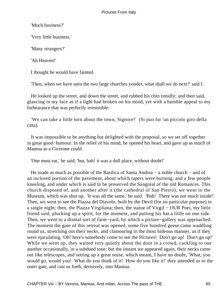'Much business?'

'Very little business.'

'Many strangers?'

'Ah Heaven!'

I thought he would have fainted.

'Then, when we have seen the two large churches yonder, what shall we do next?' said I.

 He looked up the street, and down the street, and rubbed his chin timidly; and then said, glancing in my face as if a light had broken on his mind, yet with a humble appeal to my forbearance that was perfectly irresistible:

 'We can take a little turn about the town, Signore!' (Si puo far 'un piccolo giro della citta).

 It was impossible to be anything but delighted with the proposal, so we set off together in great good−humour. In the relief of his mind, he opened his heart, and gave up as much of Mantua as a Cicerone could.

'One must eat,' he said; 'but, bah! it was a dull place, without doubt!'

He made as much as possible of the Basilica of Santa Andrea – a noble church – and of an inclosed portion of the pavement, about which tapers were burning, and a few people kneeling, and under which is said to be preserved the Sangreal of the old Romances. This church disposed of, and another after it (the cathedral of San Pietro), we went to the Museum, which was shut up. 'It was all the same,' he said. 'Bah! There was not much inside!' Then, we went to see the Piazza del Diavolo, built by the Devil (for no particular purpose) in a single night; then, the Piazza Virgiliana; then, the statue of Virgil − OUR Poet, my little friend said, plucking up a spirit, for the moment, and putting his hat a little on one side. Then, we went to a dismal sort of farm−yard, by which a picture−gallery was approached. The moment the gate of this retreat was opened, some five hundred geese came waddling round us, stretching out their necks, and clamouring in the most hideous manner, as if they were ejaculating, 'Oh! here's somebody come to see the Pictures! Don't go up! Don't go up!' While we went up, they waited very quietly about the door in a crowd, cackling to one another occasionally, in a subdued tone; but the instant we appeared again, their necks came out like telescopes, and setting up a great noise, which meant, I have no doubt, 'What, you would go, would you! What do you think of it! How do you like it!' they attended us to the outer gate, and cast us forth, derisively, into Mantua.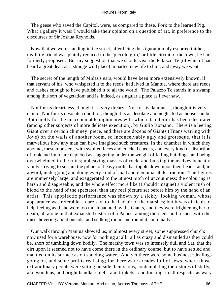The geese who saved the Capitol, were, as compared to these, Pork to the learned Pig. What a gallery it was! I would take their opinion on a question of art, in preference to the discourses of Sir Joshua Reynolds.

 Now that we were standing in the street, after being thus ignominiouly escorted thither, my little friend was plainly reduced to the 'piccolo giro,' or little circuit of the town, he had formerly proposed. But my suggestion that we should visit the Palazzo Te (of which I had heard a great deal, as a strange wild place) imparted new life to him, and away we went.

 The secret of the length of Midas's ears, would have been more extensively known, if that servant of his, who whispered it to the reeds, had lived in Mantua, where there are reeds and rushes enough to have published it to all the world. The Palazzo Te stands in a swamp, among this sort of vegetation; and is, indeed, as singular a place as I ever saw.

 Not for its dreariness, though it is very dreary. Not for its dampness, though it is very damp. Nor for its desolate condition, though it is as desolate and neglected as house can be. But chiefly for the unaccountable nightmares with which its interior has been decorated (among other subjects of more delicate execution), by Giulio Romano. There is a leering Giant over a certain chimney−piece, and there are dozens of Giants (Titans warring with Jove) on the walls of another room, so inconceivably ugly and grotesque, that it is marvellous how any man can have imagined such creatures. In the chamber in which they abound, these monsters, with swollen faces and cracked cheeks, and every kind of distortion of look and limb, are depicted as staggering under the weight of falling buildings, and being overwhelmed in the ruins; upheaving masses of rock, and burying themselves beneath; vainly striving to sustain the pillars of heavy roofs that topple down upon their heads; and, in a word, undergoing and doing every kind of mad and demoniacal destruction. The figures are immensely large, and exaggerated to the utmost pitch of uncouthness; the colouring is harsh and disagreeable; and the whole effect more like (I should imagine) a violent rush of blood to the head of the spectator, than any real picture set before him by the hand of an artist. This apoplectic performance was shown by a sickly−looking woman, whose appearance was referable, I dare say, to the bad air of the marshes; but it was difficult to help feeling as if she were too much haunted by the Giants, and they were frightening her to death, all alone in that exhausted cistern of a Palace, among the reeds and rushes, with the mists hovering about outside, and stalking round and round it continually.

 Our walk through Mantua showed us, in almost every street, some suppressed church: now used for a warehouse, now for nothing at all: all as crazy and dismantled as they could be, short of tumbling down bodily. The marshy town was so intensely dull and flat, that the dirt upon it seemed not to have come there in the ordinary course, but to have settled and mantled on its surface as on standing water. And yet there were some business−dealings going on, and some profits realising; for there were arcades full of Jews, where those extraordinary people were sitting outside their shops, contemplating their stores of stuffs, and woollens, and bright handkerchiefs, and trinkets: and looking, in all respects, as wary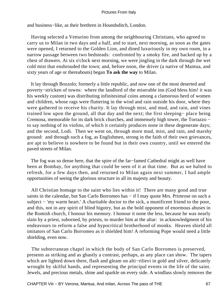and business−like, as their brethren in Houndsditch, London.

 Having selected a Vetturino from among the neighbouring Christians, who agreed to carry us to Milan in two days and a half, and to start, next morning, as soon as the gates were opened, I returned to the Golden Lion, and dined luxuriously in my own room, in a narrow passage between two bedsteads: confronted by a smoky fire, and backed up by a chest of drawers. At six o'clock next morning, we were jingling in the dark through the wet cold mist that enshrouded the town; and, before noon, the driver (a native of Mantua, and sixty years of age or thereabouts) began **To ask the way** to Milan.

 It lay through Bozzolo; formerly a little republic, and now one of the most deserted and poverty−stricken of towns: where the landlord of the miserable inn (God bless him! it was his weekly custom) was distributing infinitesimal coins among a clamorous herd of women and children, whose rags were fluttering in the wind and rain outside his door, where they were gathered to receive his charity. It lay through mist, and mud, and rain, and vines trained low upon the ground, all that day and the next; the first sleeping− place being Cremona, memorable for its dark brick churches, and immensely high tower, the Torrazzo − to say nothing of its violins, of which it certainly produces none in these degenerate days; and the second, Lodi. Then we went on, through more mud, mist, and rain, and marshy ground: and through such a fog, as Englishmen, strong in the faith of their own grievances, are apt to believe is nowhere to be found but in their own country, until we entered the paved streets of Milan.

 The fog was so dense here, that the spire of the far−famed Cathedral might as well have been at Bombay, for anything that could be seen of it at that time. But as we halted to refresh, for a few days then, and returned to Milan again next summer, I had ample opportunities of seeing the glorious structure in all its majesty and beauty.

 All Christian homage to the saint who lies within it! There are many good and true saints in the calendar, but San Carlo Borromeo has – if I may quote Mrs. Primrose on such a subject − 'my warm heart.' A charitable doctor to the sick, a munificent friend to the poor, and this, not in any spirit of blind bigotry, but as the bold opponent of enormous abuses in the Romish church, I honour his memory. I honour it none the less, because he was nearly slain by a priest, suborned, by priests, to murder him at the altar: in acknowledgment of his endeavours to reform a false and hypocritical brotherhood of monks. Heaven shield all imitators of San Carlo Borromeo as it shielded him! A reforming Pope would need a little shielding, even now.

 The subterranean chapel in which the body of San Carlo Borromeo is preserved, presents as striking and as ghastly a contrast, perhaps, as any place can show. The tapers which are lighted down there, flash and gleam on alti−rilievi in gold and silver, delicately wrought by skilful hands, and representing the principal events in the life of the saint. Jewels, and precious metals, shine and sparkle on every side. A windlass slowly removes the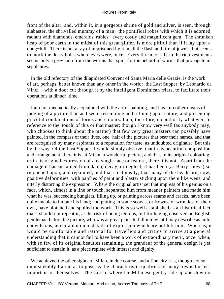front of the altar; and, within it, in a gorgeous shrine of gold and silver, is seen, through alabaster, the shrivelled mummy of a man: the pontifical robes with which it is adorned, radiant with diamonds, emeralds, rubies: every costly and magnificent gem. The shrunken heap of poor earth in the midst of this great glitter, is more pitiful than if it lay upon a dung−hill. There is not a ray of imprisoned light in all the flash and fire of jewels, but seems to mock the dusty holes where eyes were, once. Every thread of silk in the rich vestments seems only a provision from the worms that spin, for the behoof of worms that propagate in sepulchres.

 In the old refectory of the dilapidated Convent of Santa Maria delle Grazie, is the work of art, perhaps, better known than any other in the world: the Last Supper, by Leonardo da Vinci − with a door cut through it by the intelligent Dominican friars, to facilitate their operations at dinner−time.

 I am not mechanically acquainted with the art of painting, and have no other means of judging of a picture than as I see it resembling and refining upon nature, and presenting graceful combinations of forms and colours. I am, therefore, no authority whatever, in reference to the 'touch' of this or that master; though I know very well (as anybody may, who chooses to think about the matter) that few very great masters can possibly have painted, in the compass of their lives, one−half of the pictures that bear their names, and that are recognised by many aspirants to a reputation for taste, as undoubted originals. But this, by the way. Of the Last Supper, I would simply observe, that in its beautiful composition and arrangement, there it is, at Milan, a wonderful picture; and that, in its original colouring, or in its original expression of any single face or feature, there it is not. Apart from the damage it has sustained from damp, decay, or neglect, it has been (as Barry shows) so retouched upon, and repainted, and that so clumsily, that many of the heads are, now, positive deformities, with patches of paint and plaster sticking upon them like wens, and utterly distorting the expression. Where the original artist set that impress of his genius on a face, which, almost in a line or touch, separated him from meaner painters and made him what he was, succeeding bunglers, filling up, or painting across seams and cracks, have been quite unable to imitate his hand; and putting in some scowls, or frowns, or wrinkles, of their own, have blotched and spoiled the work. This is so well established as an historical fact, that I should not repeat it, at the risk of being tedious, but for having observed an English gentleman before the picture, who was at great pains to fall into what I may describe as mild convulsions, at certain minute details of expression which are not left in it. Whereas, it would be comfortable and rational for travellers and critics to arrive at a general understanding that it cannot fail to have been a work of extraordinary merit, once: when, with so few of its original beauties remaining, the grandeur of the general design is yet sufficient to sustain it, as a piece replete with interest and dignity.

 We achieved the other sights of Milan, in due course, and a fine city it is, though not so unmistakably Italian as to possess the characteristic qualities of many towns far less important in themselves. The Corso, where the Milanese gentry ride up and down in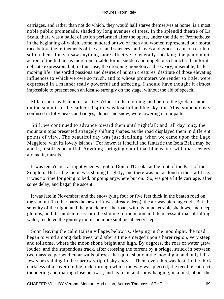carriages, and rather than not do which, they would half starve themselves at home, is a most noble public promenade, shaded by long avenues of trees. In the splendid theatre of La Scala, there was a ballet of action performed after the opera, under the title of Prometheus: in the beginning of which, some hundred or two of men and women represented our mortal race before the refinements of the arts and sciences, and loves and graces, came on earth to soften them. I never saw anything more effective. Generally speaking, the pantomimic action of the Italians is more remarkable for its sudden and impetuous character than for its delicate expression, but, in this case, the drooping monotony: the weary, miserable, listless, moping life: the sordid passions and desires of human creatures, destitute of those elevating influences to which we owe so much, and to whose promoters we render so little: were expressed in a manner really powerful and affecting. I should have thought it almost impossible to present such an idea so strongly on the stage, without the aid of speech.

 Milan soon lay behind us, at five o'clock in the morning; and before the golden statue on the summit of the cathedral spire was lost in the blue sky, the Alps, stupendously confused in lofty peaks and ridges, clouds and snow, were towering in our path.

 Still, we continued to advance toward them until nightfall; and, all day long, the mountain tops presented strangely shifting shapes, as the road displayed them in different points of view. The beautiful day was just declining, when we came upon the Lago Maggiore, with its lovely islands. For however fanciful and fantastic the Isola Bella may be, and is, it still is beautiful. Anything springing out of that blue water, with that scenery around it, must be.

 It was ten o'clock at night when we got to Domo d'Ossola, at the foot of the Pass of the Simplon. But as the moon was shining brightly, and there was not a cloud in the starlit sky, it was no time for going to bed, or going anywhere but on. So, we got a little carriage, after some delay, and began the ascent.

 It was late in November; and the snow lying four or five feet thick in the beaten road on the summit (in other parts the new drift was already deep), the air was piercing cold. But, the serenity of the night, and the grandeur of the road, with its impenetrable shadows, and deep glooms, and its sudden turns into the shining of the moon and its incessant roar of falling water, rendered the journey more and more sublime at every step.

 Soon leaving the calm Italian villages below us, sleeping in the moonlight, the road began to wind among dark trees, and after a time emerged upon a barer region, very steep and toilsome, where the moon shone bright and high. By degrees, the roar of water grew louder; and the stupendous track, after crossing the torrent by a bridge, struck in between two massive perpendicular walls of rock that quite shut out the moonlight, and only left a few stars shining in the narrow strip of sky above. Then, even this was lost, in the thick darkness of a cavern in the rock, through which the way was pierced; the terrible cataract thundering and roaring close below it, and its foam and spray hanging, in a mist, about the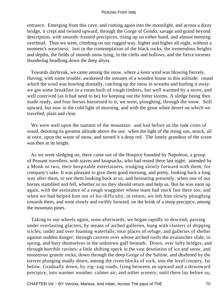entrance. Emerging from this cave, and coming again into the moonlight, and across a dizzy bridge, it crept and twisted upward, through the Gorge of Gondo, savage and grand beyond description, with smooth−fronted precipices, rising up on either hand, and almost meeting overhead. Thus we went, climbing on our rugged way, higher and higher all night, without a moment's weariness: lost in the contemplation of the black rocks, the tremendous heights and depths, the fields of smooth snow lying, in the clefts and hollows, and the fierce torrents thundering headlong down the deep abyss.

 Towards daybreak, we came among the snow, where a keen wind was blowing fiercely. Having, with some trouble, awakened the inmates of a wooden house in this solitude: round which the wind was howling dismally, catching up the snow in wreaths and hurling it away: we got some breakfast in a room built of rough timbers, but well warmed by a stove, and well contrived (as it had need to be) for keeping out the bitter storms. A sledge being then made ready, and four horses harnessed to it, we went, ploughing, through the snow. Still upward, but now in the cold light of morning, and with the great white desert on which we travelled, plain and clear.

 We were well upon the summit of the mountain: and had before us the rude cross of wood, denoting its greatest altitude above the sea: when the light of the rising sun, struck, all at once, upon the waste of snow, and turned it a deep red. The lonely grandeur of the scene was then at its height.

 As we went sledging on, there came out of the Hospice founded by Napoleon, a group of Peasant travellers, with staves and knapsacks, who had rested there last night: attended by a Monk or two, their hospitable entertainers, trudging slowly forward with them, for company's sake. It was pleasant to give them good morning, and pretty, looking back a long way after them, to see them looking back at us, and hesitating presently, when one of our horses stumbled and fell, whether or no they should return and help us. But he was soon up again, with the assistance of a rough waggoner whose team had stuck fast there too; and when we had helped him out of his difficulty, in return, we left him slowly ploughing towards them, and went slowly and swiftly forward, on the brink of a steep precipice, among the mountain pines.

 Taking to our wheels again, soon afterwards, we began rapidly to descend; passing under everlasting glaciers, by means of arched galleries, hung with clusters of dripping icicles; under and over foaming waterfalls; near places of refuge, and galleries of shelter against sudden danger; through caverns over whose arched roofs the avalanches slide, in spring, and bury themselves in the unknown gulf beneath. Down, over lofty bridges, and through horrible ravines: a little shifting speck in the vast desolation of ice and snow, and monstrous granite rocks; down through the deep Gorge of the Saltine, and deafened by the torrent plunging madly down, among the riven blocks of rock, into the level country, far below. Gradually down, by zig−zag roads, lying between an upward and a downward precipice, into warmer weather, calmer air, and softer scenery, until there lay before us,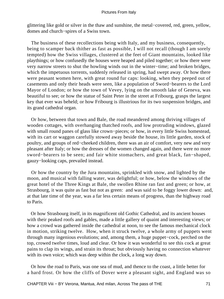glittering like gold or silver in the thaw and sunshine, the metal−covered, red, green, yellow, domes and church−spires of a Swiss town.

 The business of these recollections being with Italy, and my business, consequently, being to scamper back thither as fast as possible, I will not recall (though I am sorely tempted) how the Swiss villages, clustered at the feet of Giant mountains, looked like playthings; or how confusedly the houses were heaped and piled together; or how there were very narrow streets to shut the howling winds out in the winter−time; and broken bridges, which the impetuous torrents, suddenly released in spring, had swept away. Or how there were peasant women here, with great round fur caps: looking, when they peeped out of casements and only their heads were seen, like a population of Sword−bearers to the Lord Mayor of London; or how the town of Vevey, lying on the smooth lake of Geneva, was beautiful to see; or how the statue of Saint Peter in the street at Fribourg, grasps the largest key that ever was beheld; or how Fribourg is illustrious for its two suspension bridges, and its grand cathedral organ.

 Or how, between that town and Bale, the road meandered among thriving villages of wooden cottages, with overhanging thatched roofs, and low protruding windows, glazed with small round panes of glass like crown−pieces; or how, in every little Swiss homestead, with its cart or waggon carefully stowed away beside the house, its little garden, stock of poultry, and groups of red−cheeked children, there was an air of comfort, very new and very pleasant after Italy; or how the dresses of the women changed again, and there were no more sword−bearers to be seen; and fair white stomachers, and great black, fan−shaped, gauzy−looking caps, prevailed instead.

 Or how the country by the Jura mountains, sprinkled with snow, and lighted by the moon, and musical with falling water, was delightful; or how, below the windows of the great hotel of the Three Kings at Bale, the swollen Rhine ran fast and green; or how, at Strasbourg, it was quite as fast but not as green: and was said to be foggy lower down: and, at that late time of the year, was a far less certain means of progress, than the highway road to Paris.

 Or how Strasbourg itself, in its magnificent old Gothic Cathedral, and its ancient houses with their peaked roofs and gables, made a little gallery of quaint and interesting views; or how a crowd was gathered inside the cathedral at noon, to see the famous mechanical clock in motion, striking twelve. How, when it struck twelve, a whole army of puppets went through many ingenious evolutions; and, among them, a huge puppet−cock, perched on the top, crowed twelve times, loud and clear. Or how it was wonderful to see this cock at great pains to clap its wings, and strain its throat; but obviously having no connection whatever with its own voice; which was deep within the clock, a long way down.

 Or how the road to Paris, was one sea of mud, and thence to the coast, a little better for a hard frost. Or how the cliffs of Dover were a pleasant sight, and England was so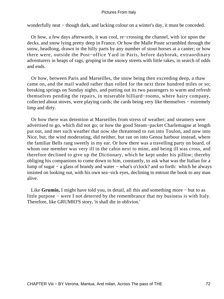wonderfully neat − though dark, and lacking colour on a winter's day, it must be conceded.

 Or how, a few days afterwards, it was cool, re−crossing the channel, with ice upon the decks, and snow lying pretty deep in France. Or how the Malle Poste scrambled through the snow, headlong, drawn in the hilly parts by any number of stout horses at a canter; or how there were, outside the Post−office Yard in Paris, before daybreak, extraordinary adventurers in heaps of rags, groping in the snowy streets with little rakes, in search of odds and ends.

 Or how, between Paris and Marseilles, the snow being then exceeding deep, a thaw came on, and the mail waded rather than rolled for the next three hundred miles or so; breaking springs on Sunday nights, and putting out its two passengers to warm and refresh themselves pending the repairs, in miserable billiard−rooms, where hairy company, collected about stoves, were playing cards; the cards being very like themselves − extremely limp and dirty.

 Or how there was detention at Marseilles from stress of weather; and steamers were advertised to go, which did not go; or how the good Steam−packet Charlemagne at length put out, and met such weather that now she threatened to run into Toulon, and now into Nice, but, the wind moderating, did neither, but ran on into Genoa harbour instead, where the familiar Bells rang sweetly in my ear. Or how there was a travelling party on board, of whom one member was very ill in the cabin next to mine, and being ill was cross, and therefore declined to give up the Dictionary, which he kept under his pillow; thereby obliging his companions to come down to him, constantly, to ask what was the Italian for a lump of sugar − a glass of brandy and water − what's o'clock? and so forth: which he always insisted on looking out, with his own sea−sick eyes, declining to entrust the book to any man alive.

 Like **Grumio,** I might have told you, in detail, all this and something more − but to as little purpose − were I not deterred by the remembrance that my business is with Italy. Therefore, like GRUMIO'S story, 'it shall die in oblivion.'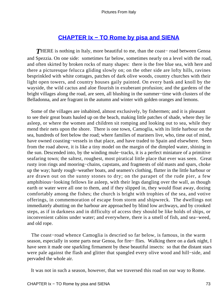# **[CHAPTER Ix − TO Rome by pisa and SIENA](#page-134-0)**

*T*HERE is nothing in Italy, more beautiful to me, than the coast− road between Genoa and Spezzia. On one side: sometimes far below, sometimes nearly on a level with the road, and often skirted by broken rocks of many shapes: there is the free blue sea, with here and there a picturesque felucca gliding slowly on; on the other side are lofty hills, ravines besprinkled with white cottages, patches of dark olive woods, country churches with their light open towers, and country houses gaily painted. On every bank and knoll by the wayside, the wild cactus and aloe flourish in exuberant profusion; and the gardens of the bright villages along the road, are seen, all blushing in the summer−time with clusters of the Belladonna, and are fragrant in the autumn and winter with golden oranges and lemons.

 Some of the villages are inhabited, almost exclusively, by fishermen; and it is pleasant to see their great boats hauled up on the beach, making little patches of shade, where they lie asleep, or where the women and children sit romping and looking out to sea, while they mend their nets upon the shore. There is one town, Camoglia, with its little harbour on the sea, hundreds of feet below the road; where families of mariners live, who, time out of mind, have owned coasting−vessels in that place, and have traded to Spain and elsewhere. Seen from the road above, it is like a tiny model on the margin of the dimpled water, shining in the sun. Descended into, by the winding mule−tracks, it is a perfect miniature of a primitive seafaring town; the saltest, roughest, most piratical little place that ever was seen. Great rusty iron rings and mooring−chains, capstans, and fragments of old masts and spars, choke up the way; hardy rough−weather boats, and seamen's clothing, flutter in the little harbour or are drawn out on the sunny stones to dry; on the parapet of the rude pier, a few amphibious−looking fellows lie asleep, with their legs dangling over the wall, as though earth or water were all one to them, and if they slipped in, they would float away, dozing comfortably among the fishes; the church is bright with trophies of the sea, and votive offerings, in commemoration of escape from storm and shipwreck. The dwellings not immediately abutting on the harbour are approached by blind low archways, and by crooked steps, as if in darkness and in difficulty of access they should be like holds of ships, or inconvenient cabins under water; and everywhere, there is a smell of fish, and sea−weed, and old rope.

 The coast−road whence Camoglia is descried so far below, is famous, in the warm season, especially in some parts near Genoa, for fire− flies. Walking there on a dark night, I have seen it made one sparkling firmament by these beautiful insects: so that the distant stars were pale against the flash and glitter that spangled every olive wood and hill−side, and pervaded the whole air.

It was not in such a season, however, that we traversed this road on our way to Rome.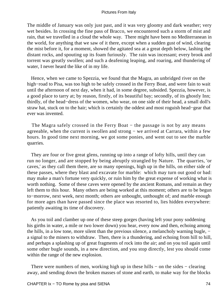The middle of January was only just past, and it was very gloomy and dark weather; very wet besides. In crossing the fine pass of Bracco, we encountered such a storm of mist and rain, that we travelled in a cloud the whole way. There might have been no Mediterranean in the world, for anything that we saw of it there, except when a sudden gust of wind, clearing the mist before it, for a moment, showed the agitated sea at a great depth below, lashing the distant rocks, and spouting up its foam furiously. The rain was incessant; every brook and torrent was greatly swollen; and such a deafening leaping, and roaring, and thundering of water, I never heard the like of in my life.

 Hence, when we came to Spezzia, we found that the Magra, an unbridged river on the high−road to Pisa, was too high to be safely crossed in the Ferry Boat, and were fain to wait until the afternoon of next day, when it had, in some degree, subsided. Spezzia, however, is a good place to tarry at; by reason, firstly, of its beautiful bay; secondly, of its ghostly Inn; thirdly, of the head−dress of the women, who wear, on one side of their head, a small doll's straw hat, stuck on to the hair; which is certainly the oddest and most roguish head−gear that ever was invented.

The Magra safely crossed in the Ferry Boat – the passage is not by any means agreeable, when the current is swollen and strong − we arrived at Carrara, within a few hours. In good time next morning, we got some ponies, and went out to see the marble quarries.

 They are four or five great glens, running up into a range of lofty hills, until they can run no longer, and are stopped by being abruptly strangled by Nature. The quarries, 'or caves,' as they call them there, are so many openings, high up in the hills, on either side of these passes, where they blast and excavate for marble: which may turn out good or bad: may make a man's fortune very quickly, or ruin him by the great expense of working what is worth nothing. Some of these caves were opened by the ancient Romans, and remain as they left them to this hour. Many others are being worked at this moment; others are to be begun to−morrow, next week, next month; others are unbought, unthought of; and marble enough for more ages than have passed since the place was resorted to, lies hidden everywhere: patiently awaiting its time of discovery.

 As you toil and clamber up one of these steep gorges (having left your pony soddening his girths in water, a mile or two lower down) you hear, every now and then, echoing among the hills, in a low tone, more silent than the previous silence, a melancholy warning bugle, − a signal to the miners to withdraw. Then, there is a thundering, and echoing from hill to hill, and perhaps a splashing up of great fragments of rock into the air; and on you toil again until some other bugle sounds, in a new direction, and you stop directly, lest you should come within the range of the new explosion.

There were numbers of men, working high up in these hills – on the sides – clearing away, and sending down the broken masses of stone and earth, to make way for the blocks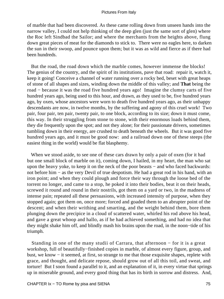of marble that had been discovered. As these came rolling down from unseen hands into the narrow valley, I could not help thinking of the deep glen (just the same sort of glen) where the Roc left Sindbad the Sailor; and where the merchants from the heights above, flung down great pieces of meat for the diamonds to stick to. There were no eagles here, to darken the sun in their swoop, and pounce upon them; but it was as wild and fierce as if there had been hundreds.

 But the road, the road down which the marble comes, however immense the blocks! The genius of the country, and the spirit of its institutions, pave that road: repair it, watch it, keep it going! Conceive a channel of water running over a rocky bed, beset with great heaps of stone of all shapes and sizes, winding down the middle of this valley; and **That** being the road − because it was the road five hundred years ago! Imagine the clumsy carts of five hundred years ago, being used to this hour, and drawn, as they used to be, five hundred years ago, by oxen, whose ancestors were worn to death five hundred years ago, as their unhappy descendants are now, in twelve months, by the suffering and agony of this cruel work! Two pair, four pair, ten pair, twenty pair, to one block, according to its size; down it must come, this way. In their struggling from stone to stone, with their enormous loads behind them, they die frequently upon the spot; and not they alone; for their passionate drivers, sometimes tumbling down in their energy, are crushed to death beneath the wheels. But it was good five hundred years ago, and it must be good now: and a railroad down one of these steeps (the easiest thing in the world) would be flat blasphemy.

 When we stood aside, to see one of these cars drawn by only a pair of oxen (for it had but one small block of marble on it), coming down, I hailed, in my heart, the man who sat upon the heavy yoke, to keep it on the neck of the poor beasts − and who faced backwards: not before him − as the very Devil of true despotism. He had a great rod in his hand, with an iron point; and when they could plough and force their way through the loose bed of the torrent no longer, and came to a stop, he poked it into their bodies, beat it on their heads, screwed it round and round in their nostrils, got them on a yard or two, in the madness of intense pain; repeated all these persuasions, with increased intensity of purpose, when they stopped again; got them on, once more; forced and goaded them to an abrupter point of the descent; and when their writhing and smarting, and the weight behind them, bore them plunging down the precipice in a cloud of scattered water, whirled his rod above his head, and gave a great whoop and hallo, as if he had achieved something, and had no idea that they might shake him off, and blindly mash his brains upon the road, in the noon−tide of his triumph.

 Standing in one of the many studii of Carrara, that afternoon − for it is a great workshop, full of beautifully−finished copies in marble, of almost every figure, group, and bust, we know − it seemed, at first, so strange to me that those exquisite shapes, replete with grace, and thought, and delicate repose, should grow out of all this toil, and sweat, and torture! But I soon found a parallel to it, and an explanation of it, in every virtue that springs up in miserable ground, and every good thing that has its birth in sorrow and distress. And,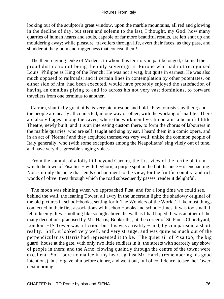looking out of the sculptor's great window, upon the marble mountains, all red and glowing in the decline of day, but stern and solemn to the last, I thought, my God! how many quarries of human hearts and souls, capable of far more beautiful results, are left shut up and mouldering away: while pleasure−travellers through life, avert their faces, as they pass, and shudder at the gloom and ruggedness that conceal them!

 The then reigning Duke of Modena, to whom this territory in part belonged, claimed the proud distinction of being the only sovereign in Europe who had not recognised Louis−Philippe as King of the French! He was not a wag, but quite in earnest. He was also much opposed to railroads; and if certain lines in contemplation by other potentates, on either side of him, had been executed, would have probably enjoyed the satisfaction of having an omnibus plying to and fro across his not very vast dominions, to forward travellers from one terminus to another.

 Carrara, shut in by great hills, is very picturesque and bold. Few tourists stay there; and the people are nearly all connected, in one way or other, with the working of marble. There are also villages among the caves, where the workmen live. It contains a beautiful little Theatre, newly built; and it is an interesting custom there, to form the chorus of labourers in the marble quarries, who are self−taught and sing by ear. I heard them in a comic opera, and in an act of 'Norma;' and they acquitted themselves very well; unlike the common people of Italy generally, who (with some exceptions among the Neapolitans) sing vilely out of tune, and have very disagreeable singing voices.

 From the summit of a lofty hill beyond Carrara, the first view of the fertile plain in which the town of Pisa lies – with Leghorn, a purple spot in the flat distance – is enchanting. Nor is it only distance that lends enchantment to the view; for the fruitful country, and rich woods of olive−trees through which the road subsequently passes, render it delightful.

 The moon was shining when we approached Pisa, and for a long time we could see, behind the wall, the leaning Tower, all awry in the uncertain light; the shadowy original of the old pictures in school−books, setting forth 'The Wonders of the World.' Like most things connected in their first associations with school−books and school−times, it was too small. I felt it keenly. It was nothing like so high above the wall as I had hoped. It was another of the many deceptions practised by Mr. Harris, Bookseller, at the corner of St. Paul's Churchyard, London. HIS Tower was a fiction, but this was a reality − and, by comparison, a short reality. Still, it looked very well, and very strange, and was quite as much out of the perpendicular as Harris had represented it to be. The quiet air of Pisa too; the big guard−house at the gate, with only two little soldiers in it; the streets with scarcely any show of people in them; and the Arno, flowing quaintly through the centre of the town; were excellent. So, I bore no malice in my heart against Mr. Harris (remembering his good intentions), but forgave him before dinner, and went out, full of confidence, to see the Tower next morning.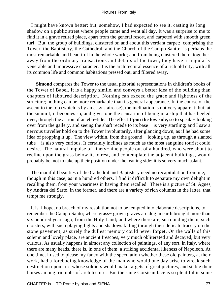I might have known better; but, somehow, I had expected to see it, casting its long shadow on a public street where people came and went all day. It was a surprise to me to find it in a grave retired place, apart from the general resort, and carpeted with smooth green turf. But, the group of buildings, clustered on and about this verdant carpet: comprising the Tower, the Baptistery, the Cathedral, and the Church of the Campo Santo: is perhaps the most remarkable and beautiful in the whole world; and from being clustered there, together, away from the ordinary transactions and details of the town, they have a singularly venerable and impressive character. It is the architectural essence of a rich old city, with all its common life and common habitations pressed out, and filtered away.

**Simond** compares the Tower to the usual pictorial representations in children's books of the Tower of Babel. It is a happy simile, and conveys a better idea of the building than chapters of laboured description. Nothing can exceed the grace and lightness of the structure; nothing can be more remarkable than its general appearance. In the course of the ascent to the top (which is by an easy staircase), the inclination is not very apparent; but, at the summit, it becomes so, and gives one the sensation of being in a ship that has heeled over, through the action of an ebb−tide. The effect **Upon the low side,** so to speak − looking over from the gallery, and seeing the shaft recede to its base − is very startling; and I saw a nervous traveller hold on to the Tower involuntarily, after glancing down, as if he had some idea of propping it up. The view within, from the ground − looking up, as through a slanted tube − is also very curious. It certainly inclines as much as the most sanguine tourist could desire. The natural impulse of ninety−nine people out of a hundred, who were about to recline upon the grass below it, to rest, and contemplate the adjacent buildings, would probably be, not to take up their position under the leaning side; it is so very much aslant.

 The manifold beauties of the Cathedral and Baptistery need no recapitulation from me; though in this case, as in a hundred others, I find it difficult to separate my own delight in recalling them, from your weariness in having them recalled. There is a picture of St. Agnes, by Andrea del Sarto, in the former, and there are a variety of rich columns in the latter, that tempt me strongly.

 It is, I hope, no breach of my resolution not to be tempted into elaborate descriptions, to remember the Campo Santo; where grass− grown graves are dug in earth brought more than six hundred years ago, from the Holy Land; and where there are, surrounding them, such cloisters, with such playing lights and shadows falling through their delicate tracery on the stone pavement, as surely the dullest memory could never forget. On the walls of this solemn and lovely place, are ancient frescoes, very much obliterated and decayed, but very curious. As usually happens in almost any collection of paintings, of any sort, in Italy, where there are many heads, there is, in one of them, a striking accidental likeness of Napoleon. At one time, I used to please my fancy with the speculation whether these old painters, at their work, had a foreboding knowledge of the man who would one day arise to wreak such destruction upon art: whose soldiers would make targets of great pictures, and stable their horses among triumphs of architecture. But the same Corsican face is so plentiful in some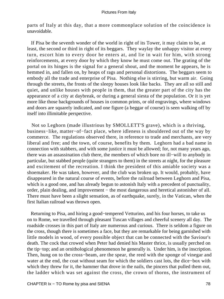parts of Italy at this day, that a more commonplace solution of the coincidence is unavoidable.

 If Pisa be the seventh wonder of the world in right of its Tower, it may claim to be, at least, the second or third in right of its beggars. They waylay the unhappy visitor at every turn, escort him to every door he enters at, and lie in wait for him, with strong reinforcements, at every door by which they know he must come out. The grating of the portal on its hinges is the signal for a general shout, and the moment he appears, he is hemmed in, and fallen on, by heaps of rags and personal distortions. The beggars seem to embody all the trade and enterprise of Pisa. Nothing else is stirring, but warm air. Going through the streets, the fronts of the sleepy houses look like backs. They are all so still and quiet, and unlike houses with people in them, that the greater part of the city has the appearance of a city at daybreak, or during a general siesta of the population. Or it is yet more like those backgrounds of houses in common prints, or old engravings, where windows and doors are squarely indicated, and one figure (a beggar of course) is seen walking off by itself into illimitable perspective.

 Not so Leghorn (made illustrious by SMOLLETT'S grave), which is a thriving, business−like, matter−of−fact place, where idleness is shouldered out of the way by commerce. The regulations observed there, in reference to trade and merchants, are very liberal and free; and the town, of course, benefits by them. Leghorn had a bad name in connection with stabbers, and with some justice it must be allowed; for, not many years ago, there was an assassination club there, the members of which bore no ill−will to anybody in particular, but stabbed people (quite strangers to them) in the streets at night, for the pleasure and excitement of the recreation. I think the president of this amiable society was a shoemaker. He was taken, however, and the club was broken up. It would, probably, have disappeared in the natural course of events, before the railroad between Leghorn and Pisa, which is a good one, and has already begun to astonish Italy with a precedent of punctuality, order, plain dealing, and improvement – the most dangerous and heretical astonisher of all. There must have been a slight sensation, as of earthquake, surely, in the Vatican, when the first Italian railroad was thrown open.

 Returning to Pisa, and hiring a good−tempered Vetturino, and his four horses, to take us on to Rome, we travelled through pleasant Tuscan villages and cheerful scenery all day. The roadside crosses in this part of Italy are numerous and curious. There is seldom a figure on the cross, though there is sometimes a face, but they are remarkable for being garnished with little models in wood, of every possible object that can be connected with the Saviour's death. The cock that crowed when Peter had denied his Master thrice, is usually perched on the tip−top; and an ornithological phenomenon he generally is. Under him, is the inscription. Then, hung on to the cross−beam, are the spear, the reed with the sponge of vinegar and water at the end, the coat without seam for which the soldiers cast lots, the dice−box with which they threw for it, the hammer that drove in the nails, the pincers that pulled them out, the ladder which was set against the cross, the crown of thorns, the instrument of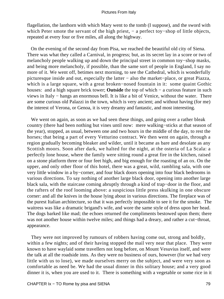flagellation, the lanthorn with which Mary went to the tomb (I suppose), and the sword with which Peter smote the servant of the high priest, – a perfect toy–shop of little objects, repeated at every four or five miles, all along the highway.

 On the evening of the second day from Pisa, we reached the beautiful old city of Siena. There was what they called a Carnival, in progress; but, as its secret lay in a score or two of melancholy people walking up and down the principal street in common toy−shop masks, and being more melancholy, if possible, than the same sort of people in England, I say no more of it. We went off, betimes next morning, to see the Cathedral, which is wonderfully picturesque inside and out, especially the latter − also the market−place, or great Piazza, which is a large square, with a great broken−nosed fountain in it: some quaint Gothic houses: and a high square brick tower; **Outside** the top of which − a curious feature in such views in Italy − hangs an enormous bell. It is like a bit of Venice, without the water. There are some curious old Palazzi in the town, which is very ancient; and without having (for me) the interest of Verona, or Genoa, it is very dreamy and fantastic, and most interesting.

We went on again, as soon as we had seen these things, and going over a rather bleak country (there had been nothing but vines until now: mere walking−sticks at that season of the year), stopped, as usual, between one and two hours in the middle of the day, to rest the horses; that being a part of every Vetturino contract. We then went on again, through a region gradually becoming bleaker and wilder, until it became as bare and desolate as any Scottish moors. Soon after dark, we halted for the night, at the osteria of La Scala: a perfectly lone house, where the family were sitting round a great fire in the kitchen, raised on a stone platform three or four feet high, and big enough for the roasting of an ox. On the upper, and only other floor of this hotel, there was a great, wild, rambling sala, with one very little window in a by−corner, and four black doors opening into four black bedrooms in various directions. To say nothing of another large black door, opening into another large black sala, with the staircase coming abruptly through a kind of trap−door in the floor, and the rafters of the roof looming above: a suspicious little press skulking in one obscure corner: and all the knives in the house lying about in various directions. The fireplace was of the purest Italian architecture, so that it was perfectly impossible to see it for the smoke. The waitress was like a dramatic brigand's wife, and wore the same style of dress upon her head. The dogs barked like mad; the echoes returned the compliments bestowed upon them; there was not another house within twelve miles; and things had a dreary, and rather a cut−throat, appearance.

 They were not improved by rumours of robbers having come out, strong and boldly, within a few nights; and of their having stopped the mail very near that place. They were known to have waylaid some travellers not long before, on Mount Vesuvius itself, and were the talk at all the roadside inns. As they were no business of ours, however (for we had very little with us to lose), we made ourselves merry on the subject, and were very soon as comfortable as need be. We had the usual dinner in this solitary house; and a very good dinner it is, when you are used to it. There is something with a vegetable or some rice in it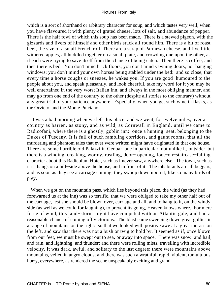which is a sort of shorthand or arbitrary character for soup, and which tastes very well, when you have flavoured it with plenty of grated cheese, lots of salt, and abundance of pepper. There is the half fowl of which this soup has been made. There is a stewed pigeon, with the gizzards and livers of himself and other birds stuck all round him. There is a bit of roast beef, the size of a small French roll. There are a scrap of Parmesan cheese, and five little withered apples, all huddled together on a small plate, and crowding one upon the other, as if each were trying to save itself from the chance of being eaten. Then there is coffee; and then there is bed. You don't mind brick floors; you don't mind yawning doors, nor banging windows; you don't mind your own horses being stabled under the bed: and so close, that every time a horse coughs or sneezes, he wakes you. If you are good−humoured to the people about you, and speak pleasantly, and look cheerful, take my word for it you may be well entertained in the very worst Italian Inn, and always in the most obliging manner, and may go from one end of the country to the other (despite all stories to the contrary) without any great trial of your patience anywhere. Especially, when you get such wine in flasks, as the Orvieto, and the Monte Pulciano.

 It was a bad morning when we left this place; and we went, for twelve miles, over a country as barren, as stony, and as wild, as Cornwall in England, until we came to Radicofani, where there is a ghostly, goblin inn: once a hunting−seat, belonging to the Dukes of Tuscany. It is full of such rambling corridors, and gaunt rooms, that all the murdering and phantom tales that ever were written might have originated in that one house. There are some horrible old Palazzi in Genoa: one in particular, not unlike it, outside: but there is a winding, creaking, wormy, rustling, door− opening, foot−on−staircase−falling character about this Radicofani Hotel, such as I never saw, anywhere else. The town, such as it is, hangs on a hill−side above the house, and in front of it. The inhabitants are all beggars; and as soon as they see a carriage coming, they swoop down upon it, like so many birds of prey.

 When we got on the mountain pass, which lies beyond this place, the wind (as they had forewarned us at the inn) was so terrific, that we were obliged to take my other half out of the carriage, lest she should be blown over, carriage and all, and to hang to it, on the windy side (as well as we could for laughing), to prevent its going, Heaven knows where. For mere force of wind, this land−storm might have competed with an Atlantic gale, and had a reasonable chance of coming off victorious. The blast came sweeping down great gullies in a range of mountains on the right: so that we looked with positive awe at a great morass on the left, and saw that there was not a bush or twig to hold by. It seemed as if, once blown from our feet, we must be swept out to sea, or away into space. There was snow, and hail, and rain, and lightning, and thunder; and there were rolling mists, travelling with incredible velocity. It was dark, awful, and solitary to the last degree; there were mountains above mountains, veiled in angry clouds; and there was such a wrathful, rapid, violent, tumultuous hurry, everywhere, as rendered the scene unspeakably exciting and grand.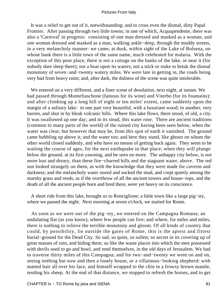It was a relief to get out of it, notwithstanding; and to cross even the dismal, dirty Papal Frontier. After passing through two little towns; in one of which, Acquapendente, there was also a 'Carnival' in progress: consisting of one man dressed and masked as a woman, and one woman dressed and masked as a man, walking ankle−deep, through the muddy streets, in a very melancholy manner: we came, at dusk, within sight of the Lake of Bolsena, on whose bank there is a little town of the same name, much celebrated for malaria. With the exception of this poor place, there is not a cottage on the banks of the lake, or near it (for nobody dare sleep there); not a boat upon its waters; not a stick or stake to break the dismal monotony of seven−and−twenty watery miles. We were late in getting in, the roads being very bad from heavy rains; and, after dark, the dulness of the scene was quite intolerable.

 We entered on a very different, and a finer scene of desolation, next night, at sunset. We had passed through Montefiaschone (famous for its wine) and Viterbo (for its fountains): and after climbing up a long hill of eight or ten miles' extent, came suddenly upon the margin of a solitary lake: in one part very beautiful, with a luxuriant wood; in another, very barren, and shut in by bleak volcanic hills. Where this lake flows, there stood, of old, a city. It was swallowed up one day; and in its stead, this water rose. There are ancient traditions (common to many parts of the world) of the ruined city having been seen below, when the water was clear; but however that may be, from this spot of earth it vanished. The ground came bubbling up above it; and the water too; and here they stand, like ghosts on whom the other world closed suddenly, and who have no means of getting back again. They seem to be waiting the course of ages, for the next earthquake in that place; when they will plunge below the ground, at its first yawning, and be seen no more. The unhappy city below, is not more lost and dreary, than these fire−charred hills and the stagnant water, above. The red sun looked strangely on them, as with the knowledge that they were made for caverns and darkness; and the melancholy water oozed and sucked the mud, and crept quietly among the marshy grass and reeds, as if the overthrow of all the ancient towers and house−tops, and the death of all the ancient people born and bred there, were yet heavy on its conscience.

 A short ride from this lake, brought us to Ronciglione; a little town like a large pig−sty, where we passed the night. Next morning at seven o'clock, we started for Rome.

 As soon as we were out of the pig−sty, we entered on the Campagna Romana; an undulating flat (as you know), where few people can live; and where, for miles and miles, there is nothing to relieve the terrible monotony and gloom. Of all kinds of country that could, by possibility, lie outside the gates of Rome, this is the aptest and fittest burial−ground for the Dead City. So sad, so quiet, so sullen; so secret in its covering up of great masses of ruin, and hiding them; so like the waste places into which the men possessed with devils used to go and howl, and rend themselves, in the old days of Jerusalem. We had to traverse thirty miles of this Campagna; and for two−and−twenty we went on and on, seeing nothing but now and then a lonely house, or a villainous−looking shepherd: with matted hair all over his face, and himself wrapped to the chin in a frowsy brown mantle, tending his sheep. At the end of that distance, we stopped to refresh the horses, and to get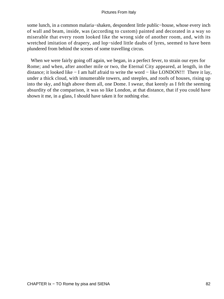some lunch, in a common malaria−shaken, despondent little public−house, whose every inch of wall and beam, inside, was (according to custom) painted and decorated in a way so miserable that every room looked like the wrong side of another room, and, with its wretched imitation of drapery, and lop−sided little daubs of lyres, seemed to have been plundered from behind the scenes of some travelling circus.

 When we were fairly going off again, we began, in a perfect fever, to strain our eyes for Rome; and when, after another mile or two, the Eternal City appeared, at length, in the distance; it looked like − I am half afraid to write the word − like LONDON!!! There it lay, under a thick cloud, with innumerable towers, and steeples, and roofs of houses, rising up into the sky, and high above them all, one Dome. I swear, that keenly as I felt the seeming absurdity of the comparison, it was so like London, at that distance, that if you could have shown it me, in a glass, I should have taken it for nothing else.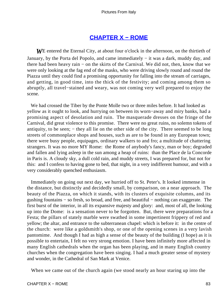# **[CHAPTER X − ROME](#page-134-0)**

*W*E entered the Eternal City, at about four o'clock in the afternoon, on the thirtieth of January, by the Porta del Popolo, and came immediately − it was a dark, muddy day, and there had been heavy rain − on the skirts of the Carnival. We did not, then, know that we were only looking at the fag end of the masks, who were driving slowly round and round the Piazza until they could find a promising opportunity for falling into the stream of carriages, and getting, in good time, into the thick of the festivity; and coming among them so abruptly, all travel−stained and weary, was not coming very well prepared to enjoy the scene.

 We had crossed the Tiber by the Ponte Molle two or three miles before. It had looked as yellow as it ought to look, and hurrying on between its worn−away and miry banks, had a promising aspect of desolation and ruin. The masquerade dresses on the fringe of the Carnival, did great violence to this promise. There were no great ruins, no solemn tokens of antiquity, to be seen; – they all lie on the other side of the city. There seemed to be long streets of commonplace shops and houses, such as are to be found in any European town; there were busy people, equipages, ordinary walkers to and fro; a multitude of chattering strangers. It was no more MY Rome: the Rome of anybody's fancy, man or boy; degraded and fallen and lying asleep in the sun among a heap of ruins: than the Place de la Concorde in Paris is. A cloudy sky, a dull cold rain, and muddy streets, I was prepared for, but not for this: and I confess to having gone to bed, that night, in a very indifferent humour, and with a very considerably quenched enthusiasm.

 Immediately on going out next day, we hurried off to St. Peter's. It looked immense in the distance, but distinctly and decidedly small, by comparison, on a near approach. The beauty of the Piazza, on which it stands, with its clusters of exquisite columns, and its gushing fountains − so fresh, so broad, and free, and beautiful − nothing can exaggerate. The first burst of the interior, in all its expansive majesty and glory: and, most of all, the looking up into the Dome: is a sensation never to be forgotten. But, there were preparations for a Festa; the pillars of stately marble were swathed in some impertinent frippery of red and yellow; the altar, and entrance to the subterranean chapel: which is before it: in the centre of the church: were like a goldsmith's shop, or one of the opening scenes in a very lavish pantomime. And though I had as high a sense of the beauty of the building (I hope) as it is possible to entertain, I felt no very strong emotion. I have been infinitely more affected in many English cathedrals when the organ has been playing, and in many English country churches when the congregation have been singing. I had a much greater sense of mystery and wonder, in the Cathedral of San Mark at Venice.

When we came out of the church again (we stood nearly an hour staring up into the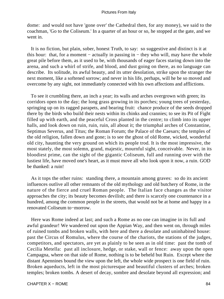dome: and would not have 'gone over' the Cathedral then, for any money), we said to the coachman, 'Go to the Coliseum.' In a quarter of an hour or so, he stopped at the gate, and we went in.

 It is no fiction, but plain, sober, honest Truth, to say: so suggestive and distinct is it at this hour: that, for a moment − actually in passing in − they who will, may have the whole great pile before them, as it used to be, with thousands of eager faces staring down into the arena, and such a whirl of strife, and blood, and dust going on there, as no language can describe. Its solitude, its awful beauty, and its utter desolation, strike upon the stranger the next moment, like a softened sorrow; and never in his life, perhaps, will he be so moved and overcome by any sight, not immediately connected with his own affections and afflictions.

 To see it crumbling there, an inch a year; its walls and arches overgrown with green; its corridors open to the day; the long grass growing in its porches; young trees of yesterday, springing up on its ragged parapets, and bearing fruit: chance produce of the seeds dropped there by the birds who build their nests within its chinks and crannies; to see its Pit of Fight filled up with earth, and the peaceful Cross planted in the centre; to climb into its upper halls, and look down on ruin, ruin, ruin, all about it; the triumphal arches of Constantine, Septimus Severus, and Titus; the Roman Forum; the Palace of the Caesars; the temples of the old religion, fallen down and gone; is to see the ghost of old Rome, wicked, wonderful old city, haunting the very ground on which its people trod. It is the most impressive, the most stately, the most solemn, grand, majestic, mournful sight, conceivable. Never, in its bloodiest prime, can the sight of the gigantic Coliseum, full and running over with the lustiest life, have moved one's heart, as it must move all who look upon it now, a ruin. GOD be thanked: a ruin!

 As it tops the other ruins: standing there, a mountain among graves: so do its ancient influences outlive all other remnants of the old mythology and old butchery of Rome, in the nature of the fierce and cruel Roman people. The Italian face changes as the visitor approaches the city; its beauty becomes devilish; and there is scarcely one countenance in a hundred, among the common people in the streets, that would not be at home and happy in a renovated Coliseum to−morrow.

 Here was Rome indeed at last; and such a Rome as no one can imagine in its full and awful grandeur! We wandered out upon the Appian Way, and then went on, through miles of ruined tombs and broken walls, with here and there a desolate and uninhabited house: past the Circus of Romulus, where the course of the chariots, the stations of the judges, competitors, and spectators, are yet as plainly to be seen as in old time: past the tomb of Cecilia Metella: past all inclosure, hedge, or stake, wall or fence: away upon the open Campagna, where on that side of Rome, nothing is to be beheld but Ruin. Except where the distant Apennines bound the view upon the left, the whole wide prospect is one field of ruin. Broken aqueducts, left in the most picturesque and beautiful clusters of arches; broken temples; broken tombs. A desert of decay, sombre and desolate beyond all expression; and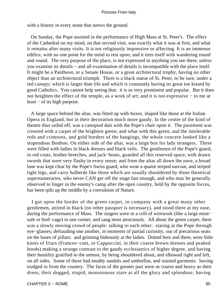with a history in every stone that strews the ground.

 On Sunday, the Pope assisted in the performance of High Mass at St. Peter's. The effect of the Cathedral on my mind, on that second visit, was exactly what it was at first, and what it remains after many visits. It is not religiously impressive or affecting. It is an immense edifice, with no one point for the mind to rest upon; and it tires itself with wandering round and round. The very purpose of the place, is not expressed in anything you see there, unless you examine its details − and all examination of details is incompatible with the place itself. It might be a Pantheon, or a Senate House, or a great architectural trophy, having no other object than an architectural triumph. There is a black statue of St. Peter, to be sure, under a red canopy; which is larger than life and which is constantly having its great toe kissed by good Catholics. You cannot help seeing that: it is so very prominent and popular. But it does not heighten the effect of the temple, as a work of art; and it is not expressive − to me at least − of its high purpose.

 A large space behind the altar, was fitted up with boxes, shaped like those at the Italian Opera in England, but in their decoration much more gaudy. In the centre of the kind of theatre thus railed off, was a canopied dais with the Pope's chair upon it. The pavement was covered with a carpet of the brightest green; and what with this green, and the intolerable reds and crimsons, and gold borders of the hangings, the whole concern looked like a stupendous Bonbon. On either side of the altar, was a large box for lady strangers. These were filled with ladies in black dresses and black veils. The gentlemen of the Pope's guard, in red coats, leather breeches, and jack−boots, guarded all this reserved space, with drawn swords that were very flashy in every sense; and from the altar all down the nave, a broad lane was kept clear by the Pope's Swiss guard, who wear a quaint striped surcoat, and striped tight legs, and carry halberds like those which are usually shouldered by those theatrical supernumeraries, who never CAN get off the stage fast enough, and who may be generally observed to linger in the enemy's camp after the open country, held by the opposite forces, has been split up the middle by a convulsion of Nature.

 I got upon the border of the green carpet, in company with a great many other gentlemen, attired in black (no other passport is necessary), and stood there at my ease, during the performance of Mass. The singers were in a crib of wirework (like a large meat− safe or bird−cage) in one corner; and sang most atrociously. All about the green carpet, there was a slowly moving crowd of people: talking to each other: staring at the Pope through eye−glasses; defrauding one another, in moments of partial curiosity, out of precarious seats on the bases of pillars: and grinning hideously at the ladies. Dotted here and there, were little knots of friars (Frances−cani, or Cappuccini, in their coarse brown dresses and peaked hoods) making a strange contrast to the gaudy ecclesiastics of higher degree, and having their humility gratified to the utmost, by being shouldered about, and elbowed right and left, on all sides. Some of these had muddy sandals and umbrellas, and stained garments: having trudged in from the country. The faces of the greater part were as coarse and heavy as their dress; their dogged, stupid, monotonous stare at all the glory and splendour, having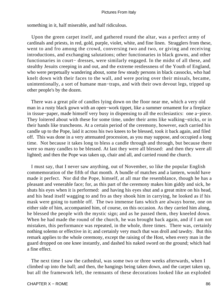something in it, half miserable, and half ridiculous.

 Upon the green carpet itself, and gathered round the altar, was a perfect army of cardinals and priests, in red, gold, purple, violet, white, and fine linen. Stragglers from these, went to and fro among the crowd, conversing two and two, or giving and receiving introductions, and exchanging salutations; other functionaries in black gowns, and other functionaries in court– dresses, were similarly engaged. In the midst of all these, and stealthy Jesuits creeping in and out, and the extreme restlessness of the Youth of England, who were perpetually wandering about, some few steady persons in black cassocks, who had knelt down with their faces to the wall, and were poring over their missals, became, unintentionally, a sort of humane man−traps, and with their own devout legs, tripped up other people's by the dozen.

 There was a great pile of candles lying down on the floor near me, which a very old man in a rusty black gown with an open−work tippet, like a summer ornament for a fireplace in tissue−paper, made himself very busy in dispensing to all the ecclesiastics: one a−piece. They loitered about with these for some time, under their arms like walking−sticks, or in their hands like truncheons. At a certain period of the ceremony, however, each carried his candle up to the Pope, laid it across his two knees to be blessed, took it back again, and filed off. This was done in a very attenuated procession, as you may suppose, and occupied a long time. Not because it takes long to bless a candle through and through, but because there were so many candles to be blessed. At last they were all blessed: and then they were all lighted; and then the Pope was taken up, chair and all, and carried round the church.

 I must say, that I never saw anything, out of November, so like the popular English commemoration of the fifth of that month. A bundle of matches and a lantern, would have made it perfect. Nor did the Pope, himself, at all mar the resemblance, though he has a pleasant and venerable face; for, as this part of the ceremony makes him giddy and sick, he shuts his eyes when it is performed: and having his eyes shut and a great mitre on his head, and his head itself wagging to and fro as they shook him in carrying, he looked as if his mask were going to tumble off. The two immense fans which are always borne, one on either side of him, accompanied him, of course, on this occasion. As they carried him along, he blessed the people with the mystic sign; and as he passed them, they kneeled down. When he had made the round of the church, he was brought back again, and if I am not mistaken, this performance was repeated, in the whole, three times. There was, certainly nothing solemn or effective in it; and certainly very much that was droll and tawdry. But this remark applies to the whole ceremony, except the raising of the Host, when every man in the guard dropped on one knee instantly, and dashed his naked sword on the ground; which had a fine effect.

 The next time I saw the cathedral, was some two or three weeks afterwards, when I climbed up into the ball; and then, the hangings being taken down, and the carpet taken up, but all the framework left, the remnants of these decorations looked like an exploded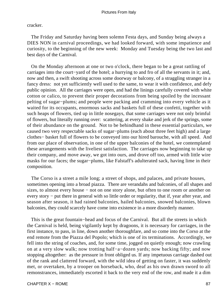cracker.

 The Friday and Saturday having been solemn Festa days, and Sunday being always a DIES NON in carnival proceedings, we had looked forward, with some impatience and curiosity, to the beginning of the new week: Monday and Tuesday being the two last and best days of the Carnival.

 On the Monday afternoon at one or two o'clock, there began to be a great rattling of carriages into the court−yard of the hotel; a hurrying to and fro of all the servants in it; and, now and then, a swift shooting across some doorway or balcony, of a straggling stranger in a fancy dress: not yet sufficiently well used to the same, to wear it with confidence, and defy public opinion. All the carriages were open, and had the linings carefully covered with white cotton or calico, to prevent their proper decorations from being spoiled by the incessant pelting of sugar−plums; and people were packing and cramming into every vehicle as it waited for its occupants, enormous sacks and baskets full of these confetti, together with such heaps of flowers, tied up in little nosegays, that some carriages were not only brimful of flowers, but literally running over: scattering, at every shake and jerk of the springs, some of their abundance on the ground. Not to be behindhand in these essential particulars, we caused two very respectable sacks of sugar−plums (each about three feet high) and a large clothes− basket full of flowers to be conveyed into our hired barouche, with all speed. And from our place of observation, in one of the upper balconies of the hotel, we contemplated these arrangements with the liveliest satisfaction. The carriages now beginning to take up their company, and move away, we got into ours, and drove off too, armed with little wire masks for our faces; the sugar−plums, like Falstaff's adulterated sack, having lime in their composition.

 The Corso is a street a mile long; a street of shops, and palaces, and private houses, sometimes opening into a broad piazza. There are verandahs and balconies, of all shapes and sizes, to almost every house − not on one story alone, but often to one room or another on every story − put there in general with so little order or regularity, that if, year after year, and season after season, it had rained balconies, hailed balconies, snowed balconies, blown balconies, they could scarcely have come into existence in a more disorderly manner.

 This is the great fountain−head and focus of the Carnival. But all the streets in which the Carnival is held, being vigilantly kept by dragoons, it is necessary for carriages, in the first instance, to pass, in line, down another thoroughfare, and so come into the Corso at the end remote from the Piazza del Popolo; which is one of its terminations. Accordingly, we fell into the string of coaches, and, for some time, jogged on quietly enough; now crawling on at a very slow walk; now trotting half−a−dozen yards; now backing fifty; and now stopping altogether: as the pressure in front obliged us. If any impetuous carriage dashed out of the rank and clattered forward, with the wild idea of getting on faster, it was suddenly met, or overtaken, by a trooper on horseback, who, deaf as his own drawn sword to all remonstrances, immediately escorted it back to the very end of the row, and made it a dim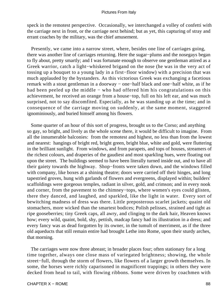speck in the remotest perspective. Occasionally, we interchanged a volley of confetti with the carriage next in front, or the carriage next behind; but as yet, this capturing of stray and errant coaches by the military, was the chief amusement.

 Presently, we came into a narrow street, where, besides one line of carriages going, there was another line of carriages returning. Here the sugar−plums and the nosegays began to fly about, pretty smartly; and I was fortunate enough to observe one gentleman attired as a Greek warrior, catch a light−whiskered brigand on the nose (he was in the very act of tossing up a bouquet to a young lady in a first−floor window) with a precision that was much applauded by the bystanders. As this victorious Greek was exchanging a facetious remark with a stout gentleman in a doorway − one−half black and one−half white, as if he had been peeled up the middle − who had offered him his congratulations on this achievement, he received an orange from a house−top, full on his left ear, and was much surprised, not to say discomfited. Especially, as he was standing up at the time; and in consequence of the carriage moving on suddenly, at the same moment, staggered ignominiously, and buried himself among his flowers.

 Some quarter of an hour of this sort of progress, brought us to the Corso; and anything so gay, so bright, and lively as the whole scene there, it would be difficult to imagine. From all the innumerable balconies: from the remotest and highest, no less than from the lowest and nearest: hangings of bright red, bright green, bright blue, white and gold, were fluttering in the brilliant sunlight. From windows, and from parapets, and tops of houses, streamers of the richest colours, and draperies of the gaudiest and most sparkling hues, were floating out upon the street. The buildings seemed to have been literally turned inside out, and to have all their gaiety towards the highway. Shop−fronts were taken down, and the windows filled with company, like boxes at a shining theatre; doors were carried off their hinges, and long tapestried groves, hung with garlands of flowers and evergreens, displayed within; builders' scaffoldings were gorgeous temples, radiant in silver, gold, and crimson; and in every nook and corner, from the pavement to the chimney−tops, where women's eyes could glisten, there they danced, and laughed, and sparkled, like the light in water. Every sort of bewitching madness of dress was there. Little preposterous scarlet jackets; quaint old stomachers, more wicked than the smartest bodices; Polish pelisses, strained and tight as ripe gooseberries; tiny Greek caps, all awry, and clinging to the dark hair, Heaven knows how; every wild, quaint, bold, shy, pettish, madcap fancy had its illustration in a dress; and every fancy was as dead forgotten by its owner, in the tumult of merriment, as if the three old aqueducts that still remain entire had brought Lethe into Rome, upon their sturdy arches, that morning.

 The carriages were now three abreast; in broader places four; often stationary for a long time together, always one close mass of variegated brightness; showing, the whole street−full, through the storm of flowers, like flowers of a larger growth themselves. In some, the horses were richly caparisoned in magnificent trappings; in others they were decked from head to tail, with flowing ribbons. Some were driven by coachmen with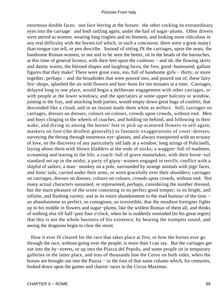enormous double faces: one face leering at the horses: the other cocking its extraordinary eyes into the carriage: and both rattling again, under the hail of sugar−plums. Other drivers were attired as women, wearing long ringlets and no bonnets, and looking more ridiculous in any real difficulty with the horses (of which, in such a concourse, there were a great many) than tongue can tell, or pen describe. Instead of sitting IN the carriages, upon the seats, the handsome Roman women, to see and to be seen the better, sit in the heads of the barouches, at this time of general licence, with their feet upon the cushions − and oh, the flowing skirts and dainty waists, the blessed shapes and laughing faces, the free, good−humoured, gallant figures that they make! There were great vans, too, full of handsome girls − thirty, or more together, perhaps – and the broadsides that were poured into, and poured out of, these fairy fire−shops, splashed the air with flowers and bon−bons for ten minutes at a time. Carriages, delayed long in one place, would begin a deliberate engagement with other carriages, or with people at the lower windows; and the spectators at some upper balcony or window, joining in the fray, and attacking both parties, would empty down great bags of confetti, that descended like a cloud, and in an instant made them white as millers. Still, carriages on carriages, dresses on dresses, colours on colours, crowds upon crowds, without end. Men and boys clinging to the wheels of coaches, and holding on behind, and following in their wake, and diving in among the horses' feet to pick up scattered flowers to sell again; maskers on foot (the drollest generally) in fantastic exaggerations of court−dresses, surveying the throng through enormous eye−glasses, and always transported with an ecstasy of love, on the discovery of any particularly old lady at a window; long strings of Policinelli, laying about them with blown bladders at the ends of sticks; a waggon−full of madmen, screaming and tearing to the life; a coach−full of grave mamelukes, with their horse−tail standard set up in the midst; a party of gipsy−women engaged in terrific conflict with a shipful of sailors; a man− monkey on a pole, surrounded by strange animals with pigs' faces, and lions' tails, carried under their arms, or worn gracefully over their shoulders; carriages on carriages, dresses on dresses, colours on colours, crowds upon crowds, without end. Not many actual characters sustained, or represented, perhaps, considering the number dressed, but the main pleasure of the scene consisting in its perfect good temper; in its bright, and infinite, and flashing variety; and in its entire abandonment to the mad humour of the time − an abandonment so perfect, so contagious, so irresistible, that the steadiest foreigner fights up to his middle in flowers and sugar−plums, like the wildest Roman of them all, and thinks of nothing else till half−past four o'clock, when he is suddenly reminded (to his great regret) that this is not the whole business of his existence, by hearing the trumpets sound, and seeing the dragoons begin to clear the street.

 How it ever IS cleared for the race that takes place at five, or how the horses ever go through the race, without going over the people, is more than I can say. But the carriages get out into the by−streets, or up into the Piazza del Popolo, and some people sit in temporary galleries in the latter place, and tens of thousands line the Corso on both sides, when the horses are brought out into the Piazza – to the foot of that same column which, for centuries, looked down upon the games and chariot−races in the Circus Maximus.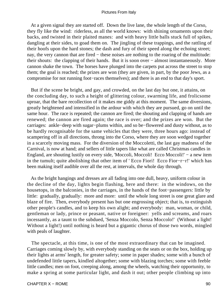At a given signal they are started off. Down the live lane, the whole length of the Corso, they fly like the wind: riderless, as all the world knows: with shining ornaments upon their backs, and twisted in their plaited manes: and with heavy little balls stuck full of spikes, dangling at their sides, to goad them on. The jingling of these trappings, and the rattling of their hoofs upon the hard stones; the dash and fury of their speed along the echoing street; nay, the very cannon that are fired – these noises are nothing to the roaring of the multitude: their shouts: the clapping of their hands. But it is soon over − almost instantaneously. More cannon shake the town. The horses have plunged into the carpets put across the street to stop them; the goal is reached; the prizes are won (they are given, in part, by the poor Jews, as a compromise for not running foot−races themselves); and there is an end to that day's sport.

 But if the scene be bright, and gay, and crowded, on the last day but one, it attains, on the concluding day, to such a height of glittering colour, swarming life, and frolicsome uproar, that the bare recollection of it makes me giddy at this moment. The same diversions, greatly heightened and intensified in the ardour with which they are pursued, go on until the same hour. The race is repeated; the cannon are fired; the shouting and clapping of hands are renewed; the cannon are fired again; the race is over; and the prizes are won. But the carriages: ankle−deep with sugar−plums within, and so be−flowered and dusty without, as to be hardly recognisable for the same vehicles that they were, three hours ago: instead of scampering off in all directions, throng into the Corso, where they are soon wedged together in a scarcely moving mass. For the diversion of the Moccoletti, the last gay madness of the Carnival, is now at hand; and sellers of little tapers like what are called Christmas candles in England, are shouting lustily on every side, 'Moccoli, Moccoli! Ecco Moccoli!' − a new item in the tumult; quite abolishing that other item of ' Ecco Fiori! Ecco Fior−r−r!' which has been making itself audible over all the rest, at intervals, the whole day through.

 As the bright hangings and dresses are all fading into one dull, heavy, uniform colour in the decline of the day, lights begin flashing, here and there: in the windows, on the housetops, in the balconies, in the carriages, in the hands of the foot−passengers: little by little: gradually, gradually: more and more: until the whole long street is one great glare and blaze of fire. Then, everybody present has but one engrossing object; that is, to extinguish other people's candles, and to keep his own alight; and everybody: man, woman, or child, gentleman or lady, prince or peasant, native or foreigner: yells and screams, and roars incessantly, as a taunt to the subdued, 'Senza Moccolo, Senza Moccolo!' (Without a light! Without a light!) until nothing is heard but a gigantic chorus of those two words, mingled with peals of laughter.

 The spectacle, at this time, is one of the most extraordinary that can be imagined. Carriages coming slowly by, with everybody standing on the seats or on the box, holding up their lights at arms' length, for greater safety; some in paper shades; some with a bunch of undefended little tapers, kindled altogether; some with blazing torches; some with feeble little candles; men on foot, creeping along, among the wheels, watching their opportunity, to make a spring at some particular light, and dash it out; other people climbing up into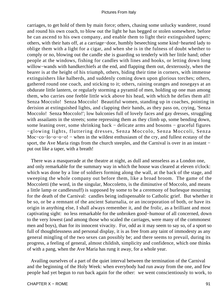carriages, to get hold of them by main force; others, chasing some unlucky wanderer, round and round his own coach, to blow out the light he has begged or stolen somewhere, before he can ascend to his own company, and enable them to light their extinguished tapers; others, with their hats off, at a carriage−door, humbly beseeching some kind−hearted lady to oblige them with a light for a cigar, and when she is in the fulness of doubt whether to comply or no, blowing out the candle she is guarding so tenderly with her little hand; other people at the windows, fishing for candles with lines and hooks, or letting down long willow−wands with handkerchiefs at the end, and flapping them out, dexterously, when the bearer is at the height of his triumph, others, biding their time in corners, with immense extinguishers like halberds, and suddenly coming down upon glorious torches; others, gathered round one coach, and sticking to it; others, raining oranges and nosegays at an obdurate little lantern, or regularly storming a pyramid of men, holding up one man among them, who carries one feeble little wick above his head, with which he defies them all! Senza Moccolo! Senza Moccolo! Beautiful women, standing up in coaches, pointing in derision at extinguished lights, and clapping their hands, as they pass on, crying, 'Senza Moccolo! Senza Moccolo!'; low balconies full of lovely faces and gay dresses, struggling with assailants in the streets; some repressing them as they climb up, some bending down, some leaning over, some shrinking back − delicate arms and bosoms − graceful figures −glowing lights, fluttering dresses, Senza Moccolo, Senza Moccoli, Senza Moc−co−lo−o−o−o! − when in the wildest enthusiasm of the cry, and fullest ecstasy of the sport, the Ave Maria rings from the church steeples, and the Carnival is over in an instant − put out like a taper, with a breath!

 There was a masquerade at the theatre at night, as dull and senseless as a London one, and only remarkable for the summary way in which the house was cleared at eleven o'clock: which was done by a line of soldiers forming along the wall, at the back of the stage, and sweeping the whole company out before them, like a broad broom. The game of the Moccoletti (the word, in the singular, Moccoletto, is the diminutive of Moccolo, and means a little lamp or candlesnuff) is supposed by some to be a ceremony of burlesque mourning for the death of the Carnival: candles being indispensable to Catholic grief. But whether it be so, or be a remnant of the ancient Saturnalia, or an incorporation of both, or have its origin in anything else, I shall always remember it, and the frolic, as a brilliant and most captivating sight: no less remarkable for the unbroken good−humour of all concerned, down to the very lowest (and among those who scaled the carriages, were many of the commonest men and boys), than for its innocent vivacity. For, odd as it may seem to say so, of a sport so full of thoughtlessness and personal display, it is as free from any taint of immodesty as any general mingling of the two sexes can possibly be; and there seems to prevail, during its progress, a feeling of general, almost childish, simplicity and confidence, which one thinks of with a pang, when the Ave Maria has rung it away, for a whole year.

 Availing ourselves of a part of the quiet interval between the termination of the Carnival and the beginning of the Holy Week: when everybody had run away from the one, and few people had yet begun to run back again for the other: we went conscientiously to work, to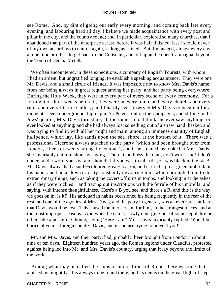see Rome. And, by dint of going out early every morning, and coming back late every evening, and labouring hard all day, I believe we made acquaintance with every post and pillar in the city, and the country round; and, in particular, explored so many churches, that I abandoned that part of the enterprise at last, before it was half finished, lest I should never, of my own accord, go to church again, as long as I lived. But, I managed, almost every day, at one time or other, to get back to the Coliseum, and out upon the open Campagna, beyond the Tomb of Cecilia Metella.

 We often encountered, in these expeditions, a company of English Tourists, with whom I had an ardent, but ungratified longing, to establish a speaking acquaintance. They were one Mr. Davis, and a small circle of friends. It was impossible not to know Mrs. Davis's name, from her being always in great request among her party, and her party being everywhere. During the Holy Week, they were in every part of every scene of every ceremony. For a fortnight or three weeks before it, they were in every tomb, and every church, and every ruin, and every Picture Gallery; and I hardly ever observed Mrs. Davis to be silent for a moment. Deep underground, high up in St. Peter's, out on the Campagna, and stifling in the Jews' quarter, Mrs. Davis turned up, all the same. I don't think she ever saw anything, or ever looked at anything; and she had always lost something out of a straw hand−basket, and was trying to find it, with all her might and main, among an immense quantity of English halfpence, which lay, like sands upon the sea−shore, at the bottom of it. There was a professional Cicerone always attached to the party (which had been brought over from London, fifteen or twenty strong, by contract), and if he so much as looked at Mrs. Davis, she invariably cut him short by saying, 'There, God bless the man, don't worrit me! I don't understand a word you say, and shouldn't if you was to talk till you was black in the face!' Mr. Davis always had a snuff−coloured great−coat on, and carried a great green umbrella in his hand, and had a slow curiosity constantly devouring him, which prompted him to do extraordinary things, such as taking the covers off urns in tombs, and looking in at the ashes as if they were pickles − and tracing out inscriptions with the ferrule of his umbrella, and saying, with intense thoughtfulness, 'Here's a B you see, and there's a R, and this is the way we goes on in; is it!' His antiquarian habits occasioned his being frequently in the rear of the rest; and one of the agonies of Mrs. Davis, and the party in general, was an ever−present fear that Davis would be lost. This caused them to scream for him, in the strangest places, and at the most improper seasons. And when he came, slowly emerging out of some sepulchre or other, like a peaceful Ghoule, saying 'Here I am!' Mrs. Davis invariably replied, 'You'll be buried alive in a foreign country, Davis, and it's no use trying to prevent you!'

 Mr. and Mrs. Davis, and their party, had, probably, been brought from London in about nine or ten days. Eighteen hundred years ago, the Roman legions under Claudius, protested against being led into Mr. and Mrs. Davis's country, urging that it lay beyond the limits of the world.

 Among what may be called the Cubs or minor Lions of Rome, there was one that amused me mightily. It is always to be found there; and its den is on the great flight of steps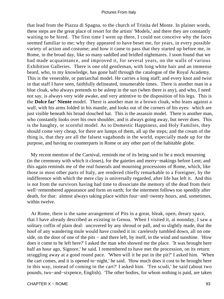that lead from the Piazza di Spagna, to the church of Trinita del Monte. In plainer words, these steps are the great place of resort for the artists' 'Models,' and there they are constantly waiting to be hired. The first time I went up there, I could not conceive why the faces seemed familiar to me; why they appeared to have beset me, for years, in every possible variety of action and costume; and how it came to pass that they started up before me, in Rome, in the broad day, like so many saddled and bridled nightmares. I soon found that we had made acquaintance, and improved it, for several years, on the walls of various Exhibition Galleries. There is one old gentleman, with long white hair and an immense beard, who, to my knowledge, has gone half through the catalogue of the Royal Academy. This is the venerable, or patriarchal model. He carries a long staff; and every knot and twist in that staff I have seen, faithfully delineated, innumerable times. There is another man in a blue cloak, who always pretends to be asleep in the sun (when there is any), and who, I need not say, is always very wide awake, and very attentive to the disposition of his legs. This is the **Dolce far' Niente** model. There is another man in a brown cloak, who leans against a wall, with his arms folded in his mantle, and looks out of the corners of his eyes: which are just visible beneath his broad slouched hat. This is the assassin model. There is another man, who constantly looks over his own shoulder, and is always going away, but never does. This is the haughty, or scornful model. As to Domestic Happiness, and Holy Families, they should come very cheap, for there are lumps of them, all up the steps; and the cream of the thing is, that they are all the falsest vagabonds in the world, especially made up for the purpose, and having no counterparts in Rome or any other part of the habitable globe.

 My recent mention of the Carnival, reminds me of its being said to be a mock mourning (in the ceremony with which it closes), for the gaieties and merry−makings before Lent; and this again reminds me of the real funerals and mourning processions of Rome, which, like those in most other parts of Italy, are rendered chiefly remarkable to a Foreigner, by the indifference with which the mere clay is universally regarded, after life has left it. And this is not from the survivors having had time to dissociate the memory of the dead from their well−remembered appearance and form on earth; for the interment follows too speedily after death, for that: almost always taking place within four−and−twenty hours, and, sometimes, within twelve.

 At Rome, there is the same arrangement of Pits in a great, bleak, open, dreary space, that I have already described as existing in Genoa. When I visited it, at noonday, I saw a solitary coffin of plain deal: uncovered by any shroud or pall, and so slightly made, that the hoof of any wandering mule would have crushed it in: carelessly tumbled down, all on one side, on the door of one of the pits − and there left, by itself, in the wind and sunshine. 'How does it come to be left here?' I asked the man who showed me the place. 'It was brought here half an hour ago, Signore,' he said. I remembered to have met the procession, on its return: straggling away at a good round pace. 'When will it be put in the pit?' I asked him. 'When the cart comes, and it is opened to−night,' he said. 'How much does it cost to be brought here in this way, instead of coming in the cart?' I asked him. 'Ten scudi,' he said (about two pounds, two−and−sixpence, English). 'The other bodies, for whom nothing is paid, are taken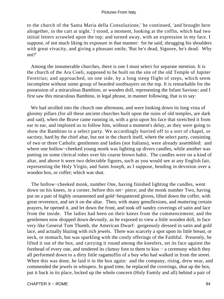to the church of the Santa Maria della Consolazione,' he continued, 'and brought here altogether, in the cart at night.' I stood, a moment, looking at the coffin, which had two initial letters scrawled upon the top; and turned away, with an expression in my face, I suppose, of not much liking its exposure in that manner: for he said, shrugging his shoulders with great vivacity, and giving a pleasant smile, 'But he's dead, Signore, he's dead. Why not?'

 Among the innumerable churches, there is one I must select for separate mention. It is the church of the Ara Coeli, supposed to be built on the site of the old Temple of Jupiter Feretrius; and approached, on one side, by a long steep flight of steps, which seem incomplete without some group of bearded soothsayers on the top. It is remarkable for the possession of a miraculous Bambino, or wooden doll, representing the Infant Saviour; and I first saw this miraculous Bambino, in legal phrase, in manner following, that is to say:

 We had strolled into the church one afternoon, and were looking down its long vista of gloomy pillars (for all these ancient churches built upon the ruins of old temples, are dark and sad), when the Brave came running in, with a grin upon his face that stretched it from ear to ear, and implored us to follow him, without a moment's delay, as they were going to show the Bambino to a select party. We accordingly hurried off to a sort of chapel, or sacristy, hard by the chief altar, but not in the church itself, where the select party, consisting of two or three Catholic gentlemen and ladies (not Italians), were already assembled: and where one hollow−cheeked young monk was lighting up divers candles, while another was putting on some clerical robes over his coarse brown habit. The candles were on a kind of altar, and above it were two delectable figures, such as you would see at any English fair, representing the Holy Virgin, and Saint Joseph, as I suppose, bending in devotion over a wooden box, or coffer; which was shut.

 The hollow−cheeked monk, number One, having finished lighting the candles, went down on his knees, in a corner, before this set− piece; and the monk number Two, having put on a pair of highly ornamented and gold−bespattered gloves, lifted down the coffer, with great reverence, and set it on the altar. Then, with many genuflexions, and muttering certain prayers, he opened it, and let down the front, and took off sundry coverings of satin and lace from the inside. The ladies had been on their knees from the commencement; and the gentlemen now dropped down devoutly, as he exposed to view a little wooden doll, in face very like General Tom Thumb, the American Dwarf: gorgeously dressed in satin and gold lace, and actually blazing with rich jewels. There was scarcely a spot upon its little breast, or neck, or stomach, but was sparkling with the costly offerings of the Faithful. Presently, he lifted it out of the box, and carrying it round among the kneelers, set its face against the forehead of every one, and tendered its clumsy foot to them to kiss − a ceremony which they all performed down to a dirty little ragamuffin of a boy who had walked in from the street. When this was done, he laid it in the box again: and the company, rising, drew near, and commended the jewels in whispers. In good time, he replaced the coverings, shut up the box, put it back in its place, locked up the whole concern (Holy Family and all) behind a pair of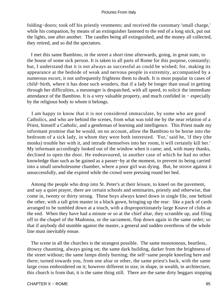folding−doors; took off his priestly vestments; and received the customary 'small charge,' while his companion, by means of an extinguisher fastened to the end of a long stick, put out the lights, one after another. The candles being all extinguished, and the money all collected, they retired, and so did the spectators.

 I met this same Bambino, in the street a short time afterwards, going, in great state, to the house of some sick person. It is taken to all parts of Rome for this purpose, constantly; but, I understand that it is not always as successful as could be wished; for, making its appearance at the bedside of weak and nervous people in extremity, accompanied by a numerous escort, it not unfrequently frightens them to death. It is most popular in cases of child−birth, where it has done such wonders, that if a lady be longer than usual in getting through her difficulties, a messenger is despatched, with all speed, to solicit the immediate attendance of the Bambino. It is a very valuable property, and much confided in − especially by the religious body to whom it belongs.

 I am happy to know that it is not considered immaculate, by some who are good Catholics, and who are behind the scenes, from what was told me by the near relation of a Priest, himself a Catholic, and a gentleman of learning and intelligence. This Priest made my informant promise that he would, on no account, allow the Bambino to be borne into the bedroom of a sick lady, in whom they were both interested. 'For,' said he, 'if they (the monks) trouble her with it, and intrude themselves into her room, it will certainly kill her.' My informant accordingly looked out of the window when it came; and, with many thanks, declined to open the door. He endeavoured, in another case of which he had no other knowledge than such as he gained as a passer−by at the moment, to prevent its being carried into a small unwholesome chamber, where a poor girl was dying. But, he strove against it unsuccessfully, and she expired while the crowd were pressing round her bed.

 Among the people who drop into St. Peter's at their leisure, to kneel on the pavement, and say a quiet prayer, there are certain schools and seminaries, priestly and otherwise, that come in, twenty or thirty strong. These boys always kneel down in single file, one behind the other, with a tall grim master in a black gown, bringing up the rear: like a pack of cards arranged to be tumbled down at a touch, with a disproportionately large Knave of clubs at the end. When they have had a minute or so at the chief altar, they scramble up, and filing off to the chapel of the Madonna, or the sacrament, flop down again in the same order; so that if anybody did stumble against the master, a general and sudden overthrow of the whole line must inevitably ensue.

 The scene in all the churches is the strangest possible. The same monotonous, heartless, drowsy chaunting, always going on; the same dark building, darker from the brightness of the street without; the same lamps dimly burning; the self−same people kneeling here and there; turned towards you, from one altar or other, the same priest's back, with the same large cross embroidered on it; however different in size, in shape, in wealth, in architecture, this church is from that, it is the same thing still. There are the same dirty beggars stopping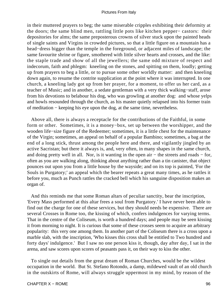in their muttered prayers to beg; the same miserable cripples exhibiting their deformity at the doors; the same blind men, rattling little pots like kitchen pepper− castors: their depositories for alms; the same preposterous crowns of silver stuck upon the painted heads of single saints and Virgins in crowded pictures, so that a little figure on a mountain has a head−dress bigger than the temple in the foreground, or adjacent miles of landscape; the same favourite shrine or figure, smothered with little silver hearts and crosses, and the like: the staple trade and show of all the jewellers; the same odd mixture of respect and indecorum, faith and phlegm: kneeling on the stones, and spitting on them, loudly; getting up from prayers to beg a little, or to pursue some other worldly matter: and then kneeling down again, to resume the contrite supplication at the point where it was interrupted. In one church, a kneeling lady got up from her prayer, for a moment, to offer us her card, as a teacher of Music; and in another, a sedate gentleman with a very thick walking−staff, arose from his devotions to belabour his dog, who was growling at another dog: and whose yelps and howls resounded through the church, as his master quietly relapsed into his former train of meditation − keeping his eye upon the dog, at the same time, nevertheless.

 Above all, there is always a receptacle for the contributions of the Faithful, in some form or other. Sometimes, it is a money−box, set up between the worshipper, and the wooden life−size figure of the Redeemer; sometimes, it is a little chest for the maintenance of the Virgin; sometimes, an appeal on behalf of a popular Bambino; sometimes, a bag at the end of a long stick, thrust among the people here and there, and vigilantly jingled by an active Sacristan; but there it always is, and, very often, in many shapes in the same church, and doing pretty well in all. Nor, is it wanting in the open air − the streets and roads − for, often as you are walking along, thinking about anything rather than a tin canister, that object pounces out upon you from a little house by the wayside; and on its top is painted, 'For the Souls in Purgatory;' an appeal which the bearer repeats a great many times, as he rattles it before you, much as Punch rattles the cracked bell which his sanguine disposition makes an organ of.

 And this reminds me that some Roman altars of peculiar sanctity, bear the inscription, 'Every Mass performed at this altar frees a soul from Purgatory.' I have never been able to find out the charge for one of these services, but they should needs be expensive. There are several Crosses in Rome too, the kissing of which, confers indulgences for varying terms. That in the centre of the Coliseum, is worth a hundred days; and people may be seen kissing it from morning to night. It is curious that some of these crosses seem to acquire an arbitrary popularity: this very one among them. In another part of the Coliseum there is a cross upon a marble slab, with the inscription, 'Who kisses this cross shall be entitled to Two hundred and forty days' indulgence.' But I saw no one person kiss it, though, day after day, I sat in the arena, and saw scores upon scores of peasants pass it, on their way to kiss the other.

 To single out details from the great dream of Roman Churches, would be the wildest occupation in the world. But St. Stefano Rotondo, a damp, mildewed vault of an old church in the outskirts of Rome, will always struggle uppermost in my mind, by reason of the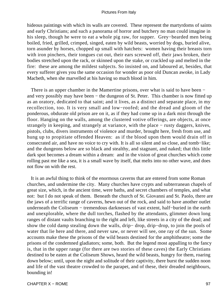hideous paintings with which its walls are covered. These represent the martyrdoms of saints and early Christians; and such a panorama of horror and butchery no man could imagine in his sleep, though he were to eat a whole pig raw, for supper. Grey−bearded men being boiled, fried, grilled, crimped, singed, eaten by wild beasts, worried by dogs, buried alive, torn asunder by horses, chopped up small with hatchets: women having their breasts torn with iron pinchers, their tongues cut out, their ears screwed off, their jaws broken, their bodies stretched upon the rack, or skinned upon the stake, or crackled up and melted in the fire: these are among the mildest subjects. So insisted on, and laboured at, besides, that every sufferer gives you the same occasion for wonder as poor old Duncan awoke, in Lady Macbeth, when she marvelled at his having so much blood in him.

There is an upper chamber in the Mamertine prisons, over what is said to have been − and very possibly may have been − the dungeon of St. Peter. This chamber is now fitted up as an oratory, dedicated to that saint; and it lives, as a distinct and separate place, in my recollection, too. It is very small and low−roofed; and the dread and gloom of the ponderous, obdurate old prison are on it, as if they had come up in a dark mist through the floor. Hanging on the walls, among the clustered votive offerings, are objects, at once strangely in keeping, and strangely at variance, with the place − rusty daggers, knives, pistols, clubs, divers instruments of violence and murder, brought here, fresh from use, and hung up to propitiate offended Heaven: as if the blood upon them would drain off in consecrated air, and have no voice to cry with. It is all so silent and so close, and tomb−like; and the dungeons below are so black and stealthy, and stagnant, and naked; that this little dark spot becomes a dream within a dream: and in the vision of great churches which come rolling past me like a sea, it is a small wave by itself, that melts into no other wave, and does not flow on with the rest.

 It is an awful thing to think of the enormous caverns that are entered from some Roman churches, and undermine the city. Many churches have crypts and subterranean chapels of great size, which, in the ancient time, were baths, and secret chambers of temples, and what not: but I do not speak of them. Beneath the church of St. Giovanni and St. Paolo, there are the jaws of a terrific range of caverns, hewn out of the rock, and said to have another outlet underneath the Coliseum − tremendous darknesses of vast extent, half−buried in the earth and unexplorable, where the dull torches, flashed by the attendants, glimmer down long ranges of distant vaults branching to the right and left, like streets in a city of the dead; and show the cold damp stealing down the walls, drip− drop, drip−drop, to join the pools of water that lie here and there, and never saw, or never will see, one ray of the sun. Some accounts make these the prisons of the wild beasts destined for the amphitheatre; some the prisons of the condemned gladiators; some, both. But the legend most appalling to the fancy is, that in the upper range (for there are two stories of these caves) the Early Christians destined to be eaten at the Coliseum Shows, heard the wild beasts, hungry for them, roaring down below; until, upon the night and solitude of their captivity, there burst the sudden noon and life of the vast theatre crowded to the parapet, and of these, their dreaded neighbours, bounding in!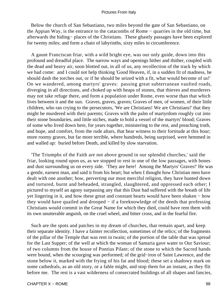Below the church of San Sebastiano, two miles beyond the gate of San Sebastiano, on the Appian Way, is the entrance to the catacombs of Rome − quarries in the old time, but afterwards the hiding− places of the Christians. These ghastly passages have been explored for twenty miles; and form a chain of labyrinths, sixty miles in circumference.

 A gaunt Franciscan friar, with a wild bright eye, was our only guide, down into this profound and dreadful place. The narrow ways and openings hither and thither, coupled with the dead and heavy air, soon blotted out, in all of us, any recollection of the track by which we had come: and I could not help thinking 'Good Heaven, if, in a sudden fit of madness, he should dash the torches out, or if he should be seized with a fit, what would become of us!' On we wandered, among martyrs' graves: passing great subterranean vaulted roads, diverging in all directions, and choked up with heaps of stones, that thieves and murderers may not take refuge there, and form a population under Rome, even worse than that which lives between it and the sun. Graves, graves, graves; Graves of men, of women, of their little children, who ran crying to the persecutors, 'We are Christians! We are Christians!' that they might be murdered with their parents; Graves with the palm of martyrdom roughly cut into their stone boundaries, and little niches, made to hold a vessel of the martyrs' blood; Graves of some who lived down here, for years together, ministering to the rest, and preaching truth, and hope, and comfort, from the rude altars, that bear witness to their fortitude at this hour; more roomy graves, but far more terrible, where hundreds, being surprised, were hemmed in and walled up: buried before Death, and killed by slow starvation.

 'The Triumphs of the Faith are not above ground in our splendid churches,' said the friar, looking round upon us, as we stopped to rest in one of the low passages, with bones and dust surrounding us on every side. 'They are here! Among the Martyrs' Graves!' He was a gentle, earnest man, and said it from his heart; but when I thought how Christian men have dealt with one another; how, perverting our most merciful religion, they have hunted down and tortured, burnt and beheaded, strangled, slaughtered, and oppressed each other; I pictured to myself an agony surpassing any that this Dust had suffered with the breath of life yet lingering in it, and how these great and constant hearts would have been shaken − how they would have quailed and drooped − if a foreknowledge of the deeds that professing Christians would commit in the Great Name for which they died, could have rent them with its own unutterable anguish, on the cruel wheel, and bitter cross, and in the fearful fire.

 Such are the spots and patches in my dream of churches, that remain apart, and keep their separate identity. I have a fainter recollection, sometimes of the relics; of the fragments of the pillar of the Temple that was rent in twain; of the portion of the table that was spread for the Last Supper; of the well at which the woman of Samaria gave water to Our Saviour; of two columns from the house of Pontius Pilate; of the stone to which the Sacred hands were bound, when the scourging was performed; of the grid−iron of Saint Lawrence, and the stone below it, marked with the frying of his fat and blood; these set a shadowy mark on some cathedrals, as an old story, or a fable might, and stop them for an instant, as they flit before me. The rest is a vast wilderness of consecrated buildings of all shapes and fancies,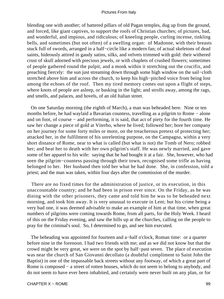blending one with another; of battered pillars of old Pagan temples, dug up from the ground, and forced, like giant captives, to support the roofs of Christian churches; of pictures, bad, and wonderful, and impious, and ridiculous; of kneeling people, curling incense, tinkling bells, and sometimes (but not often) of a swelling organ: of Madonne, with their breasts stuck full of swords, arranged in a half−circle like a modern fan; of actual skeletons of dead saints, hideously attired in gaudy satins, silks, and velvets trimmed with gold: their withered crust of skull adorned with precious jewels, or with chaplets of crushed flowers; sometimes of people gathered round the pulpit, and a monk within it stretching out the crucifix, and preaching fiercely: the sun just streaming down through some high window on the sail−cloth stretched above him and across the church, to keep his high−pitched voice from being lost among the echoes of the roof. Then my tired memory comes out upon a flight of steps, where knots of people are asleep, or basking in the light; and strolls away, among the rags, and smells, and palaces, and hovels, of an old Italian street.

 On one Saturday morning (the eighth of March), a man was beheaded here. Nine or ten months before, he had waylaid a Bavarian countess, travelling as a pilgrim to Rome − alone and on foot, of course − and performing, it is said, that act of piety for the fourth time. He saw her change a piece of gold at Viterbo, where he lived; followed her; bore her company on her journey for some forty miles or more, on the treacherous pretext of protecting her; attacked her, in the fulfilment of his unrelenting purpose, on the Campagna, within a very short distance of Rome, near to what is called (but what is not) the Tomb of Nero; robbed her; and beat her to death with her own pilgrim's staff. He was newly married, and gave some of her apparel to his wife: saying that he had bought it at a fair. She, however, who had seen the pilgrim−countess passing through their town, recognised some trifle as having belonged to her. Her husband then told her what he had done. She, in confession, told a priest; and the man was taken, within four days after the commission of the murder.

 There are no fixed times for the administration of justice, or its execution, in this unaccountable country; and he had been in prison ever since. On the Friday, as he was dining with the other prisoners, they came and told him he was to be beheaded next morning, and took him away. It is very unusual to execute in Lent; but his crime being a very bad one, it was deemed advisable to make an example of him at that time, when great numbers of pilgrims were coming towards Rome, from all parts, for the Holy Week. I heard of this on the Friday evening, and saw the bills up at the churches, calling on the people to pray for the criminal's soul. So, I determined to go, and see him executed.

 The beheading was appointed for fourteen and a−half o'clock, Roman time: or a quarter before nine in the forenoon. I had two friends with me; and as we did not know but that the crowd might be very great, we were on the spot by half−past seven. The place of execution was near the church of San Giovanni decollato (a doubtful compliment to Saint John the Baptist) in one of the impassable back streets without any footway, of which a great part of Rome is composed − a street of rotten houses, which do not seem to belong to anybody, and do not seem to have ever been inhabited, and certainly were never built on any plan, or for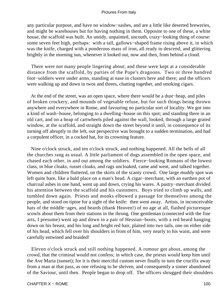any particular purpose, and have no window−sashes, and are a little like deserted breweries, and might be warehouses but for having nothing in them. Opposite to one of these, a white house, the scaffold was built. An untidy, unpainted, uncouth, crazy−looking thing of course: some seven feet high, perhaps: with a tall, gallows−shaped frame rising above it, in which was the knife, charged with a ponderous mass of iron, all ready to descend, and glittering brightly in the morning sun, whenever it looked out, now and then, from behind a cloud.

 There were not many people lingering about; and these were kept at a considerable distance from the scaffold, by parties of the Pope's dragoons. Two or three hundred foot−soldiers were under arms, standing at ease in clusters here and there; and the officers were walking up and down in twos and threes, chatting together, and smoking cigars.

 At the end of the street, was an open space, where there would be a dust−heap, and piles of broken crockery, and mounds of vegetable refuse, but for such things being thrown anywhere and everywhere in Rome, and favouring no particular sort of locality. We got into a kind of wash−house, belonging to a dwelling−house on this spot; and standing there in an old cart, and on a heap of cartwheels piled against the wall, looked, through a large grated window, at the scaffold, and straight down the street beyond it until, in consequence of its turning off abruptly to the left, our perspective was brought to a sudden termination, and had a corpulent officer, in a cocked hat, for its crowning feature.

 Nine o'clock struck, and ten o'clock struck, and nothing happened. All the bells of all the churches rang as usual. A little parliament of dogs assembled in the open space, and chased each other, in and out among the soldiers. Fierce−looking Romans of the lowest class, in blue cloaks, russet cloaks, and rags uncloaked, came and went, and talked together. Women and children fluttered, on the skirts of the scanty crowd. One large muddy spot was left quite bare, like a bald place on a man's head. A cigar−merchant, with an earthen pot of charcoal ashes in one hand, went up and down, crying his wares. A pastry−merchant divided his attention between the scaffold and his customers. Boys tried to climb up walls, and tumbled down again. Priests and monks elbowed a passage for themselves among the people, and stood on tiptoe for a sight of the knife: then went away. Artists, in inconceivable hats of the middle−ages, and beards (thank Heaven!) of no age at all, flashed picturesque scowls about them from their stations in the throng. One gentleman (connected with the fine arts, I presume) went up and down in a pair of Hessian−boots, with a red beard hanging down on his breast, and his long and bright red hair, plaited into two tails, one on either side of his head, which fell over his shoulders in front of him, very nearly to his waist, and were carefully entwined and braided!

 Eleven o'clock struck and still nothing happened. A rumour got about, among the crowd, that the criminal would not confess; in which case, the priests would keep him until the Ave Maria (sunset); for it is their merciful custom never finally to turn the crucifix away from a man at that pass, as one refusing to be shriven, and consequently a sinner abandoned of the Saviour, until then. People began to drop off. The officers shrugged their shoulders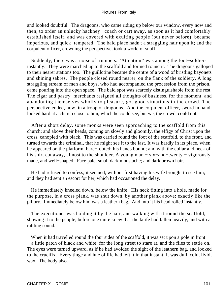and looked doubtful. The dragoons, who came riding up below our window, every now and then, to order an unlucky hackney− coach or cart away, as soon as it had comfortably established itself, and was covered with exulting people (but never before), became imperious, and quick−tempered. The bald place hadn't a straggling hair upon it; and the corpulent officer, crowning the perspective, took a world of snuff.

 Suddenly, there was a noise of trumpets. 'Attention!' was among the foot−soldiers instantly. They were marched up to the scaffold and formed round it. The dragoons galloped to their nearer stations too. The guillotine became the centre of a wood of bristling bayonets and shining sabres. The people closed round nearer, on the flank of the soldiery. A long straggling stream of men and boys, who had accompanied the procession from the prison, came pouring into the open space. The bald spot was scarcely distinguishable from the rest. The cigar and pastry−merchants resigned all thoughts of business, for the moment, and abandoning themselves wholly to pleasure, got good situations in the crowd. The perspective ended, now, in a troop of dragoons. And the corpulent officer, sword in hand, looked hard at a church close to him, which he could see, but we, the crowd, could not.

 After a short delay, some monks were seen approaching to the scaffold from this church; and above their heads, coming on slowly and gloomily, the effigy of Christ upon the cross, canopied with black. This was carried round the foot of the scaffold, to the front, and turned towards the criminal, that he might see it to the last. It was hardly in its place, when he appeared on the platform, bare−footed; his hands bound; and with the collar and neck of his shirt cut away, almost to the shoulder. A young man − six−and−twenty − vigorously made, and well−shaped. Face pale; small dark moustache; and dark brown hair.

 He had refused to confess, it seemed, without first having his wife brought to see him; and they had sent an escort for her, which had occasioned the delay.

 He immediately kneeled down, below the knife. His neck fitting into a hole, made for the purpose, in a cross plank, was shut down, by another plank above; exactly like the pillory. Immediately below him was a leathern bag. And into it his head rolled instantly.

 The executioner was holding it by the hair, and walking with it round the scaffold, showing it to the people, before one quite knew that the knife had fallen heavily, and with a rattling sound.

 When it had travelled round the four sides of the scaffold, it was set upon a pole in front − a little patch of black and white, for the long street to stare at, and the flies to settle on. The eyes were turned upward, as if he had avoided the sight of the leathern bag, and looked to the crucifix. Every tinge and hue of life had left it in that instant. It was dull, cold, livid, wax. The body also.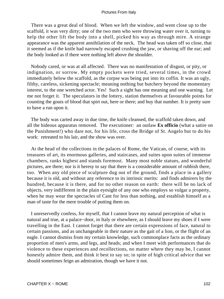There was a great deal of blood. When we left the window, and went close up to the scaffold, it was very dirty; one of the two men who were throwing water over it, turning to help the other lift the body into a shell, picked his way as through mire. A strange appearance was the apparent annihilation of the neck. The head was taken off so close, that it seemed as if the knife had narrowly escaped crushing the jaw, or shaving off the ear; and the body looked as if there were nothing left above the shoulder.

 Nobody cared, or was at all affected. There was no manifestation of disgust, or pity, or indignation, or sorrow. My empty pockets were tried, several times, in the crowd immediately below the scaffold, as the corpse was being put into its coffin. It was an ugly, filthy, careless, sickening spectacle; meaning nothing but butchery beyond the momentary interest, to the one wretched actor. Yes! Such a sight has one meaning and one warning. Let me not forget it. The speculators in the lottery, station themselves at favourable points for counting the gouts of blood that spirt out, here or there; and buy that number. It is pretty sure to have a run upon it.

 The body was carted away in due time, the knife cleansed, the scaffold taken down, and all the hideous apparatus removed. The executioner: an outlaw **Ex officio** (what a satire on the Punishment!) who dare not, for his life, cross the Bridge of St. Angelo but to do his work: retreated to his lair, and the show was over.

 At the head of the collections in the palaces of Rome, the Vatican, of course, with its treasures of art, its enormous galleries, and staircases, and suites upon suites of immense chambers, ranks highest and stands foremost. Many most noble statues, and wonderful pictures, are there; nor is it heresy to say that there is a considerable amount of rubbish there, too. When any old piece of sculpture dug out of the ground, finds a place in a gallery because it is old, and without any reference to its intrinsic merits: and finds admirers by the hundred, because it is there, and for no other reason on earth: there will be no lack of objects, very indifferent in the plain eyesight of any one who employs so vulgar a property, when he may wear the spectacles of Cant for less than nothing, and establish himself as a man of taste for the mere trouble of putting them on.

 I unreservedly confess, for myself, that I cannot leave my natural perception of what is natural and true, at a palace−door, in Italy or elsewhere, as I should leave my shoes if I were travelling in the East. I cannot forget that there are certain expressions of face, natural to certain passions, and as unchangeable in their nature as the gait of a lion, or the flight of an eagle. I cannot dismiss from my certain knowledge, such commonplace facts as the ordinary proportion of men's arms, and legs, and heads; and when I meet with performances that do violence to these experiences and recollections, no matter where they may be, I cannot honestly admire them, and think it best to say so; in spite of high critical advice that we should sometimes feign an admiration, though we have it not.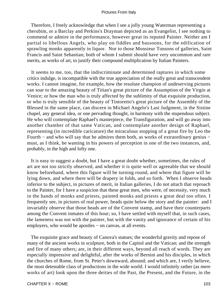Therefore, I freely acknowledge that when I see a jolly young Waterman representing a cherubim, or a Barclay and Perkins's Drayman depicted as an Evangelist, I see nothing to commend or admire in the performance, however great its reputed Painter. Neither am I partial to libellous Angels, who play on fiddles and bassoons, for the edification of sprawling monks apparently in liquor. Nor to those Monsieur Tonsons of galleries, Saint Francis and Saint Sebastian; both of whom I submit should have very uncommon and rare merits, as works of art, to justify their compound multiplication by Italian Painters.

 It seems to me, too, that the indiscriminate and determined raptures in which some critics indulge, is incompatible with the true appreciation of the really great and transcendent works. I cannot imagine, for example, how the resolute champion of undeserving pictures can soar to the amazing beauty of Titian's great picture of the Assumption of the Virgin at Venice; or how the man who is truly affected by the sublimity of that exquisite production, or who is truly sensible of the beauty of Tintoretto's great picture of the Assembly of the Blessed in the same place, can discern in Michael Angelo's Last Judgment, in the Sistine chapel, any general idea, or one pervading thought, in harmony with the stupendous subject. He who will contemplate Raphael's masterpiece, the Transfiguration, and will go away into another chamber of that same Vatican, and contemplate another design of Raphael, representing (in incredible caricature) the miraculous stopping of a great fire by Leo the Fourth − and who will say that he admires them both, as works of extraordinary genius − must, as I think, be wanting in his powers of perception in one of the two instances, and, probably, in the high and lofty one.

 It is easy to suggest a doubt, but I have a great doubt whether, sometimes, the rules of art are not too strictly observed, and whether it is quite well or agreeable that we should know beforehand, where this figure will be turning round, and where that figure will be lying down, and where there will be drapery in folds, and so forth. When I observe heads inferior to the subject, in pictures of merit, in Italian galleries, I do not attach that reproach to the Painter, for I have a suspicion that these great men, who were, of necessity, very much in the hands of monks and priests, painted monks and priests a great deal too often. I frequently see, in pictures of real power, heads quite below the story and the painter: and I invariably observe that those heads are of the Convent stamp, and have their counterparts among the Convent inmates of this hour; so, I have settled with myself that, in such cases, the lameness was not with the painter, but with the vanity and ignorance of certain of his employers, who would be apostles – on canvas, at all events.

 The exquisite grace and beauty of Canova's statues; the wonderful gravity and repose of many of the ancient works in sculpture, both in the Capitol and the Vatican; and the strength and fire of many others; are, in their different ways, beyond all reach of words. They are especially impressive and delightful, after the works of Bernini and his disciples, in which the churches of Rome, from St. Peter's downward, abound; and which are, I verily believe, the most detestable class of productions in the wide world. I would infinitely rather (as mere works of art) look upon the three deities of the Past, the Present, and the Future, in the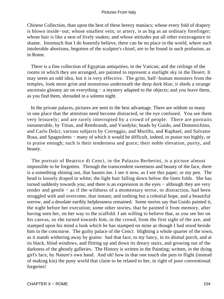Chinese Collection, than upon the best of these breezy maniacs; whose every fold of drapery is blown inside−out; whose smallest vein, or artery, is as big as an ordinary forefinger; whose hair is like a nest of lively snakes; and whose attitudes put all other extravagance to shame. Insomuch that I do honestly believe, there can be no place in the world, where such intolerable abortions, begotten of the sculptor's chisel, are to be found in such profusion, as in Rome.

 There is a fine collection of Egyptian antiquities, in the Vatican; and the ceilings of the rooms in which they are arranged, are painted to represent a starlight sky in the Desert. It may seem an odd idea, but it is very effective. The grim, half−human monsters from the temples, look more grim and monstrous underneath the deep dark blue; it sheds a strange uncertain gloomy air on everything − a mystery adapted to the objects; and you leave them, as you find them, shrouded in a solemn night.

 In the private palaces, pictures are seen to the best advantage. There are seldom so many in one place that the attention need become distracted, or the eye confused. You see them very leisurely; and are rarely interrupted by a crowd of people. There are portraits innumerable, by Titian, and Rembrandt, and Vandyke; heads by Guido, and Domenichino, and Carlo Dolci; various subjects by Correggio, and Murillo, and Raphael, and Salvator Rosa, and Spagnoletto − many of which it would be difficult, indeed, to praise too highly, or to praise enough; such is their tenderness and grace; their noble elevation, purity, and beauty.

 The portrait of Beatrice di Cenci, in the Palazzo Berberini, is a picture almost impossible to be forgotten. Through the transcendent sweetness and beauty of the face, there is a something shining out, that haunts me. I see it now, as I see this paper, or my pen. The head is loosely draped in white; the light hair falling down below the linen folds. She has turned suddenly towards you; and there is an expression in the eyes – although they are very tender and gentle − as if the wildness of a momentary terror, or distraction, had been struggled with and overcome, that instant; and nothing but a celestial hope, and a beautiful sorrow, and a desolate earthly helplessness remained. Some stories say that Guido painted it, the night before her execution; some other stories, that he painted it from memory, after having seen her, on her way to the scaffold. I am willing to believe that, as you see her on his canvas, so she turned towards him, in the crowd, from the first sight of the axe, and stamped upon his mind a look which he has stamped on mine as though I had stood beside him in the concourse. The guilty palace of the Cenci: blighting a whole quarter of the town, as it stands withering away by grains: had that face, to my fancy, in its dismal porch, and at its black, blind windows, and flitting up and down its dreary stairs, and growing out of the darkness of the ghostly galleries. The History is written in the Painting; written, in the dying girl's face, by Nature's own hand. And oh! how in that one touch she puts to flight (instead of making kin) the puny world that claim to be related to her, in right of poor conventional forgeries!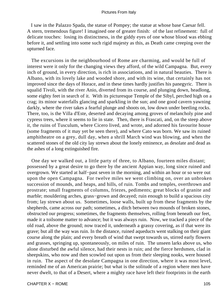I saw in the Palazzo Spada, the statue of Pompey; the statue at whose base Caesar fell. A stern, tremendous figure! I imagined one of greater finish: of the last refinement: full of delicate touches: losing its distinctness, in the giddy eyes of one whose blood was ebbing before it, and settling into some such rigid majesty as this, as Death came creeping over the upturned face.

 The excursions in the neighbourhood of Rome are charming, and would be full of interest were it only for the changing views they afford, of the wild Campagna. But, every inch of ground, in every direction, is rich in associations, and in natural beauties. There is Albano, with its lovely lake and wooded shore, and with its wine, that certainly has not improved since the days of Horace, and in these times hardly justifies his panegyric. There is squalid Tivoli, with the river Anio, diverted from its course, and plunging down, headlong, some eighty feet in search of it. With its picturesque Temple of the Sibyl, perched high on a crag; its minor waterfalls glancing and sparkling in the sun; and one good cavern yawning darkly, where the river takes a fearful plunge and shoots on, low down under beetling rocks. There, too, is the Villa d'Este, deserted and decaying among groves of melancholy pine and cypress trees, where it seems to lie in state. Then, there is Frascati, and, on the steep above it, the ruins of Tusculum, where Cicero lived, and wrote, and adorned his favourite house (some fragments of it may yet be seen there), and where Cato was born. We saw its ruined amphitheatre on a grey, dull day, when a shrill March wind was blowing, and when the scattered stones of the old city lay strewn about the lonely eminence, as desolate and dead as the ashes of a long extinguished fire.

 One day we walked out, a little party of three, to Albano, fourteen miles distant; possessed by a great desire to go there by the ancient Appian way, long since ruined and overgrown. We started at half−past seven in the morning, and within an hour or so were out upon the open Campagna. For twelve miles we went climbing on, over an unbroken succession of mounds, and heaps, and hills, of ruin. Tombs and temples, overthrown and prostrate; small fragments of columns, friezes, pediments; great blocks of granite and marble; mouldering arches, grass−grown and decayed; ruin enough to build a spacious city from; lay strewn about us. Sometimes, loose walls, built up from these fragments by the shepherds, came across our path; sometimes, a ditch between two mounds of broken stones, obstructed our progress; sometimes, the fragments themselves, rolling from beneath our feet, made it a toilsome matter to advance; but it was always ruin. Now, we tracked a piece of the old road, above the ground; now traced it, underneath a grassy covering, as if that were its grave; but all the way was ruin. In the distance, ruined aqueducts went stalking on their giant course along the plain; and every breath of wind that swept towards us, stirred early flowers and grasses, springing up, spontaneously, on miles of ruin. The unseen larks above us, who alone disturbed the awful silence, had their nests in ruin; and the fierce herdsmen, clad in sheepskins, who now and then scowled out upon us from their sleeping nooks, were housed in ruin. The aspect of the desolate Campagna in one direction, where it was most level, reminded me of an American prairie; but what is the solitude of a region where men have never dwelt, to that of a Desert, where a mighty race have left their footprints in the earth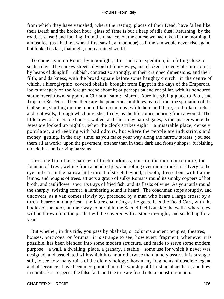from which they have vanished; where the resting−places of their Dead, have fallen like their Dead; and the broken hour−glass of Time is but a heap of idle dust! Returning, by the road, at sunset! and looking, from the distance, on the course we had taken in the morning, I almost feel (as I had felt when I first saw it, at that hour) as if the sun would never rise again, but looked its last, that night, upon a ruined world.

 To come again on Rome, by moonlight, after such an expedition, is a fitting close to such a day. The narrow streets, devoid of foot− ways, and choked, in every obscure corner, by heaps of dunghill− rubbish, contrast so strongly, in their cramped dimensions, and their filth, and darkness, with the broad square before some haughty church: in the centre of which, a hieroglyphic−covered obelisk, brought from Egypt in the days of the Emperors, looks strangely on the foreign scene about it; or perhaps an ancient pillar, with its honoured statue overthrown, supports a Christian saint: Marcus Aurelius giving place to Paul, and Trajan to St. Peter. Then, there are the ponderous buildings reared from the spoliation of the Coliseum, shutting out the moon, like mountains: while here and there, are broken arches and rent walls, through which it gushes freely, as the life comes pouring from a wound. The little town of miserable houses, walled, and shut in by barred gates, is the quarter where the Jews are locked up nightly, when the clock strikes eight − a miserable place, densely populated, and reeking with bad odours, but where the people are industrious and money−getting. In the day−time, as you make your way along the narrow streets, you see them all at work: upon the pavement, oftener than in their dark and frouzy shops: furbishing old clothes, and driving bargains.

 Crossing from these patches of thick darkness, out into the moon once more, the fountain of Trevi, welling from a hundred jets, and rolling over mimic rocks, is silvery to the eye and ear. In the narrow little throat of street, beyond, a booth, dressed out with flaring lamps, and boughs of trees, attracts a group of sulky Romans round its smoky coppers of hot broth, and cauliflower stew; its trays of fried fish, and its flasks of wine. As you rattle round the sharply−twisting corner, a lumbering sound is heard. The coachman stops abruptly, and uncovers, as a van comes slowly by, preceded by a man who bears a large cross; by a torch−bearer; and a priest: the latter chaunting as he goes. It is the Dead Cart, with the bodies of the poor, on their way to burial in the Sacred Field outside the walls, where they will be thrown into the pit that will be covered with a stone to−night, and sealed up for a year.

 But whether, in this ride, you pass by obelisks, or columns ancient temples, theatres, houses, porticoes, or forums: it is strange to see, how every fragment, whenever it is possible, has been blended into some modern structure, and made to serve some modern purpose − a wall, a dwelling−place, a granary, a stable − some use for which it never was designed, and associated with which it cannot otherwise than lamely assort. It is stranger still, to see how many ruins of the old mythology: how many fragments of obsolete legend and observance: have been incorporated into the worship of Christian altars here; and how, in numberless respects, the false faith and the true are fused into a monstrous union.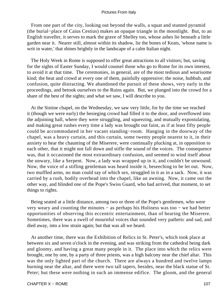From one part of the city, looking out beyond the walls, a squat and stunted pyramid (the burial−place of Caius Cestius) makes an opaque triangle in the moonlight. But, to an English traveller, it serves to mark the grave of Shelley too, whose ashes lie beneath a little garden near it. Nearer still, almost within its shadow, lie the bones of Keats, 'whose name is writ in water,' that shines brightly in the landscape of a calm Italian night.

 The Holy Week in Rome is supposed to offer great attractions to all visitors; but, saving for the sights of Easter Sunday, I would counsel those who go to Rome for its own interest, to avoid it at that time. The ceremonies, in general, are of the most tedious and wearisome kind; the heat and crowd at every one of them, painfully oppressive; the noise, hubbub, and confusion, quite distracting. We abandoned the pursuit of these shows, very early in the proceedings, and betook ourselves to the Ruins again. But, we plunged into the crowd for a share of the best of the sights; and what we saw, I will describe to you.

 At the Sistine chapel, on the Wednesday, we saw very little, for by the time we reached it (though we were early) the besieging crowd had filled it to the door, and overflowed into the adjoining hall, where they were struggling, and squeezing, and mutually expostulating, and making great rushes every time a lady was brought out faint, as if at least fifty people could be accommodated in her vacant standing−room. Hanging in the doorway of the chapel, was a heavy curtain, and this curtain, some twenty people nearest to it, in their anxiety to hear the chaunting of the Miserere, were continually plucking at, in opposition to each other, that it might not fall down and stifle the sound of the voices. The consequence was, that it occasioned the most extraordinary confusion, and seemed to wind itself about the unwary, like a Serpent. Now, a lady was wrapped up in it, and couldn't be unwound. Now, the voice of a stifling gentleman was heard inside it, beseeching to be let out. Now, two muffled arms, no man could say of which sex, struggled in it as in a sack. Now, it was carried by a rush, bodily overhead into the chapel, like an awning. Now, it came out the other way, and blinded one of the Pope's Swiss Guard, who had arrived, that moment, to set things to rights.

 Being seated at a little distance, among two or three of the Pope's gentlemen, who were very weary and counting the minutes − as perhaps his Holiness was too − we had better opportunities of observing this eccentric entertainment, than of hearing the Miserere. Sometimes, there was a swell of mournful voices that sounded very pathetic and sad, and died away, into a low strain again; but that was all we heard.

 At another time, there was the Exhibition of Relics in St. Peter's, which took place at between six and seven o'clock in the evening, and was striking from the cathedral being dark and gloomy, and having a great many people in it. The place into which the relics were brought, one by one, by a party of three priests, was a high balcony near the chief altar. This was the only lighted part of the church. There are always a hundred and twelve lamps burning near the altar, and there were two tall tapers, besides, near the black statue of St. Peter; but these were nothing in such an immense edifice. The gloom, and the general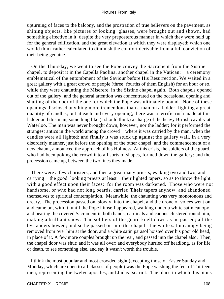upturning of faces to the balcony, and the prostration of true believers on the pavement, as shining objects, like pictures or looking−glasses, were brought out and shown, had something effective in it, despite the very preposterous manner in which they were held up for the general edification, and the great elevation at which they were displayed; which one would think rather calculated to diminish the comfort derivable from a full conviction of their being genuine.

 On the Thursday, we went to see the Pope convey the Sacrament from the Sistine chapel, to deposit it in the Capella Paolina, another chapel in the Vatican; − a ceremony emblematical of the entombment of the Saviour before His Resurrection. We waited in a great gallery with a great crowd of people (three−fourths of them English) for an hour or so, while they were chaunting the Miserere, in the Sistine chapel again. Both chapels opened out of the gallery; and the general attention was concentrated on the occasional opening and shutting of the door of the one for which the Pope was ultimately bound. None of these openings disclosed anything more tremendous than a man on a ladder, lighting a great quantity of candles; but at each and every opening, there was a terrific rush made at this ladder and this man, something like (I should think) a charge of the heavy British cavalry at Waterloo. The man was never brought down, however, nor the ladder; for it performed the strangest antics in the world among the crowd − where it was carried by the man, when the candles were all lighted; and finally it was stuck up against the gallery wall, in a very disorderly manner, just before the opening of the other chapel, and the commencement of a new chaunt, announced the approach of his Holiness. At this crisis, the soldiers of the guard, who had been poking the crowd into all sorts of shapes, formed down the gallery: and the procession came up, between the two lines they made.

 There were a few choristers, and then a great many priests, walking two and two, and carrying − the good−looking priests at least − their lighted tapers, so as to throw the light with a good effect upon their faces: for the room was darkened. Those who were not handsome, or who had not long beards, carried **Their** tapers anyhow, and abandoned themselves to spiritual contemplation. Meanwhile, the chaunting was very monotonous and dreary. The procession passed on, slowly, into the chapel, and the drone of voices went on, and came on, with it, until the Pope himself appeared, walking under a white satin canopy, and bearing the covered Sacrament in both hands; cardinals and canons clustered round him, making a brilliant show. The soldiers of the guard knelt down as he passed; all the bystanders bowed; and so he passed on into the chapel: the white satin canopy being removed from over him at the door, and a white satin parasol hoisted over his poor old head, in place of it. A few more couples brought up the rear, and passed into the chapel also. Then, the chapel door was shut; and it was all over; and everybody hurried off headlong, as for life or death, to see something else, and say it wasn't worth the trouble.

 I think the most popular and most crowded sight (excepting those of Easter Sunday and Monday, which are open to all classes of people) was the Pope washing the feet of Thirteen men, representing the twelve apostles, and Judas Iscariot. The place in which this pious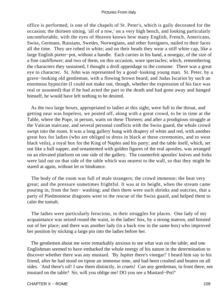office is performed, is one of the chapels of St. Peter's, which is gaily decorated for the occasion; the thirteen sitting, 'all of a row,' on a very high bench, and looking particularly uncomfortable, with the eyes of Heaven knows how many English, French, Americans, Swiss, Germans, Russians, Swedes, Norwegians, and other foreigners, nailed to their faces all the time. They are robed in white; and on their heads they wear a stiff white cap, like a large English porter−pot, without a handle. Each carries in his hand, a nosegay, of the size of a fine cauliflower; and two of them, on this occasion, wore spectacles; which, remembering the characters they sustained, I thought a droll appendage to the costume. There was a great eye to character. St. John was represented by a good−looking young man. St. Peter, by a grave−looking old gentleman, with a flowing brown beard; and Judas Iscariot by such an enormous hypocrite (I could not make out, though, whether the expression of his face was real or assumed) that if he had acted the part to the death and had gone away and hanged himself, he would have left nothing to be desired.

 As the two large boxes, appropriated to ladies at this sight, were full to the throat, and getting near was hopeless, we posted off, along with a great crowd, to be in time at the Table, where the Pope, in person, waits on these Thirteen; and after a prodigious struggle at the Vatican staircase, and several personal conflicts with the Swiss guard, the whole crowd swept into the room. It was a long gallery hung with drapery of white and red, with another great box for ladies (who are obliged to dress in black at these ceremonies, and to wear black veils), a royal box for the King of Naples and his party; and the table itself, which, set out like a ball supper, and ornamented with golden figures of the real apostles, was arranged on an elevated platform on one side of the gallery. The counterfeit apostles' knives and forks were laid out on that side of the table which was nearest to the wall, so that they might be stared at again, without let or hindrance.

 The body of the room was full of male strangers; the crowd immense; the heat very great; and the pressure sometimes frightful. It was at its height, when the stream came pouring in, from the feet− washing; and then there were such shrieks and outcries, that a party of Piedmontese dragoons went to the rescue of the Swiss guard, and helped them to calm the tumult.

 The ladies were particularly ferocious, in their struggles for places. One lady of my acquaintance was seized round the waist, in the ladies' box, by a strong matron, and hoisted out of her place; and there was another lady (in a back row in the same box) who improved her position by sticking a large pin into the ladies before her.

 The gentlemen about me were remarkably anxious to see what was on the table; and one Englishman seemed to have embarked the whole energy of his nature in the determination to discover whether there was any mustard. 'By Jupiter there's vinegar!' I heard him say to his friend, after he had stood on tiptoe an immense time, and had been crushed and beaten on all sides. 'And there's oil! I saw them distinctly, in cruets! Can any gentleman, in front there, see mustard on the table? Sir, will you oblige me! DO you see a Mustard−Pot?'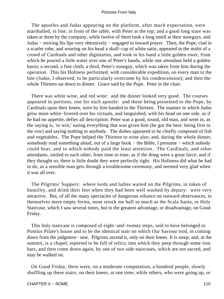The apostles and Judas appearing on the platform, after much expectation, were marshalled, in line, in front of the table, with Peter at the top; and a good long stare was taken at them by the company, while twelve of them took a long smell at their nosegays, and Judas − moving his lips very obtrusively − engaged in inward prayer. Then, the Pope, clad in a scarlet robe, and wearing on his head a skull−cap of white satin, appeared in the midst of a crowd of Cardinals and other dignitaries, and took in his hand a little golden ewer, from which he poured a little water over one of Peter's hands, while one attendant held a golden basin; a second, a fine cloth; a third, Peter's nosegay, which was taken from him during the operation. This his Holiness performed, with considerable expedition, on every man in the line (Judas, I observed, to be particularly overcome by his condescension); and then the whole Thirteen sat down to dinner. Grace said by the Pope. Peter in the chair.

 There was white wine, and red wine: and the dinner looked very good. The courses appeared in portions, one for each apostle: and these being presented to the Pope, by Cardinals upon their knees, were by him handed to the Thirteen. The manner in which Judas grew more white−livered over his victuals, and languished, with his head on one side, as if he had no appetite, defies all description. Peter was a good, sound, old man, and went in, as the saying is, 'to win;' eating everything that was given him (he got the best: being first in the row) and saying nothing to anybody. The dishes appeared to be chiefly composed of fish and vegetables. The Pope helped the Thirteen to wine also; and, during the whole dinner, somebody read something aloud, out of a large book – the Bible, I presume – which nobody could hear, and to which nobody paid the least attention. The Cardinals, and other attendants, smiled to each other, from time to time, as if the thing were a great farce; and if they thought so, there is little doubt they were perfectly right. His Holiness did what he had to do, as a sensible man gets through a troublesome ceremony, and seemed very glad when it was all over.

 The Pilgrims' Suppers: where lords and ladies waited on the Pilgrims, in token of humility, and dried their feet when they had been well washed by deputy: were very attractive. But, of all the many spectacles of dangerous reliance on outward observances, in themselves mere empty forms, none struck me half so much as the Scala Santa, or Holy Staircase, which I saw several times, but to the greatest advantage, or disadvantage, on Good Friday.

 This holy staircase is composed of eight−and−twenty steps, said to have belonged to Pontius Pilate's house and to be the identical stair on which Our Saviour trod, in coming down from the judgment− seat. Pilgrims ascend it, only on their knees. It is steep; and, at the summit, is a chapel, reported to be full of relics; into which they peep through some iron bars, and then come down again, by one of two side staircases, which are not sacred, and may be walked on.

 On Good Friday, there were, on a moderate computation, a hundred people, slowly shuffling up these stairs, on their knees, at one time; while others, who were going up, or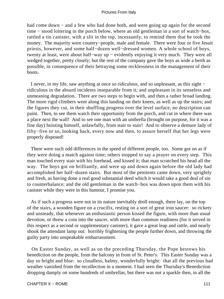had come down – and a few who had done both, and were going up again for the second time − stood loitering in the porch below, where an old gentleman in a sort of watch−box, rattled a tin canister, with a slit in the top, incessantly, to remind them that he took the money. The majority were country−people, male and female. There were four or five Jesuit priests, however, and some half−dozen well−dressed women. A whole school of boys, twenty at least, were about half−way up − evidently enjoying it very much. They were all wedged together, pretty closely; but the rest of the company gave the boys as wide a berth as possible, in consequence of their betraying some recklessness in the management of their boots.

 I never, in my life, saw anything at once so ridiculous, and so unpleasant, as this sight − ridiculous in the absurd incidents inseparable from it; and unpleasant in its senseless and unmeaning degradation. There are two steps to begin with, and then a rather broad landing. The more rigid climbers went along this landing on their knees, as well as up the stairs; and the figures they cut, in their shuffling progress over the level surface, no description can paint. Then, to see them watch their opportunity from the porch, and cut in where there was a place next the wall! And to see one man with an umbrella (brought on purpose, for it was a fine day) hoisting himself, unlawfully, from stair to stair! And to observe a demure lady of fifty−five or so, looking back, every now and then, to assure herself that her legs were properly disposed!

 There were such odd differences in the speed of different people, too. Some got on as if they were doing a match against time; others stopped to say a prayer on every step. This man touched every stair with his forehead, and kissed it; that man scratched his head all the way. The boys got on brilliantly, and were up and down again before the old lady had accomplished her half−dozen stairs. But most of the penitents came down, very sprightly and fresh, as having done a real good substantial deed which it would take a good deal of sin to counterbalance; and the old gentleman in the watch−box was down upon them with his canister while they were in this humour, I promise you.

 As if such a progress were not in its nature inevitably droll enough, there lay, on the top of the stairs, a wooden figure on a crucifix, resting on a sort of great iron saucer: so rickety and unsteady, that whenever an enthusiastic person kissed the figure, with more than usual devotion, or threw a coin into the saucer, with more than common readiness (for it served in this respect as a second or supplementary canister), it gave a great leap and rattle, and nearly shook the attendant lamp out: horribly frightening the people further down, and throwing the guilty party into unspeakable embarrassment.

 On Easter Sunday, as well as on the preceding Thursday, the Pope bestows his benediction on the people, from the balcony in front of St. Peter's. This Easter Sunday was a day so bright and blue: so cloudless, balmy, wonderfully bright: that all the previous bad weather vanished from the recollection in a moment. I had seen the Thursday's Benediction dropping damply on some hundreds of umbrellas, but there was not a sparkle then, in all the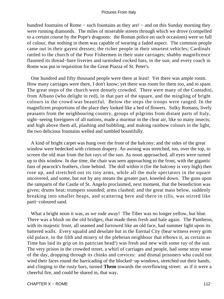hundred fountains of Rome – such fountains as they are! – and on this Sunday morning they were running diamonds. The miles of miserable streets through which we drove (compelled to a certain course by the Pope's dragoons: the Roman police on such occasions) were so full of colour, that nothing in them was capable of wearing a faded aspect. The common people came out in their gayest dresses; the richer people in their smartest vehicles; Cardinals rattled to the church of the Poor Fishermen in their state carriages; shabby magnificence flaunted its thread−bare liveries and tarnished cocked hats, in the sun; and every coach in Rome was put in requisition for the Great Piazza of St. Peter's.

 One hundred and fifty thousand people were there at least! Yet there was ample room. How many carriages were there, I don't know; yet there was room for them too, and to spare. The great steps of the church were densely crowded. There were many of the Contadini, from Albano (who delight in red), in that part of the square, and the mingling of bright colours in the crowd was beautiful. Below the steps the troops were ranged. In the magnificent proportions of the place they looked like a bed of flowers. Sulky Romans, lively peasants from the neighbouring country, groups of pilgrims from distant parts of Italy, sight−seeing foreigners of all nations, made a murmur in the clear air, like so many insects; and high above them all, plashing and bubbling, and making rainbow colours in the light, the two delicious fountains welled and tumbled bountifully.

 A kind of bright carpet was hung over the front of the balcony; and the sides of the great window were bedecked with crimson drapery. An awning was stretched, too, over the top, to screen the old man from the hot rays of the sun. As noon approached, all eyes were turned up to this window. In due time, the chair was seen approaching to the front, with the gigantic fans of peacock's feathers, close behind. The doll within it (for the balcony is very high) then rose up, and stretched out its tiny arms, while all the male spectators in the square uncovered, and some, but not by any means the greater part, kneeled down. The guns upon the ramparts of the Castle of St. Angelo proclaimed, next moment, that the benediction was given; drums beat; trumpets sounded; arms clashed; and the great mass below, suddenly breaking into smaller heaps, and scattering here and there in rills, was stirred like parti−coloured sand.

What a bright noon it was, as we rode away! The Tiber was no longer yellow, but blue. There was a blush on the old bridges, that made them fresh and hale again. The Pantheon, with its majestic front, all seamed and furrowed like an old face, had summer light upon its battered walls. Every squalid and desolate hut in the Eternal City (bear witness every grim old palace, to the filth and misery of the plebeian neighbour that elbows it, as certain as Time has laid its grip on its patrician head!) was fresh and new with some ray of the sun. The very prison in the crowded street, a whirl of carriages and people, had some stray sense of the day, dropping through its chinks and crevices: and dismal prisoners who could not wind their faces round the barricading of the blocked−up windows, stretched out their hands, and clinging to the rusty bars, turned **Them** towards the overflowing street: as if it were a cheerful fire, and could be shared in, that way.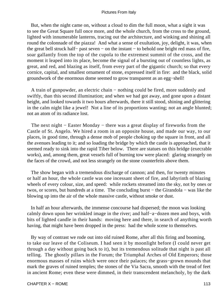But, when the night came on, without a cloud to dim the full moon, what a sight it was to see the Great Square full once more, and the whole church, from the cross to the ground, lighted with innumerable lanterns, tracing out the architecture, and winking and shining all round the colonnade of the piazza! And what a sense of exultation, joy, delight, it was, when the great bell struck half− past seven − on the instant − to behold one bright red mass of fire, soar gallantly from the top of the cupola to the extremest summit of the cross, and the moment it leaped into its place, become the signal of a bursting out of countless lights, as great, and red, and blazing as itself, from every part of the gigantic church; so that every cornice, capital, and smallest ornament of stone, expressed itself in fire: and the black, solid groundwork of the enormous dome seemed to grow transparent as an egg−shell!

 A train of gunpowder, an electric chain − nothing could be fired, more suddenly and swiftly, than this second illumination; and when we had got away, and gone upon a distant height, and looked towards it two hours afterwards, there it still stood, shining and glittering in the calm night like a jewel! Not a line of its proportions wanting; not an angle blunted; not an atom of its radiance lost.

The next night – Easter Monday – there was a great display of fireworks from the Castle of St. Angelo. We hired a room in an opposite house, and made our way, to our places, in good time, through a dense mob of people choking up the square in front, and all the avenues leading to it; and so loading the bridge by which the castle is approached, that it seemed ready to sink into the rapid Tiber below. There are statues on this bridge (execrable works), and, among them, great vessels full of burning tow were placed: glaring strangely on the faces of the crowd, and not less strangely on the stone counterfeits above them.

 The show began with a tremendous discharge of cannon; and then, for twenty minutes or half an hour, the whole castle was one incessant sheet of fire, and labyrinth of blazing wheels of every colour, size, and speed: while rockets streamed into the sky, not by ones or twos, or scores, but hundreds at a time. The concluding burst − the Girandola − was like the blowing up into the air of the whole massive castle, without smoke or dust.

 In half an hour afterwards, the immense concourse had dispersed; the moon was looking calmly down upon her wrinkled image in the river; and half−a−dozen men and boys, with bits of lighted candle in their hands: moving here and there, in search of anything worth having, that might have been dropped in the press: had the whole scene to themselves.

 By way of contrast we rode out into old ruined Rome, after all this firing and booming, to take our leave of the Coliseum. I had seen it by moonlight before (I could never get through a day without going back to it), but its tremendous solitude that night is past all telling. The ghostly pillars in the Forum; the Triumphal Arches of Old Emperors; those enormous masses of ruins which were once their palaces; the grass−grown mounds that mark the graves of ruined temples; the stones of the Via Sacra, smooth with the tread of feet in ancient Rome; even these were dimmed, in their transcendent melancholy, by the dark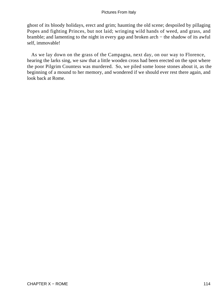ghost of its bloody holidays, erect and grim; haunting the old scene; despoiled by pillaging Popes and fighting Princes, but not laid; wringing wild hands of weed, and grass, and bramble; and lamenting to the night in every gap and broken arch − the shadow of its awful self, immovable!

 As we lay down on the grass of the Campagna, next day, on our way to Florence, hearing the larks sing, we saw that a little wooden cross had been erected on the spot where the poor Pilgrim Countess was murdered. So, we piled some loose stones about it, as the beginning of a mound to her memory, and wondered if we should ever rest there again, and look back at Rome.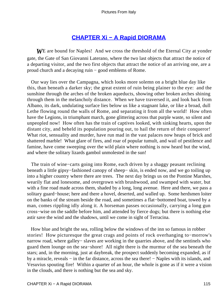# **[CHAPTER Xi − A Rapid DIORAMA](#page-134-0)**

<span id="page-115-0"></span>*W*E are bound for Naples! And we cross the threshold of the Eternal City at yonder gate, the Gate of San Giovanni Laterano, where the two last objects that attract the notice of a departing visitor, and the two first objects that attract the notice of an arriving one, are a proud church and a decaying ruin − good emblems of Rome.

 Our way lies over the Campagna, which looks more solemn on a bright blue day like this, than beneath a darker sky; the great extent of ruin being plainer to the eye: and the sunshine through the arches of the broken aqueducts, showing other broken arches shining through them in the melancholy distance. When we have traversed it, and look back from Albano, its dark, undulating surface lies below us like a stagnant lake, or like a broad, dull Lethe flowing round the walls of Rome, and separating it from all the world! How often have the Legions, in triumphant march, gone glittering across that purple waste, so silent and unpeopled now! How often has the train of captives looked, with sinking hearts, upon the distant city, and beheld its population pouring out, to hail the return of their conqueror! What riot, sensuality and murder, have run mad in the vast palaces now heaps of brick and shattered marble! What glare of fires, and roar of popular tumult, and wail of pestilence and famine, have come sweeping over the wild plain where nothing is now heard but the wind, and where the solitary lizards gambol unmolested in the sun!

 The train of wine−carts going into Rome, each driven by a shaggy peasant reclining beneath a little gipsy−fashioned canopy of sheep− skin, is ended now, and we go toiling up into a higher country where there are trees. The next day brings us on the Pontine Marshes, wearily flat and lonesome, and overgrown with brushwood, and swamped with water, but with a fine road made across them, shaded by a long, long avenue. Here and there, we pass a solitary guard−house; here and there a hovel, deserted, and walled up. Some herdsmen loiter on the banks of the stream beside the road, and sometimes a flat−bottomed boat, towed by a man, comes rippling idly along it. A horseman passes occasionally, carrying a long gun cross−wise on the saddle before him, and attended by fierce dogs; but there is nothing else astir save the wind and the shadows, until we come in sight of Terracina.

 How blue and bright the sea, rolling below the windows of the inn so famous in robber stories! How picturesque the great crags and points of rock overhanging to−morrow's narrow road, where galley– slaves are working in the quarries above, and the sentinels who guard them lounge on the sea−shore! All night there is the murmur of the sea beneath the stars; and, in the morning, just at daybreak, the prospect suddenly becoming expanded, as if by a miracle, reveals − in the far distance, across the sea there! − Naples with its islands, and Vesuvius spouting fire! Within a quarter of an hour, the whole is gone as if it were a vision in the clouds, and there is nothing but the sea and sky.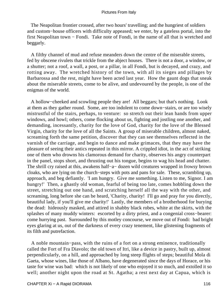The Neapolitan frontier crossed, after two hours' travelling; and the hungriest of soldiers and custom−house officers with difficulty appeased; we enter, by a gateless portal, into the first Neapolitan town − Fondi. Take note of Fondi, in the name of all that is wretched and beggarly.

 A filthy channel of mud and refuse meanders down the centre of the miserable streets, fed by obscene rivulets that trickle from the abject houses. There is not a door, a window, or a shutter; not a roof, a wall, a post, or a pillar, in all Fondi, but is decayed, and crazy, and rotting away. The wretched history of the town, with all its sieges and pillages by Barbarossa and the rest, might have been acted last year. How the gaunt dogs that sneak about the miserable streets, come to be alive, and undevoured by the people, is one of the enigmas of the world.

 A hollow−cheeked and scowling people they are! All beggars; but that's nothing. Look at them as they gather round. Some, are too indolent to come down−stairs, or are too wisely mistrustful of the stairs, perhaps, to venture: so stretch out their lean hands from upper windows, and howl; others, come flocking about us, fighting and jostling one another, and demanding, incessantly, charity for the love of God, charity for the love of the Blessed Virgin, charity for the love of all the Saints. A group of miserable children, almost naked, screaming forth the same petition, discover that they can see themselves reflected in the varnish of the carriage, and begin to dance and make grimaces, that they may have the pleasure of seeing their antics repeated in this mirror. A crippled idiot, in the act of striking one of them who drowns his clamorous demand for charity, observes his angry counterpart in the panel, stops short, and thrusting out his tongue, begins to wag his head and chatter. The shrill cry raised at this, awakens half−a− dozen wild creatures wrapped in frowsy brown cloaks, who are lying on the church−steps with pots and pans for sale. These, scrambling up, approach, and beg defiantly. 'I am hungry. Give me something. Listen to me, Signor. I am hungry!' Then, a ghastly old woman, fearful of being too late, comes hobbling down the street, stretching out one hand, and scratching herself all the way with the other, and screaming, long before she can be heard, 'Charity, charity! I'll go and pray for you directly, beautiful lady, if you'll give me charity!' Lastly, the members of a brotherhood for burying the dead: hideously masked, and attired in shabby black robes, white at the skirts, with the splashes of many muddy winters: escorted by a dirty priest, and a congenial cross−bearer: come hurrying past. Surrounded by this motley concourse, we move out of Fondi: bad bright eyes glaring at us, out of the darkness of every crazy tenement, like glistening fragments of its filth and putrefaction.

 A noble mountain−pass, with the ruins of a fort on a strong eminence, traditionally called the Fort of Fra Diavolo; the old town of Itri, like a device in pastry, built up, almost perpendicularly, on a hill, and approached by long steep flights of steps; beautiful Mola di Gaeta, whose wines, like those of Albano, have degenerated since the days of Horace, or his taste for wine was bad: which is not likely of one who enjoyed it so much, and extolled it so well; another night upon the road at St. Agatha; a rest next day at Capua, which is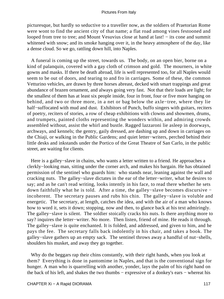picturesque, but hardly so seductive to a traveller now, as the soldiers of Praetorian Rome were wont to find the ancient city of that name; a flat road among vines festooned and looped from tree to tree; and Mount Vesuvius close at hand at last! − its cone and summit whitened with snow; and its smoke hanging over it, in the heavy atmosphere of the day, like a dense cloud. So we go, rattling down hill, into Naples.

 A funeral is coming up the street, towards us. The body, on an open bier, borne on a kind of palanquin, covered with a gay cloth of crimson and gold. The mourners, in white gowns and masks. If there be death abroad, life is well represented too, for all Naples would seem to be out of doors, and tearing to and fro in carriages. Some of these, the common Vetturino vehicles, are drawn by three horses abreast, decked with smart trappings and great abundance of brazen ornament, and always going very fast. Not that their loads are light; for the smallest of them has at least six people inside, four in front, four or five more hanging on behind, and two or three more, in a net or bag below the axle−tree, where they lie half−suffocated with mud and dust. Exhibitors of Punch, buffo singers with guitars, reciters of poetry, reciters of stories, a row of cheap exhibitions with clowns and showmen, drums, and trumpets, painted cloths representing the wonders within, and admiring crowds assembled without, assist the whirl and bustle. Ragged lazzaroni lie asleep in doorways, archways, and kennels; the gentry, gaily dressed, are dashing up and down in carriages on the Chiaji, or walking in the Public Gardens; and quiet letter−writers, perched behind their little desks and inkstands under the Portico of the Great Theatre of San Carlo, in the public street, are waiting for clients.

 Here is a galley−slave in chains, who wants a letter written to a friend. He approaches a clerkly−looking man, sitting under the corner arch, and makes his bargain. He has obtained permission of the sentinel who guards him: who stands near, leaning against the wall and cracking nuts. The galley−slave dictates in the ear of the letter−writer, what he desires to say; and as he can't read writing, looks intently in his face, to read there whether he sets down faithfully what he is told. After a time, the galley−slave becomes discursive − incoherent. The secretary pauses and rubs his chin. The galley−slave is voluble and energetic. The secretary, at length, catches the idea, and with the air of a man who knows how to word it, sets it down; stopping, now and then, to glance back at his text admiringly. The galley–slave is silent. The soldier stoically cracks his nuts. Is there anything more to say? inquires the letter−writer. No more. Then listen, friend of mine. He reads it through. The galley−slave is quite enchanted. It is folded, and addressed, and given to him, and he pays the fee. The secretary falls back indolently in his chair, and takes a book. The galley−slave gathers up an empty sack. The sentinel throws away a handful of nut−shells, shoulders his musket, and away they go together.

Why do the beggars rap their chins constantly, with their right hands, when you look at them? Everything is done in pantomime in Naples, and that is the conventional sign for hunger. A man who is quarrelling with another, yonder, lays the palm of his right hand on the back of his left, and shakes the two thumbs − expressive of a donkey's ears − whereat his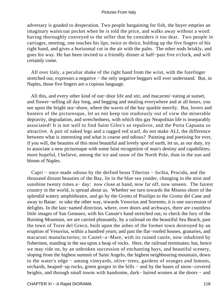adversary is goaded to desperation. Two people bargaining for fish, the buyer empties an imaginary waistcoat pocket when he is told the price, and walks away without a word: having thoroughly conveyed to the seller that he considers it too dear. Two people in carriages, meeting, one touches his lips, twice or thrice, holding up the five fingers of his right hand, and gives a horizontal cut in the air with the palm. The other nods briskly, and goes his way. He has been invited to a friendly dinner at half−past five o'clock, and will certainly come.

 All over Italy, a peculiar shake of the right hand from the wrist, with the forefinger stretched out, expresses a negative – the only negative beggars will ever understand. But, in Naples, those five fingers are a copious language.

 All this, and every other kind of out−door life and stir, and macaroni−eating at sunset, and flower−selling all day long, and begging and stealing everywhere and at all hours, you see upon the bright sea−shore, where the waves of the bay sparkle merrily. But, lovers and hunters of the picturesque, let us not keep too studiously out of view the miserable depravity, degradation, and wretchedness, with which this gay Neapolitan life is inseparably associated! It is not well to find Saint Giles's so repulsive, and the Porta Capuana so attractive. A pair of naked legs and a ragged red scarf, do not make ALL the difference between what is interesting and what is coarse and odious? Painting and poetising for ever, if you will, the beauties of this most beautiful and lovely spot of earth, let us, as our duty, try to associate a new picturesque with some faint recognition of man's destiny and capabilities; more hopeful, I believe, among the ice and snow of the North Pole, than in the sun and bloom of Naples.

 Capri − once made odious by the deified beast Tiberius − Ischia, Procida, and the thousand distant beauties of the Bay, lie in the blue sea yonder, changing in the mist and sunshine twenty times a− day: now close at hand, now far off, now unseen. The fairest country in the world, is spread about us. Whether we turn towards the Miseno shore of the splendid watery amphitheatre, and go by the Grotto of Posilipo to the Grotto del Cane and away to Baiae: or take the other way, towards Vesuvius and Sorrento, it is one succession of delights. In the last−named direction, where, over doors and archways, there are countless little images of San Gennaro, with his Canute's hand stretched out, to check the fury of the Burning Mountain, we are carried pleasantly, by a railroad on the beautiful Sea Beach, past the town of Torre del Greco, built upon the ashes of the former town destroyed by an eruption of Vesuvius, within a hundred years; and past the flat−roofed houses, granaries, and macaroni manufactories; to Castel−a−Mare, with its ruined castle, now inhabited by fishermen, standing in the sea upon a heap of rocks. Here, the railroad terminates; but, hence we may ride on, by an unbroken succession of enchanting bays, and beautiful scenery, sloping from the highest summit of Saint Angelo, the highest neighbouring mountain, down to the water's edge − among vineyards, olive−trees, gardens of oranges and lemons, orchards, heaped−up rocks, green gorges in the hills − and by the bases of snow−covered heights, and through small towns with handsome, dark– haired women at the doors – and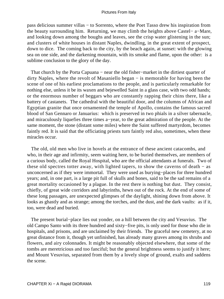pass delicious summer villas − to Sorrento, where the Poet Tasso drew his inspiration from the beauty surrounding him. Returning, we may climb the heights above Castel− a−Mare, and looking down among the boughs and leaves, see the crisp water glistening in the sun; and clusters of white houses in distant Naples, dwindling, in the great extent of prospect, down to dice. The coming back to the city, by the beach again, at sunset: with the glowing sea on one side, and the darkening mountain, with its smoke and flame, upon the other: is a sublime conclusion to the glory of the day.

That church by the Porta Capuana – near the old fisher–market in the dirtiest quarter of dirty Naples, where the revolt of Masaniello began − is memorable for having been the scene of one of his earliest proclamations to the people, and is particularly remarkable for nothing else, unless it be its waxen and bejewelled Saint in a glass case, with two odd hands; or the enormous number of beggars who are constantly rapping their chins there, like a battery of castanets. The cathedral with the beautiful door, and the columns of African and Egyptian granite that once ornamented the temple of Apollo, contains the famous sacred blood of San Gennaro or Januarius: which is preserved in two phials in a silver tabernacle, and miraculously liquefies three times a−year, to the great admiration of the people. At the same moment, the stone (distant some miles) where the Saint suffered martyrdom, becomes faintly red. It is said that the officiating priests turn faintly red also, sometimes, when these miracles occur.

 The old, old men who live in hovels at the entrance of these ancient catacombs, and who, in their age and infirmity, seem waiting here, to be buried themselves, are members of a curious body, called the Royal Hospital, who are the official attendants at funerals. Two of these old spectres totter away, with lighted tapers, to show the caverns of death − as unconcerned as if they were immortal. They were used as burying−places for three hundred years; and, in one part, is a large pit full of skulls and bones, said to be the sad remains of a great mortality occasioned by a plague. In the rest there is nothing but dust. They consist, chiefly, of great wide corridors and labyrinths, hewn out of the rock. At the end of some of these long passages, are unexpected glimpses of the daylight, shining down from above. It looks as ghastly and as strange; among the torches, and the dust, and the dark vaults: as if it, too, were dead and buried.

 The present burial−place lies out yonder, on a hill between the city and Vesuvius. The old Campo Santo with its three hundred and sixty−five pits, is only used for those who die in hospitals, and prisons, and are unclaimed by their friends. The graceful new cemetery, at no great distance from it, though yet unfinished, has already many graves among its shrubs and flowers, and airy colonnades. It might be reasonably objected elsewhere, that some of the tombs are meretricious and too fanciful; but the general brightness seems to justify it here; and Mount Vesuvius, separated from them by a lovely slope of ground, exalts and saddens the scene.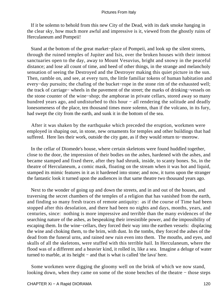If it be solemn to behold from this new City of the Dead, with its dark smoke hanging in the clear sky, how much more awful and impressive is it, viewed from the ghostly ruins of Herculaneum and Pompeii!

 Stand at the bottom of the great market−place of Pompeii, and look up the silent streets, through the ruined temples of Jupiter and Isis, over the broken houses with their inmost sanctuaries open to the day, away to Mount Vesuvius, bright and snowy in the peaceful distance; and lose all count of time, and heed of other things, in the strange and melancholy sensation of seeing the Destroyed and the Destroyer making this quiet picture in the sun. Then, ramble on, and see, at every turn, the little familiar tokens of human habitation and every−day pursuits; the chafing of the bucket−rope in the stone rim of the exhausted well; the track of carriage− wheels in the pavement of the street; the marks of drinking−vessels on the stone counter of the wine−shop; the amphorae in private cellars, stored away so many hundred years ago, and undisturbed to this hour − all rendering the solitude and deadly lonesomeness of the place, ten thousand times more solemn, than if the volcano, in its fury, had swept the city from the earth, and sunk it in the bottom of the sea.

 After it was shaken by the earthquake which preceded the eruption, workmen were employed in shaping out, in stone, new ornaments for temples and other buildings that had suffered. Here lies their work, outside the city gate, as if they would return to−morrow.

 In the cellar of Diomede's house, where certain skeletons were found huddled together, close to the door, the impression of their bodies on the ashes, hardened with the ashes, and became stamped and fixed there, after they had shrunk, inside, to scanty bones. So, in the theatre of Herculaneum, a comic mask, floating on the stream when it was hot and liquid, stamped its mimic features in it as it hardened into stone; and now, it turns upon the stranger the fantastic look it turned upon the audiences in that same theatre two thousand years ago.

 Next to the wonder of going up and down the streets, and in and out of the houses, and traversing the secret chambers of the temples of a religion that has vanished from the earth, and finding so many fresh traces of remote antiquity: as if the course of Time had been stopped after this desolation, and there had been no nights and days, months, years, and centuries, since: nothing is more impressive and terrible than the many evidences of the searching nature of the ashes, as bespeaking their irresistible power, and the impossibility of escaping them. In the wine−cellars, they forced their way into the earthen vessels: displacing the wine and choking them, to the brim, with dust. In the tombs, they forced the ashes of the dead from the funeral urns, and rained new ruin even into them. The mouths, and eyes, and skulls of all the skeletons, were stuffed with this terrible hail. In Herculaneum, where the flood was of a different and a heavier kind, it rolled in, like a sea. Imagine a deluge of water turned to marble, at its height − and that is what is called 'the lava' here.

 Some workmen were digging the gloomy well on the brink of which we now stand, looking down, when they came on some of the stone benches of the theatre − those steps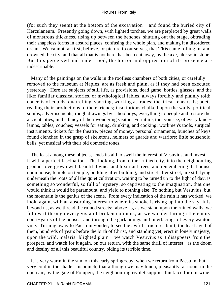(for such they seem) at the bottom of the excavation − and found the buried city of Herculaneum. Presently going down, with lighted torches, we are perplexed by great walls of monstrous thickness, rising up between the benches, shutting out the stage, obtruding their shapeless forms in absurd places, confusing the whole plan, and making it a disordered dream. We cannot, at first, believe, or picture to ourselves, that **This** came rolling in, and drowned the city; and that all that is not here, has been cut away, by the axe, like solid stone. But this perceived and understood, the horror and oppression of its presence are indescribable.

 Many of the paintings on the walls in the roofless chambers of both cities, or carefully removed to the museum at Naples, are as fresh and plain, as if they had been executed yesterday. Here are subjects of still life, as provisions, dead game, bottles, glasses, and the like; familiar classical stories, or mythological fables, always forcibly and plainly told; conceits of cupids, quarrelling, sporting, working at trades; theatrical rehearsals; poets reading their productions to their friends; inscriptions chalked upon the walls; political squibs, advertisements, rough drawings by schoolboys; everything to people and restore the ancient cities, in the fancy of their wondering visitor. Furniture, too, you see, of every kind − lamps, tables, couches; vessels for eating, drinking, and cooking; workmen's tools, surgical instruments, tickets for the theatre, pieces of money, personal ornaments, bunches of keys found clenched in the grasp of skeletons, helmets of guards and warriors; little household bells, yet musical with their old domestic tones.

 The least among these objects, lends its aid to swell the interest of Vesuvius, and invest it with a perfect fascination. The looking, from either ruined city, into the neighbouring grounds overgrown with beautiful vines and luxuriant trees; and remembering that house upon house, temple on temple, building after building, and street after street, are still lying underneath the roots of all the quiet cultivation, waiting to be turned up to the light of day; is something so wonderful, so full of mystery, so captivating to the imagination, that one would think it would be paramount, and yield to nothing else. To nothing but Vesuvius; but the mountain is the genius of the scene. From every indication of the ruin it has worked, we look, again, with an absorbing interest to where its smoke is rising up into the sky. It is beyond us, as we thread the ruined streets: above us, as we stand upon the ruined walls, we follow it through every vista of broken columns, as we wander through the empty court−yards of the houses; and through the garlandings and interlacings of every wanton vine. Turning away to Paestum yonder, to see the awful structures built, the least aged of them, hundreds of years before the birth of Christ, and standing yet, erect in lonely majesty, upon the wild, malaria−blighted plain − we watch Vesuvius as it disappears from the prospect, and watch for it again, on our return, with the same thrill of interest: as the doom and destiny of all this beautiful country, biding its terrible time.

 It is very warm in the sun, on this early spring−day, when we return from Paestum, but very cold in the shade: insomuch, that although we may lunch, pleasantly, at noon, in the open air, by the gate of Pompeii, the neighbouring rivulet supplies thick ice for our wine.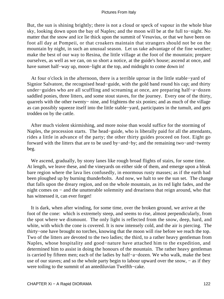But, the sun is shining brightly; there is not a cloud or speck of vapour in the whole blue sky, looking down upon the bay of Naples; and the moon will be at the full to−night. No matter that the snow and ice lie thick upon the summit of Vesuvius, or that we have been on foot all day at Pompeii, or that croakers maintain that strangers should not be on the mountain by night, in such an unusual season. Let us take advantage of the fine weather; make the best of our way to Resina, the little village at the foot of the mountain; prepare ourselves, as well as we can, on so short a notice, at the guide's house; ascend at once, and have sunset half−way up, moon−light at the top, and midnight to come down in!

 At four o'clock in the afternoon, there is a terrible uproar in the little stable−yard of Signior Salvatore, the recognised head−guide, with the gold band round his cap; and thirty under−guides who are all scuffling and screaming at once, are preparing half−a−dozen saddled ponies, three litters, and some stout staves, for the journey. Every one of the thirty, quarrels with the other twenty− nine, and frightens the six ponies; and as much of the village as can possibly squeeze itself into the little stable−yard, participates in the tumult, and gets trodden on by the cattle.

 After much violent skirmishing, and more noise than would suffice for the storming of Naples, the procession starts. The head−guide, who is liberally paid for all the attendants, rides a little in advance of the party; the other thirty guides proceed on foot. Eight go forward with the litters that are to be used by−and−by; and the remaining two−and−twenty beg.

We ascend, gradually, by stony lanes like rough broad flights of stairs, for some time. At length, we leave these, and the vineyards on either side of them, and emerge upon a bleak bare region where the lava lies confusedly, in enormous rusty masses; as if the earth had been ploughed up by burning thunderbolts. And now, we halt to see the sun set. The change that falls upon the dreary region, and on the whole mountain, as its red light fades, and the night comes on − and the unutterable solemnity and dreariness that reign around, who that has witnessed it, can ever forget!

 It is dark, when after winding, for some time, over the broken ground, we arrive at the foot of the cone: which is extremely steep, and seems to rise, almost perpendicularly, from the spot where we dismount. The only light is reflected from the snow, deep, hard, and white, with which the cone is covered. It is now intensely cold, and the air is piercing. The thirty−one have brought no torches, knowing that the moon will rise before we reach the top. Two of the litters are devoted to the two ladies; the third, to a rather heavy gentleman from Naples, whose hospitality and good−nature have attached him to the expedition, and determined him to assist in doing the honours of the mountain. The rather heavy gentleman is carried by fifteen men; each of the ladies by half−a−dozen. We who walk, make the best use of our staves; and so the whole party begin to labour upward over the snow, − as if they were toiling to the summit of an antediluvian Twelfth−cake.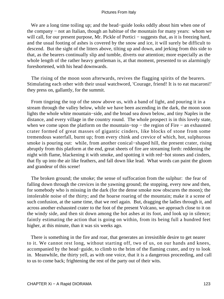We are a long time toiling up; and the head−guide looks oddly about him when one of the company − not an Italian, though an habitue of the mountain for many years: whom we will call, for our present purpose, Mr. Pickle of Portici – suggests that, as it is freezing hard, and the usual footing of ashes is covered by the snow and ice, it will surely be difficult to descend. But the sight of the litters above, tilting up and down, and jerking from this side to that, as the bearers continually slip and tumble, diverts our attention; more especially as the whole length of the rather heavy gentleman is, at that moment, presented to us alarmingly foreshortened, with his head downwards.

 The rising of the moon soon afterwards, revives the flagging spirits of the bearers. Stimulating each other with their usual watchword, 'Courage, friend! It is to eat macaroni!' they press on, gallantly, for the summit.

 From tingeing the top of the snow above us, with a band of light, and pouring it in a stream through the valley below, while we have been ascending in the dark, the moon soon lights the whole white mountain−side, and the broad sea down below, and tiny Naples in the distance, and every village in the country round. The whole prospect is in this lovely state, when we come upon the platform on the mountain–top – the region of Fire – an exhausted crater formed of great masses of gigantic cinders, like blocks of stone from some tremendous waterfall, burnt up; from every chink and crevice of which, hot, sulphurous smoke is pouring out: while, from another conical−shaped hill, the present crater, rising abruptly from this platform at the end, great sheets of fire are streaming forth: reddening the night with flame, blackening it with smoke, and spotting it with red−hot stones and cinders, that fly up into the air like feathers, and fall down like lead. What words can paint the gloom and grandeur of this scene!

 The broken ground; the smoke; the sense of suffocation from the sulphur: the fear of falling down through the crevices in the yawning ground; the stopping, every now and then, for somebody who is missing in the dark (for the dense smoke now obscures the moon); the intolerable noise of the thirty; and the hoarse roaring of the mountain; make it a scene of such confusion, at the same time, that we reel again. But, dragging the ladies through it, and across another exhausted crater to the foot of the present Volcano, we approach close to it on the windy side, and then sit down among the hot ashes at its foot, and look up in silence; faintly estimating the action that is going on within, from its being full a hundred feet higher, at this minute, than it was six weeks ago.

 There is something in the fire and roar, that generates an irresistible desire to get nearer to it. We cannot rest long, without starting off, two of us, on our hands and knees, accompanied by the head−guide, to climb to the brim of the flaming crater, and try to look in. Meanwhile, the thirty yell, as with one voice, that it is a dangerous proceeding, and call to us to come back; frightening the rest of the party out of their wits.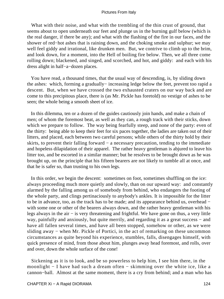What with their noise, and what with the trembling of the thin crust of ground, that seems about to open underneath our feet and plunge us in the burning gulf below (which is the real danger, if there be any); and what with the flashing of the fire in our faces, and the shower of red−hot ashes that is raining down, and the choking smoke and sulphur; we may well feel giddy and irrational, like drunken men. But, we contrive to climb up to the brim, and look down, for a moment, into the Hell of boiling fire below. Then, we all three come rolling down; blackened, and singed, and scorched, and hot, and giddy: and each with his dress alight in half−a−dozen places.

 You have read, a thousand times, that the usual way of descending, is, by sliding down the ashes: which, forming a gradually− increasing ledge below the feet, prevent too rapid a descent. But, when we have crossed the two exhausted craters on our way back and are come to this precipitous place, there is (as Mr. Pickle has foretold) no vestige of ashes to be seen; the whole being a smooth sheet of ice.

 In this dilemma, ten or a dozen of the guides cautiously join hands, and make a chain of men; of whom the foremost beat, as well as they can, a rough track with their sticks, down which we prepare to follow. The way being fearfully steep, and none of the party: even of the thirty: being able to keep their feet for six paces together, the ladies are taken out of their litters, and placed, each between two careful persons; while others of the thirty hold by their skirts, to prevent their falling forward − a necessary precaution, tending to the immediate and hopeless dilapidation of their apparel. The rather heavy gentleman is abjured to leave his litter too, and be escorted in a similar manner; but he resolves to be brought down as he was brought up, on the principle that his fifteen bearers are not likely to tumble all at once, and that he is safer so, than trusting to his own legs.

 In this order, we begin the descent: sometimes on foot, sometimes shuffling on the ice: always proceeding much more quietly and slowly, than on our upward way: and constantly alarmed by the falling among us of somebody from behind, who endangers the footing of the whole party, and clings pertinaciously to anybody's ankles. It is impossible for the litter to be in advance, too, as the track has to be made; and its appearance behind us, overhead − with some one or other of the bearers always down, and the rather heavy gentleman with his legs always in the air − is very threatening and frightful. We have gone on thus, a very little way, painfully and anxiously, but quite merrily, and regarding it as a great success – and have all fallen several times, and have all been stopped, somehow or other, as we were sliding away − when Mr. Pickle of Portici, in the act of remarking on these uncommon circumstances as quite beyond his experience, stumbles, falls, disengages himself, with quick presence of mind, from those about him, plunges away head foremost, and rolls, over and over, down the whole surface of the cone!

 Sickening as it is to look, and be so powerless to help him, I see him there, in the moonlight − I have had such a dream often − skimming over the white ice, like a cannon−ball. Almost at the same moment, there is a cry from behind; and a man who has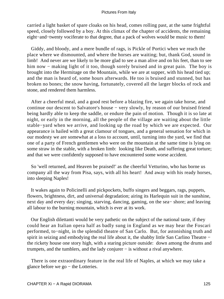carried a light basket of spare cloaks on his head, comes rolling past, at the same frightful speed, closely followed by a boy. At this climax of the chapter of accidents, the remaining eight−and−twenty vociferate to that degree, that a pack of wolves would be music to them!

 Giddy, and bloody, and a mere bundle of rags, is Pickle of Portici when we reach the place where we dismounted, and where the horses are waiting; but, thank God, sound in limb! And never are we likely to be more glad to see a man alive and on his feet, than to see him now − making light of it too, though sorely bruised and in great pain. The boy is brought into the Hermitage on the Mountain, while we are at supper, with his head tied up; and the man is heard of, some hours afterwards. He too is bruised and stunned, but has broken no bones; the snow having, fortunately, covered all the larger blocks of rock and stone, and rendered them harmless.

 After a cheerful meal, and a good rest before a blazing fire, we again take horse, and continue our descent to Salvatore's house − very slowly, by reason of our bruised friend being hardly able to keep the saddle, or endure the pain of motion. Though it is so late at night, or early in the morning, all the people of the village are waiting about the little stable−yard when we arrive, and looking up the road by which we are expected. Our appearance is hailed with a great clamour of tongues, and a general sensation for which in our modesty we are somewhat at a loss to account, until, turning into the yard, we find that one of a party of French gentlemen who were on the mountain at the same time is lying on some straw in the stable, with a broken limb: looking like Death, and suffering great torture; and that we were confidently supposed to have encountered some worse accident.

 So 'well returned, and Heaven be praised!' as the cheerful Vetturino, who has borne us company all the way from Pisa, says, with all his heart! And away with his ready horses, into sleeping Naples!

 It wakes again to Policinelli and pickpockets, buffo singers and beggars, rags, puppets, flowers, brightness, dirt, and universal degradation; airing its Harlequin suit in the sunshine, next day and every day; singing, starving, dancing, gaming, on the sea− shore; and leaving all labour to the burning mountain, which is ever at its work.

 Our English dilettanti would be very pathetic on the subject of the national taste, if they could hear an Italian opera half as badly sung in England as we may hear the Foscari performed, to−night, in the splendid theatre of San Carlo. But, for astonishing truth and spirit in seizing and embodying the real life about it, the shabby little San Carlino Theatre − the rickety house one story high, with a staring picture outside: down among the drums and trumpets, and the tumblers, and the lady conjurer − is without a rival anywhere.

 There is one extraordinary feature in the real life of Naples, at which we may take a glance before we go − the Lotteries.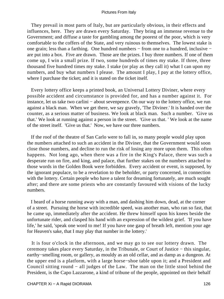They prevail in most parts of Italy, but are particularly obvious, in their effects and influences, here. They are drawn every Saturday. They bring an immense revenue to the Government; and diffuse a taste for gambling among the poorest of the poor, which is very comfortable to the coffers of the State, and very ruinous to themselves. The lowest stake is one grain; less than a farthing. One hundred numbers − from one to a hundred, inclusive − are put into a box. Five are drawn. Those are the prizes. I buy three numbers. If one of them come up, I win a small prize. If two, some hundreds of times my stake. If three, three thousand five hundred times my stake. I stake (or play as they call it) what I can upon my numbers, and buy what numbers I please. The amount I play, I pay at the lottery office, where I purchase the ticket; and it is stated on the ticket itself.

 Every lottery office keeps a printed book, an Universal Lottery Diviner, where every possible accident and circumstance is provided for, and has a number against it. For instance, let us take two carlini − about sevenpence. On our way to the lottery office, we run against a black man. When we get there, we say gravely, 'The Diviner.' It is handed over the counter, as a serious matter of business. We look at black man. Such a number. 'Give us that.' We look at running against a person in the street. 'Give us that. ' We look at the name of the street itself. 'Give us that.' Now, we have our three numbers.

 If the roof of the theatre of San Carlo were to fall in, so many people would play upon the numbers attached to such an accident in the Diviner, that the Government would soon close those numbers, and decline to run the risk of losing any more upon them. This often happens. Not long ago, when there was a fire in the King's Palace, there was such a desperate run on fire, and king, and palace, that further stakes on the numbers attached to those words in the Golden Book were forbidden. Every accident or event, is supposed, by the ignorant populace, to be a revelation to the beholder, or party concerned, in connection with the lottery. Certain people who have a talent for dreaming fortunately, are much sought after; and there are some priests who are constantly favoured with visions of the lucky numbers.

 I heard of a horse running away with a man, and dashing him down, dead, at the corner of a street. Pursuing the horse with incredible speed, was another man, who ran so fast, that he came up, immediately after the accident. He threw himself upon his knees beside the unfortunate rider, and clasped his hand with an expression of the wildest grief. 'If you have life,' he said, 'speak one word to me! If you have one gasp of breath left, mention your age for Heaven's sake, that I may play that number in the lottery.'

 It is four o'clock in the afternoon, and we may go to see our lottery drawn. The ceremony takes place every Saturday, in the Tribunale, or Court of Justice − this singular, earthy−smelling room, or gallery, as mouldy as an old cellar, and as damp as a dungeon. At the upper end is a platform, with a large horse−shoe table upon it; and a President and Council sitting round − all judges of the Law. The man on the little stool behind the President, is the Capo Lazzarone, a kind of tribune of the people, appointed on their behalf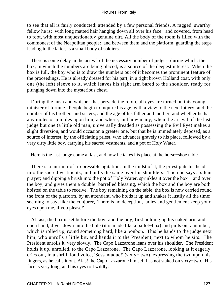to see that all is fairly conducted: attended by a few personal friends. A ragged, swarthy fellow he is: with long matted hair hanging down all over his face: and covered, from head to foot, with most unquestionably genuine dirt. All the body of the room is filled with the commonest of the Neapolitan people: and between them and the platform, guarding the steps leading to the latter, is a small body of soldiers.

 There is some delay in the arrival of the necessary number of judges; during which, the box, in which the numbers are being placed, is a source of the deepest interest. When the box is full, the boy who is to draw the numbers out of it becomes the prominent feature of the proceedings. He is already dressed for his part, in a tight brown Holland coat, with only one (the left) sleeve to it, which leaves his right arm bared to the shoulder, ready for plunging down into the mysterious chest.

 During the hush and whisper that pervade the room, all eyes are turned on this young minister of fortune. People begin to inquire his age, with a view to the next lottery; and the number of his brothers and sisters; and the age of his father and mother; and whether he has any moles or pimples upon him; and where, and how many; when the arrival of the last judge but one (a little old man, universally dreaded as possessing the Evil Eye) makes a slight diversion, and would occasion a greater one, but that he is immediately deposed, as a source of interest, by the officiating priest, who advances gravely to his place, followed by a very dirty little boy, carrying his sacred vestments, and a pot of Holy Water.

Here is the last judge come at last, and now he takes his place at the horse−shoe table.

 There is a murmur of irrepressible agitation. In the midst of it, the priest puts his head into the sacred vestments, and pulls the same over his shoulders. Then he says a silent prayer; and dipping a brush into the pot of Holy Water, sprinkles it over the box − and over the boy, and gives them a double−barrelled blessing, which the box and the boy are both hoisted on the table to receive. The boy remaining on the table, the box is now carried round the front of the platform, by an attendant, who holds it up and shakes it lustily all the time; seeming to say, like the conjurer, 'There is no deception, ladies and gentlemen; keep your eyes upon me, if you please!'

 At last, the box is set before the boy; and the boy, first holding up his naked arm and open hand, dives down into the hole (it is made like a ballot−box) and pulls out a number, which is rolled up, round something hard, like a bonbon. This he hands to the judge next him, who unrolls a little bit, and hands it to the President, next to whom he sits. The President unrolls it, very slowly. The Capo Lazzarone leans over his shoulder. The President holds it up, unrolled, to the Capo Lazzarone. The Capo Lazzarone, looking at it eagerly, cries out, in a shrill, loud voice, 'Sessantadue!' (sixty− two), expressing the two upon his fingers, as he calls it out. Alas! the Capo Lazzarone himself has not staked on sixty−two. His face is very long, and his eyes roll wildly.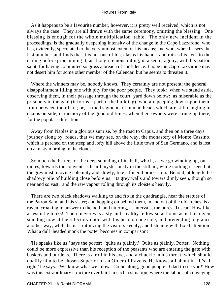As it happens to be a favourite number, however, it is pretty well received, which is not always the case. They are all drawn with the same ceremony, omitting the blessing. One blessing is enough for the whole multiplication−table. The only new incident in the proceedings, is the gradually deepening intensity of the change in the Cape Lazzarone, who has, evidently, speculated to the very utmost extent of his means; and who, when he sees the last number, and finds that it is not one of his, clasps his hands, and raises his eyes to the ceiling before proclaiming it, as though remonstrating, in a secret agony, with his patron saint, for having committed so gross a breach of confidence. I hope the Capo Lazzarone may not desert him for some other member of the Calendar, but he seems to threaten it.

 Where the winners may be, nobody knows. They certainly are not present; the general disappointment filling one with pity for the poor people. They look: when we stand aside, observing them, in their passage through the court−yard down below: as miserable as the prisoners in the gaol (it forms a part of the building), who are peeping down upon them, from between their bars; or, as the fragments of human heads which are still dangling in chains outside, in memory of the good old times, when their owners were strung up there, for the popular edification.

 Away from Naples in a glorious sunrise, by the road to Capua, and then on a three days' journey along by−roads, that we may see, on the way, the monastery of Monte Cassino, which is perched on the steep and lofty hill above the little town of San Germano, and is lost on a misty morning in the clouds.

 So much the better, for the deep sounding of its bell, which, as we go winding up, on mules, towards the convent, is heard mysteriously in the still air, while nothing is seen but the grey mist, moving solemnly and slowly, like a funeral procession. Behold, at length the shadowy pile of building close before us: its grey walls and towers dimly seen, though so near and so vast: and the raw vapour rolling through its cloisters heavily.

 There are two black shadows walking to and fro in the quadrangle, near the statues of the Patron Saint and his sister; and hopping on behind them, in and out of the old arches, is a raven, croaking in answer to the bell, and uttering, at intervals, the purest Tuscan. How like a Jesuit he looks! There never was a sly and stealthy fellow so at home as is this raven, standing now at the refectory door, with his head on one side, and pretending to glance another way, while he is scrutinizing the visitors keenly, and listening with fixed attention. What a dull−headed monk the porter becomes in comparison!

 'He speaks like us!' says the porter: 'quite as plainly.' Quite as plainly, Porter. Nothing could be more expressive than his reception of the peasants who are entering the gate with baskets and burdens. There is a roll in his eye, and a chuckle in his throat, which should qualify him to be chosen Superior of an Order of Ravens. He knows all about it. 'It's all right,' he says. 'We know what we know. Come along, good people. Glad to see you!' How was this extraordinary structure ever built in such a situation, where the labour of conveying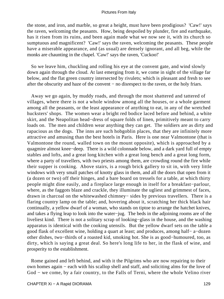the stone, and iron, and marble, so great a height, must have been prodigious? 'Caw!' says the raven, welcoming the peasants. How, being despoiled by plunder, fire and earthquake, has it risen from its ruins, and been again made what we now see it, with its church so sumptuous and magnificent? 'Caw!' says the raven, welcoming the peasants. These people have a miserable appearance, and (as usual) are densely ignorant, and all beg, while the monks are chaunting in the chapel. 'Caw!' says the raven, 'Cuckoo!'

 So we leave him, chuckling and rolling his eye at the convent gate, and wind slowly down again through the cloud. At last emerging from it, we come in sight of the village far below, and the flat green country intersected by rivulets; which is pleasant and fresh to see after the obscurity and haze of the convent − no disrespect to the raven, or the holy friars.

 Away we go again, by muddy roads, and through the most shattered and tattered of villages, where there is not a whole window among all the houses, or a whole garment among all the peasants, or the least appearance of anything to eat, in any of the wretched hucksters' shops. The women wear a bright red bodice laced before and behind, a white skirt, and the Neapolitan head−dress of square folds of linen, primitively meant to carry loads on. The men and children wear anything they can get. The soldiers are as dirty and rapacious as the dogs. The inns are such hobgoblin places, that they are infinitely more attractive and amusing than the best hotels in Paris. Here is one near Valmontone (that is Valmontone the round, walled town on the mount opposite), which is approached by a quagmire almost knee−deep. There is a wild colonnade below, and a dark yard full of empty stables and lofts, and a great long kitchen with a great long bench and a great long form, where a party of travellers, with two priests among them, are crowding round the fire while their supper is cooking. Above stairs, is a rough brick gallery to sit in, with very little windows with very small patches of knotty glass in them, and all the doors that open from it (a dozen or two) off their hinges, and a bare board on tressels for a table, at which thirty people might dine easily, and a fireplace large enough in itself for a breakfast−parlour, where, as the faggots blaze and crackle, they illuminate the ugliest and grimmest of faces, drawn in charcoal on the whitewashed chimney− sides by previous travellers. There is a flaring country lamp on the table; and, hovering about it, scratching her thick black hair continually, a yellow dwarf of a woman, who stands on tiptoe to arrange the hatchet knives, and takes a flying leap to look into the water−jug. The beds in the adjoining rooms are of the liveliest kind. There is not a solitary scrap of looking−glass in the house, and the washing apparatus is identical with the cooking utensils. But the yellow dwarf sets on the table a good flask of excellent wine, holding a quart at least; and produces, among half− a−dozen other dishes, two−thirds of a roasted kid, smoking hot. She is as good−humoured, too, as dirty, which is saying a great deal. So here's long life to her, in the flask of wine, and prosperity to the establishment.

 Rome gained and left behind, and with it the Pilgrims who are now repairing to their own homes again − each with his scallop shell and staff, and soliciting alms for the love of God − we come, by a fair country, to the Falls of Terni, where the whole Velino river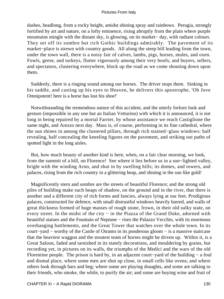dashes, headlong, from a rocky height, amidst shining spray and rainbows. Perugia, strongly fortified by art and nature, on a lofty eminence, rising abruptly from the plain where purple mountains mingle with the distant sky, is glowing, on its market− day, with radiant colours. They set off its sombre but rich Gothic buildings admirably. The pavement of its market−place is strewn with country goods. All along the steep hill leading from the town, under the town wall, there is a noisy fair of calves, lambs, pigs, horses, mules, and oxen. Fowls, geese, and turkeys, flutter vigorously among their very hoofs; and buyers, sellers, and spectators, clustering everywhere, block up the road as we come shouting down upon them.

 Suddenly, there is a ringing sound among our horses. The driver stops them. Sinking in his saddle, and casting up his eyes to Heaven, he delivers this apostrophe, 'Oh Jove Omnipotent! here is a horse has lost his shoe!'

 Notwithstanding the tremendous nature of this accident, and the utterly forlorn look and gesture (impossible in any one but an Italian Vetturino) with which it is announced, it is not long in being repaired by a mortal Farrier, by whose assistance we reach Castiglione the same night, and Arezzo next day. Mass is, of course, performing in its fine cathedral, where the sun shines in among the clustered pillars, through rich stained−glass windows: half revealing, half concealing the kneeling figures on the pavement, and striking out paths of spotted light in the long aisles.

 But, how much beauty of another kind is here, when, on a fair clear morning, we look, from the summit of a hill, on Florence! See where it lies before us in a sun−lighted valley, bright with the winding Arno, and shut in by swelling hills; its domes, and towers, and palaces, rising from the rich country in a glittering heap, and shining in the sun like gold!

 Magnificently stern and sombre are the streets of beautiful Florence; and the strong old piles of building make such heaps of shadow, on the ground and in the river, that there is another and a different city of rich forms and fancies, always lying at our feet. Prodigious palaces, constructed for defence, with small distrustful windows heavily barred, and walls of great thickness formed of huge masses of rough stone, frown, in their old sulky state, on every street. In the midst of the city − in the Piazza of the Grand Duke, adorned with beautiful statues and the Fountain of Neptune − rises the Palazzo Vecchio, with its enormous overhanging battlements, and the Great Tower that watches over the whole town. In its court−yard − worthy of the Castle of Otranto in its ponderous gloom − is a massive staircase that the heaviest waggon and the stoutest team of horses might be driven up. Within it, is a Great Saloon, faded and tarnished in its stately decorations, and mouldering by grains, but recording yet, in pictures on its walls, the triumphs of the Medici and the wars of the old Florentine people. The prison is hard by, in an adjacent court−yard of the building − a foul and dismal place, where some men are shut up close, in small cells like ovens; and where others look through bars and beg; where some are playing draughts, and some are talking to their friends, who smoke, the while, to purify the air; and some are buying wine and fruit of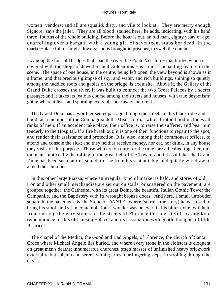women−vendors; and all are squalid, dirty, and vile to look at. 'They are merry enough, Signore,' says the jailer. 'They are all blood−stained here,' he adds, indicating, with his hand, three−fourths of the whole building. Before the hour is out, an old man, eighty years of age, quarrelling over a bargain with a young girl of seventeen, stabs her dead, in the market−place full of bright flowers; and is brought in prisoner, to swell the number.

 Among the four old bridges that span the river, the Ponte Vecchio − that bridge which is covered with the shops of Jewellers and Goldsmiths − is a most enchanting feature in the scene. The space of one house, in the centre, being left open, the view beyond is shown as in a frame; and that precious glimpse of sky, and water, and rich buildings, shining so quietly among the huddled roofs and gables on the bridge, is exquisite. Above it, the Gallery of the Grand Duke crosses the river. It was built to connect the two Great Palaces by a secret passage; and it takes its jealous course among the streets and houses, with true despotism: going where it lists, and spurning every obstacle away, before it.

 The Grand Duke has a worthier secret passage through the streets, in his black robe and hood, as a member of the Compagnia della Misericordia, which brotherhood includes all ranks of men. If an accident take place, their office is, to raise the sufferer, and bear him tenderly to the Hospital. If a fire break out, it is one of their functions to repair to the spot, and render their assistance and protection. It is, also, among their commonest offices, to attend and console the sick; and they neither receive money, nor eat, nor drink, in any house they visit for this purpose. Those who are on duty for the time, are all called together, on a moment's notice, by the tolling of the great bell of the Tower; and it is said that the Grand Duke has been seen, at this sound, to rise from his seat at table, and quietly withdraw to attend the summons.

 In this other large Piazza, where an irregular kind of market is held, and stores of old iron and other small merchandise are set out on stalls, or scattered on the pavement, are grouped together, the Cathedral with its great Dome, the beautiful Italian Gothic Tower the Campanile, and the Baptistery with its wrought bronze doors. And here, a small untrodden square in the pavement, is 'the Stone of DANTE,' where (so runs the story) he was used to bring his stool, and sit in contemplation. I wonder was he ever, in his bitter exile, withheld from cursing the very stones in the streets of Florence the ungrateful, by any kind remembrance of this old musing−place, and its association with gentle thoughts of little Beatrice!

 The chapel of the Medici, the Good and Bad Angels, of Florence; the church of Santa Croce where Michael Angelo lies buried, and where every stone in the cloisters is eloquent on great men's deaths; innumerable churches, often masses of unfinished heavy brickwork externally, but solemn and serene within; arrest our lingering steps, in strolling through the city.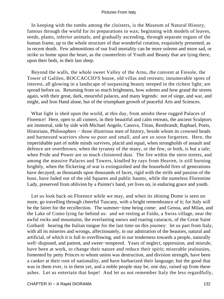In keeping with the tombs among the cloisters, is the Museum of Natural History, famous through the world for its preparations in wax; beginning with models of leaves, seeds, plants, inferior animals; and gradually ascending, through separate organs of the human frame, up to the whole structure of that wonderful creation, exquisitely presented, as in recent death. Few admonitions of our frail mortality can be more solemn and more sad, or strike so home upon the heart, as the counterfeits of Youth and Beauty that are lying there, upon their beds, in their last sleep.

 Beyond the walls, the whole sweet Valley of the Arno, the convent at Fiesole, the Tower of Galileo, BOCCACCIO'S house, old villas and retreats; innumerable spots of interest, all glowing in a landscape of surpassing beauty steeped in the richest light; are spread before us. Returning from so much brightness, how solemn and how grand the streets again, with their great, dark, mournful palaces, and many legends: not of siege, and war, and might, and Iron Hand alone, but of the triumphant growth of peaceful Arts and Sciences.

 What light is shed upon the world, at this day, from amidst these rugged Palaces of Florence! Here, open to all comers, in their beautiful and calm retreats, the ancient Sculptors are immortal, side by side with Michael Angelo, Canova, Titian, Rembrandt, Raphael, Poets, Historians, Philosophers − those illustrious men of history, beside whom its crowned heads and harnessed warriors show so poor and small, and are so soon forgotten. Here, the imperishable part of noble minds survives, placid and equal, when strongholds of assault and defence are overthrown; when the tyranny of the many, or the few, or both, is but a tale; when Pride and Power are so much cloistered dust. The fire within the stern streets, and among the massive Palaces and Towers, kindled by rays from Heaven, is still burning brightly, when the flickering of war is extinguished and the household fires of generations have decayed; as thousands upon thousands of faces, rigid with the strife and passion of the hour, have faded out of the old Squares and public haunts, while the nameless Florentine Lady, preserved from oblivion by a Painter's hand, yet lives on, in enduring grace and youth.

 Let us look back on Florence while we may, and when its shining Dome is seen no more, go travelling through cheerful Tuscany, with a bright remembrance of it; for Italy will be the fairer for the recollection. The summer−time being come: and Genoa, and Milan, and the Lake of Como lying far behind us: and we resting at Faido, a Swiss village, near the awful rocks and mountains, the everlasting snows and roaring cataracts, of the Great Saint Gothard: hearing the Italian tongue for the last time on this journey: let us part from Italy, with all its miseries and wrongs, affectionately, in our admiration of the beauties, natural and artificial, of which it is full to overflowing, and in our tenderness towards a people, naturally well−disposed, and patient, and sweet−tempered. Years of neglect, oppression, and misrule, have been at work, to change their nature and reduce their spirit; miserable jealousies, fomented by petty Princes to whom union was destruction, and division strength, have been a canker at their root of nationality, and have barbarized their language; but the good that was in them ever, is in them yet, and a noble people may be, one day, raised up from these ashes. Let us entertain that hope! And let us not remember Italy the less regardfully,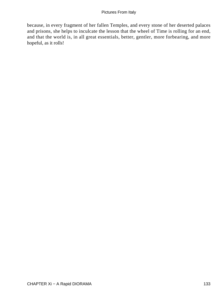because, in every fragment of her fallen Temples, and every stone of her deserted palaces and prisons, she helps to inculcate the lesson that the wheel of Time is rolling for an end, and that the world is, in all great essentials, better, gentler, more forbearing, and more hopeful, as it rolls!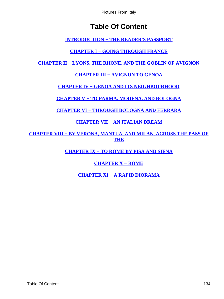# **Table Of Content**

**[INTRODUCTION − THE READER'S PASSPORT](#page-3-0)**

**[CHAPTER I − GOING THROUGH FRANCE](#page-5-0)**

<span id="page-134-0"></span>**[CHAPTER II − LYONS, THE RHONE, AND THE GOBLIN OF AVIGNON](#page-11-0)**

**[CHAPTER III − AVIGNON TO GENOA](#page-18-0)**

**[CHAPTER IV − GENOA AND ITS NEIGHBOURHOOD](#page-22-0)**

**[CHAPTER V − TO PARMA, MODENA, AND BOLOGNA](#page-44-0)**

**[CHAPTER VI − THROUGH BOLOGNA AND FERRARA](#page-51-0)**

**[CHAPTER VII − AN ITALIAN DREAM](#page-55-0)**

**[CHAPTER VIII − BY VERONA, MANTUA, AND MILAN, ACROSS THE PASS OF](#page-61-0) [THE](#page-61-0)**

**[CHAPTER IX − TO ROME BY PISA AND SIENA](#page-73-0)**

**[CHAPTER X − ROME](#page-83-0)**

**[CHAPTER XI − A RAPID DIORAMA](#page-115-0)**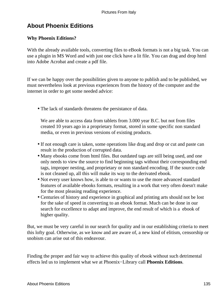# **About Phoenix Editions**

# **Why Phoenix Editions?**

With the already available tools, converting files to eBook formats is not a big task. You can use a plugin in MS Word and with just one click have a lit file. You can drag and drop html into Adobe Acrobat and create a pdf file.

If we can be happy over the possibilities given to anyone to publish and to be published, we must nevertheless look at previous experiences from the history of the computer and the internet in order to get some needed advice:

• The lack of standards threatens the persistance of data.

We are able to access data from tablets from 3.000 year B.C. but not from files created 10 years ago in a proprietary format, stored in some specific non standard media, or even in previous versions of existing products.

- If not enough care is taken, some operations like drag and drop or cut and paste can result in the production of corrupted data.
- Many ebooks come from html files. But outdated tags are still being used, and one only needs to view the source to find beginning tags without their corresponding end tags, improper nesting, and proprietary or non standard encoding. If the source code is not cleaned up, all this will make its way to the derivated ebook.
- Not every user knows how, is able to or wants to use the more advanced standard features of available ebooks formats, resulting in a work that very often doesn't make for the most pleasing reading experience.
- Centuries of history and experience in graphical and printing arts should not be lost for the sake of speed in converting to an ebook format. Much can be done in our search for excellence to adapt and improve, the end result of which is a ebook of higher quality.

But, we must be very careful in our search for quality and in our establishing criteria to meet this lofty goal. Otherwise, as we know and are aware of, a new kind of elitism, censorship or snobism can arise out of this endeavour.

Finding the proper and fair way to achieve this quality of ebook without such detrimental effects led us to implement what we at Phoenix−Library call **Phoenix Editions**.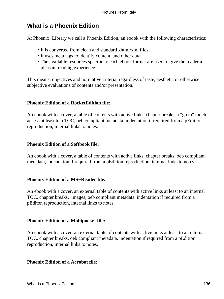# **What is a Phoenix Edition**

At Phoenix−Library we call a Phoenix Edition, an ebook with the following characteristics:

- It is converted from clean and standard xhtml/xml files
- It uses meta tags to identify content, and other data
- The available resources specific to each ebook format are used to give the reader a pleasant reading experience.

This means: objectives and normative criteria, regardless of taste, aesthetic or otherwise subjective evaluations of contents and/or presentation.

# **Phoenix Edition of a RocketEdition file:**

An ebook with a cover, a table of contents with active links, chapter breaks, a "go to" touch access at least to a TOC, oeb compliant metadata, indentation if required from a pEdition reproduction, internal links to notes.

# **Phoenix Edition of a Softbook file:**

An ebook with a cover, a table of contents with active links, chapter breaks, oeb compliant metadata, indentation if required from a pEdition reproduction, internal links to notes.

# **Phoenix Edition of a MS−Reader file:**

An ebook with a cover, an external table of contents with active links at least to an internal TOC, chapter breaks, images, oeb compliant metadata, indentation if required from a pEditon reproduction, internal links to notes.

# **Phoenix Edition of a Mobipocket file:**

An ebook with a cover, an external table of contents with active links at least to an internal TOC, chapter breaks, oeb compliant metadata, indentation if required from a pEdition reproduction, internal links to notes.

# **Phoenix Edition of a Acrobat file:**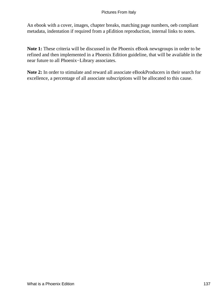An ebook with a cover, images, chapter breaks, matching page numbers, oeb compliant metadata, indentation if required from a pEdition reproduction, internal links to notes.

**Note 1:** These criteria will be discussed in the Phoenix eBook newsgroups in order to be refined and then implemented in a Phoenix Edition guideline, that will be available in the near future to all Phoenix−Library associates.

**Note 2:** In order to stimulate and reward all associate eBookProducers in their search for excellence, a percentage of all associate subscriptions will be allocated to this cause.